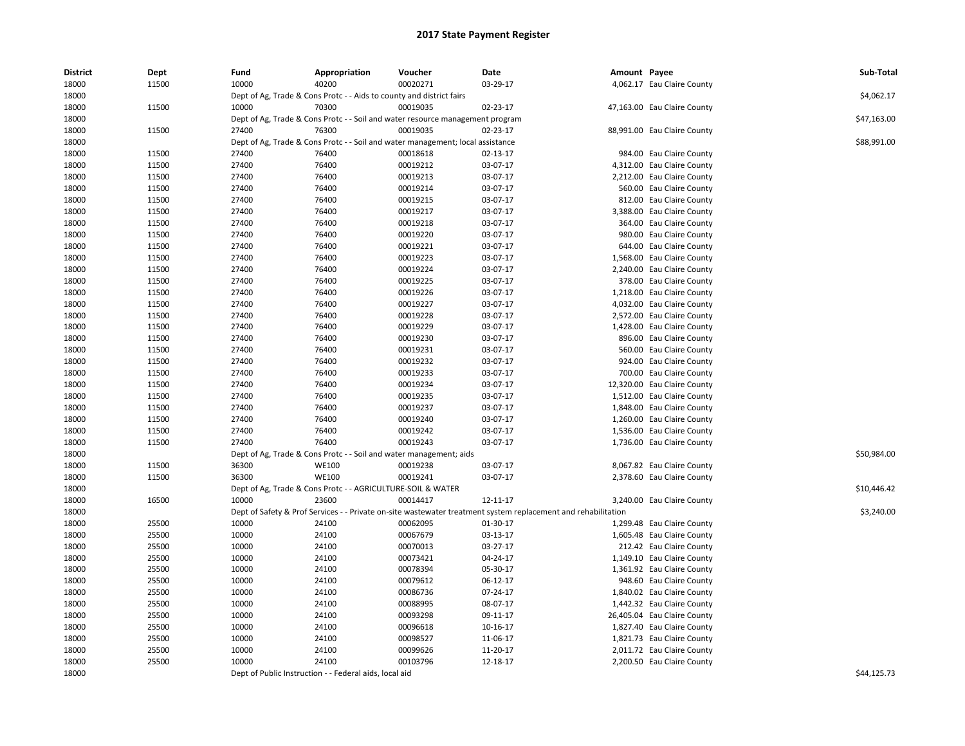| <b>District</b> | Dept  | Fund  | Appropriation                                                                  | Voucher  | Date                                                                                                          | Amount Payee |                             | Sub-Total   |
|-----------------|-------|-------|--------------------------------------------------------------------------------|----------|---------------------------------------------------------------------------------------------------------------|--------------|-----------------------------|-------------|
| 18000           | 11500 | 10000 | 40200                                                                          | 00020271 | 03-29-17                                                                                                      |              | 4,062.17 Eau Claire County  |             |
| 18000           |       |       | Dept of Ag, Trade & Cons Protc - - Aids to county and district fairs           |          |                                                                                                               |              |                             | \$4,062.17  |
| 18000           | 11500 | 10000 | 70300                                                                          | 00019035 | 02-23-17                                                                                                      |              | 47,163.00 Eau Claire County |             |
| 18000           |       |       | Dept of Ag, Trade & Cons Protc - - Soil and water resource management program  |          |                                                                                                               |              |                             | \$47,163.00 |
| 18000           | 11500 | 27400 | 76300                                                                          | 00019035 | 02-23-17                                                                                                      |              | 88,991.00 Eau Claire County |             |
| 18000           |       |       | Dept of Ag, Trade & Cons Protc - - Soil and water management; local assistance |          |                                                                                                               |              |                             | \$88,991.00 |
| 18000           | 11500 | 27400 | 76400                                                                          | 00018618 | 02-13-17                                                                                                      |              | 984.00 Eau Claire County    |             |
| 18000           | 11500 | 27400 | 76400                                                                          | 00019212 | 03-07-17                                                                                                      |              | 4,312.00 Eau Claire County  |             |
| 18000           | 11500 | 27400 | 76400                                                                          | 00019213 | 03-07-17                                                                                                      |              | 2,212.00 Eau Claire County  |             |
| 18000           | 11500 | 27400 | 76400                                                                          | 00019214 | 03-07-17                                                                                                      |              | 560.00 Eau Claire County    |             |
| 18000           | 11500 | 27400 | 76400                                                                          | 00019215 | 03-07-17                                                                                                      |              | 812.00 Eau Claire County    |             |
| 18000           | 11500 | 27400 | 76400                                                                          | 00019217 | 03-07-17                                                                                                      |              | 3,388.00 Eau Claire County  |             |
| 18000           | 11500 | 27400 | 76400                                                                          | 00019218 | 03-07-17                                                                                                      |              | 364.00 Eau Claire County    |             |
| 18000           | 11500 | 27400 | 76400                                                                          | 00019220 | 03-07-17                                                                                                      |              | 980.00 Eau Claire County    |             |
| 18000           | 11500 | 27400 | 76400                                                                          | 00019221 | 03-07-17                                                                                                      |              | 644.00 Eau Claire County    |             |
| 18000           | 11500 | 27400 | 76400                                                                          | 00019223 | 03-07-17                                                                                                      |              | 1,568.00 Eau Claire County  |             |
| 18000           | 11500 | 27400 | 76400                                                                          | 00019224 | 03-07-17                                                                                                      |              | 2,240.00 Eau Claire County  |             |
| 18000           | 11500 | 27400 | 76400                                                                          | 00019225 | 03-07-17                                                                                                      |              | 378.00 Eau Claire County    |             |
| 18000           | 11500 | 27400 | 76400                                                                          | 00019226 | 03-07-17                                                                                                      |              | 1,218.00 Eau Claire County  |             |
| 18000           | 11500 | 27400 | 76400                                                                          | 00019227 | 03-07-17                                                                                                      |              | 4,032.00 Eau Claire County  |             |
| 18000           | 11500 | 27400 | 76400                                                                          | 00019228 | 03-07-17                                                                                                      |              | 2,572.00 Eau Claire County  |             |
| 18000           | 11500 | 27400 | 76400                                                                          | 00019229 | 03-07-17                                                                                                      |              | 1,428.00 Eau Claire County  |             |
| 18000           | 11500 | 27400 | 76400                                                                          | 00019230 | 03-07-17                                                                                                      |              | 896.00 Eau Claire County    |             |
| 18000           | 11500 | 27400 | 76400                                                                          | 00019231 | 03-07-17                                                                                                      |              | 560.00 Eau Claire County    |             |
| 18000           | 11500 | 27400 | 76400                                                                          | 00019232 | 03-07-17                                                                                                      |              | 924.00 Eau Claire County    |             |
| 18000           | 11500 | 27400 | 76400                                                                          | 00019233 | 03-07-17                                                                                                      |              | 700.00 Eau Claire County    |             |
| 18000           | 11500 | 27400 | 76400                                                                          | 00019234 | 03-07-17                                                                                                      |              | 12,320.00 Eau Claire County |             |
| 18000           | 11500 | 27400 | 76400                                                                          | 00019235 | 03-07-17                                                                                                      |              | 1,512.00 Eau Claire County  |             |
| 18000           | 11500 | 27400 | 76400                                                                          | 00019237 | 03-07-17                                                                                                      |              | 1,848.00 Eau Claire County  |             |
| 18000           | 11500 | 27400 | 76400                                                                          | 00019240 | 03-07-17                                                                                                      |              | 1,260.00 Eau Claire County  |             |
| 18000           | 11500 | 27400 | 76400                                                                          | 00019242 | 03-07-17                                                                                                      |              | 1,536.00 Eau Claire County  |             |
| 18000           | 11500 | 27400 | 76400                                                                          | 00019243 | 03-07-17                                                                                                      |              | 1,736.00 Eau Claire County  |             |
| 18000           |       |       | Dept of Ag, Trade & Cons Protc - - Soil and water management; aids             |          |                                                                                                               |              |                             | \$50,984.00 |
| 18000           | 11500 | 36300 | <b>WE100</b>                                                                   | 00019238 | 03-07-17                                                                                                      |              | 8,067.82 Eau Claire County  |             |
| 18000           | 11500 | 36300 | <b>WE100</b>                                                                   | 00019241 | 03-07-17                                                                                                      |              | 2,378.60 Eau Claire County  |             |
| 18000           |       |       | Dept of Ag, Trade & Cons Protc - - AGRICULTURE-SOIL & WATER                    |          |                                                                                                               |              |                             | \$10,446.42 |
| 18000           | 16500 | 10000 | 23600                                                                          | 00014417 | 12-11-17                                                                                                      |              | 3,240.00 Eau Claire County  |             |
| 18000           |       |       |                                                                                |          | Dept of Safety & Prof Services - - Private on-site wastewater treatment system replacement and rehabilitation |              |                             | \$3,240.00  |
| 18000           | 25500 | 10000 | 24100                                                                          | 00062095 | 01-30-17                                                                                                      |              | 1,299.48 Eau Claire County  |             |
| 18000           | 25500 | 10000 | 24100                                                                          | 00067679 | 03-13-17                                                                                                      |              | 1,605.48 Eau Claire County  |             |
| 18000           | 25500 | 10000 | 24100                                                                          | 00070013 | 03-27-17                                                                                                      |              | 212.42 Eau Claire County    |             |
| 18000           | 25500 | 10000 | 24100                                                                          | 00073421 | 04-24-17                                                                                                      |              | 1,149.10 Eau Claire County  |             |
| 18000           | 25500 | 10000 | 24100                                                                          | 00078394 | 05-30-17                                                                                                      |              | 1,361.92 Eau Claire County  |             |
| 18000           | 25500 | 10000 | 24100                                                                          | 00079612 | 06-12-17                                                                                                      |              | 948.60 Eau Claire County    |             |
| 18000           | 25500 | 10000 | 24100                                                                          | 00086736 | 07-24-17                                                                                                      |              | 1,840.02 Eau Claire County  |             |
| 18000           | 25500 | 10000 | 24100                                                                          | 00088995 | 08-07-17                                                                                                      |              | 1,442.32 Eau Claire County  |             |
| 18000           | 25500 | 10000 | 24100                                                                          | 00093298 | 09-11-17                                                                                                      |              | 26,405.04 Eau Claire County |             |
| 18000           | 25500 | 10000 | 24100                                                                          | 00096618 | 10-16-17                                                                                                      |              | 1,827.40 Eau Claire County  |             |
| 18000           | 25500 | 10000 | 24100                                                                          | 00098527 | 11-06-17                                                                                                      |              | 1,821.73 Eau Claire County  |             |
| 18000           | 25500 | 10000 | 24100                                                                          | 00099626 | 11-20-17                                                                                                      |              | 2,011.72 Eau Claire County  |             |
| 18000           | 25500 | 10000 | 24100                                                                          | 00103796 | 12-18-17                                                                                                      |              | 2,200.50 Eau Claire County  |             |
| 18000           |       |       | Dept of Public Instruction - - Federal aids, local aid                         |          |                                                                                                               |              |                             | \$44,125.73 |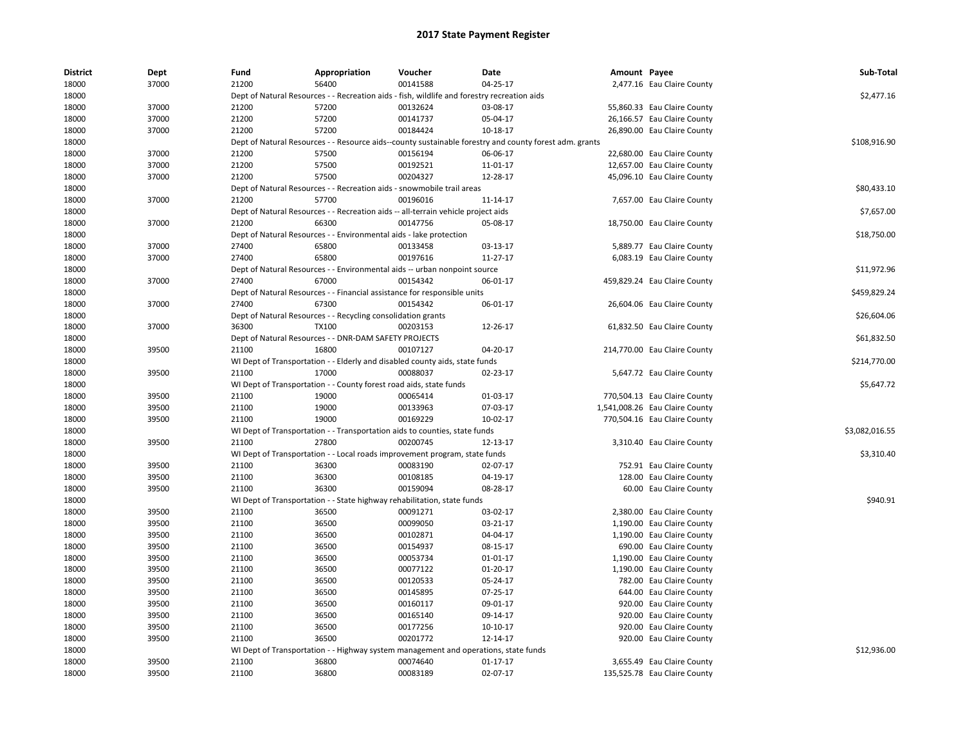| <b>District</b> | Dept  | Fund  | Appropriation                                                                               | Voucher  | Date                                                                                                   | Amount Payee |                                | Sub-Total      |
|-----------------|-------|-------|---------------------------------------------------------------------------------------------|----------|--------------------------------------------------------------------------------------------------------|--------------|--------------------------------|----------------|
| 18000           | 37000 | 21200 | 56400                                                                                       | 00141588 | 04-25-17                                                                                               |              | 2,477.16 Eau Claire County     |                |
| 18000           |       |       | Dept of Natural Resources - - Recreation aids - fish, wildlife and forestry recreation aids |          |                                                                                                        |              |                                | \$2,477.16     |
| 18000           | 37000 | 21200 | 57200                                                                                       | 00132624 | 03-08-17                                                                                               |              | 55,860.33 Eau Claire County    |                |
| 18000           | 37000 | 21200 | 57200                                                                                       | 00141737 | 05-04-17                                                                                               |              | 26,166.57 Eau Claire County    |                |
| 18000           | 37000 | 21200 | 57200                                                                                       | 00184424 | 10-18-17                                                                                               |              | 26,890.00 Eau Claire County    |                |
| 18000           |       |       |                                                                                             |          | Dept of Natural Resources - - Resource aids--county sustainable forestry and county forest adm. grants |              |                                | \$108,916.90   |
| 18000           | 37000 | 21200 | 57500                                                                                       | 00156194 | 06-06-17                                                                                               |              | 22,680.00 Eau Claire County    |                |
| 18000           | 37000 | 21200 | 57500                                                                                       | 00192521 | 11-01-17                                                                                               |              | 12,657.00 Eau Claire County    |                |
| 18000           | 37000 | 21200 | 57500                                                                                       | 00204327 | 12-28-17                                                                                               |              | 45,096.10 Eau Claire County    |                |
| 18000           |       |       | Dept of Natural Resources - - Recreation aids - snowmobile trail areas                      |          |                                                                                                        |              |                                | \$80,433.10    |
| 18000           | 37000 | 21200 | 57700                                                                                       | 00196016 | 11-14-17                                                                                               |              | 7,657.00 Eau Claire County     |                |
| 18000           |       |       | Dept of Natural Resources - - Recreation aids -- all-terrain vehicle project aids           |          |                                                                                                        |              |                                | \$7,657.00     |
| 18000           | 37000 | 21200 | 66300                                                                                       | 00147756 | 05-08-17                                                                                               |              | 18,750.00 Eau Claire County    |                |
| 18000           |       |       | Dept of Natural Resources - - Environmental aids - lake protection                          |          |                                                                                                        |              |                                | \$18,750.00    |
| 18000           | 37000 | 27400 | 65800                                                                                       | 00133458 | 03-13-17                                                                                               |              | 5,889.77 Eau Claire County     |                |
| 18000           | 37000 | 27400 | 65800                                                                                       | 00197616 | 11-27-17                                                                                               |              | 6,083.19 Eau Claire County     |                |
| 18000           |       |       | Dept of Natural Resources - - Environmental aids -- urban nonpoint source                   |          |                                                                                                        |              |                                | \$11,972.96    |
| 18000           | 37000 | 27400 | 67000                                                                                       | 00154342 | 06-01-17                                                                                               |              | 459,829.24 Eau Claire County   |                |
| 18000           |       |       | Dept of Natural Resources - - Financial assistance for responsible units                    |          |                                                                                                        |              |                                | \$459,829.24   |
| 18000           | 37000 | 27400 | 67300                                                                                       | 00154342 | 06-01-17                                                                                               |              | 26,604.06 Eau Claire County    |                |
| 18000           |       |       | Dept of Natural Resources - - Recycling consolidation grants                                |          |                                                                                                        |              |                                | \$26,604.06    |
| 18000           | 37000 | 36300 | <b>TX100</b>                                                                                | 00203153 | 12-26-17                                                                                               |              | 61,832.50 Eau Claire County    |                |
| 18000           |       |       | Dept of Natural Resources - - DNR-DAM SAFETY PROJECTS                                       |          |                                                                                                        |              |                                | \$61,832.50    |
| 18000           | 39500 | 21100 | 16800                                                                                       | 00107127 | 04-20-17                                                                                               |              | 214,770.00 Eau Claire County   |                |
| 18000           |       |       | WI Dept of Transportation - - Elderly and disabled county aids, state funds                 |          |                                                                                                        |              |                                | \$214,770.00   |
| 18000           | 39500 | 21100 | 17000                                                                                       | 00088037 | 02-23-17                                                                                               |              | 5,647.72 Eau Claire County     |                |
| 18000           |       |       | WI Dept of Transportation - - County forest road aids, state funds                          |          |                                                                                                        |              |                                | \$5,647.72     |
| 18000           | 39500 | 21100 | 19000                                                                                       | 00065414 | 01-03-17                                                                                               |              | 770,504.13 Eau Claire County   |                |
| 18000           | 39500 | 21100 | 19000                                                                                       | 00133963 | 07-03-17                                                                                               |              | 1,541,008.26 Eau Claire County |                |
| 18000           | 39500 | 21100 | 19000                                                                                       | 00169229 | 10-02-17                                                                                               |              | 770,504.16 Eau Claire County   |                |
| 18000           |       |       | WI Dept of Transportation - - Transportation aids to counties, state funds                  |          |                                                                                                        |              |                                | \$3,082,016.55 |
| 18000           | 39500 | 21100 | 27800                                                                                       | 00200745 | 12-13-17                                                                                               |              | 3,310.40 Eau Claire County     |                |
| 18000           |       |       | WI Dept of Transportation - - Local roads improvement program, state funds                  |          |                                                                                                        |              |                                | \$3,310.40     |
| 18000           | 39500 | 21100 | 36300                                                                                       | 00083190 | 02-07-17                                                                                               |              | 752.91 Eau Claire County       |                |
| 18000           | 39500 | 21100 | 36300                                                                                       | 00108185 | 04-19-17                                                                                               |              | 128.00 Eau Claire County       |                |
| 18000           | 39500 | 21100 | 36300                                                                                       | 00159094 | 08-28-17                                                                                               |              | 60.00 Eau Claire County        |                |
| 18000           |       |       | WI Dept of Transportation - - State highway rehabilitation, state funds                     |          |                                                                                                        |              |                                | \$940.91       |
| 18000           | 39500 | 21100 | 36500                                                                                       | 00091271 | 03-02-17                                                                                               |              | 2,380.00 Eau Claire County     |                |
| 18000           | 39500 | 21100 | 36500                                                                                       | 00099050 | 03-21-17                                                                                               |              | 1,190.00 Eau Claire County     |                |
| 18000           | 39500 | 21100 | 36500                                                                                       | 00102871 | 04-04-17                                                                                               |              | 1,190.00 Eau Claire County     |                |
| 18000           | 39500 | 21100 | 36500                                                                                       | 00154937 | 08-15-17                                                                                               |              | 690.00 Eau Claire County       |                |
| 18000           | 39500 | 21100 | 36500                                                                                       | 00053734 | 01-01-17                                                                                               |              | 1,190.00 Eau Claire County     |                |
| 18000           | 39500 | 21100 | 36500                                                                                       | 00077122 | 01-20-17                                                                                               |              | 1,190.00 Eau Claire County     |                |
| 18000           | 39500 | 21100 | 36500                                                                                       | 00120533 | 05-24-17                                                                                               |              | 782.00 Eau Claire County       |                |
| 18000           | 39500 | 21100 | 36500                                                                                       | 00145895 | 07-25-17                                                                                               |              | 644.00 Eau Claire County       |                |
| 18000           | 39500 | 21100 | 36500                                                                                       | 00160117 | 09-01-17                                                                                               |              | 920.00 Eau Claire County       |                |
| 18000           | 39500 | 21100 | 36500                                                                                       | 00165140 | 09-14-17                                                                                               |              | 920.00 Eau Claire County       |                |
| 18000           | 39500 | 21100 | 36500                                                                                       | 00177256 | 10-10-17                                                                                               |              | 920.00 Eau Claire County       |                |
| 18000           | 39500 | 21100 | 36500                                                                                       | 00201772 | 12-14-17                                                                                               |              | 920.00 Eau Claire County       |                |
| 18000           |       |       | WI Dept of Transportation - - Highway system management and operations, state funds         |          |                                                                                                        |              |                                | \$12,936.00    |
| 18000           | 39500 | 21100 | 36800                                                                                       | 00074640 | $01 - 17 - 17$                                                                                         |              | 3,655.49 Eau Claire County     |                |
| 18000           | 39500 | 21100 | 36800                                                                                       | 00083189 | 02-07-17                                                                                               |              | 135,525.78 Eau Claire County   |                |
|                 |       |       |                                                                                             |          |                                                                                                        |              |                                |                |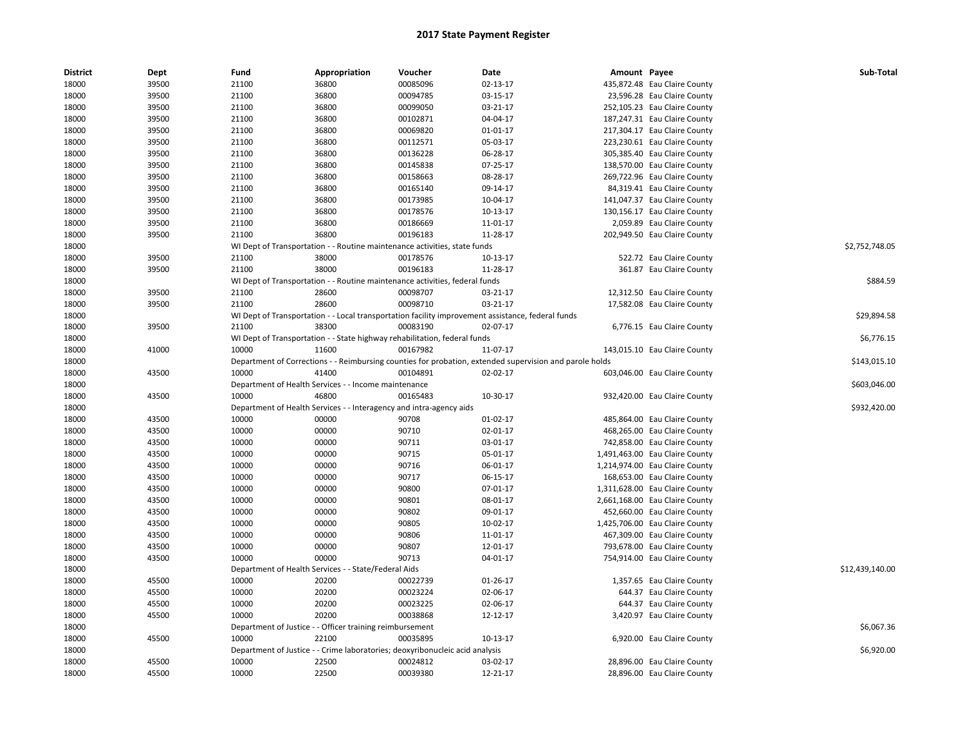| District       | Dept           | Fund           | Appropriation                                                                | Voucher        | <b>Date</b>                                                                                             | Amount Payee |                                                                | Sub-Total       |
|----------------|----------------|----------------|------------------------------------------------------------------------------|----------------|---------------------------------------------------------------------------------------------------------|--------------|----------------------------------------------------------------|-----------------|
| 18000          | 39500          | 21100          | 36800                                                                        | 00085096       | 02-13-17                                                                                                |              | 435,872.48 Eau Claire County                                   |                 |
| 18000          | 39500          | 21100          | 36800                                                                        | 00094785       | 03-15-17                                                                                                |              | 23,596.28 Eau Claire County                                    |                 |
| 18000          | 39500          | 21100          | 36800                                                                        | 00099050       | 03-21-17                                                                                                |              | 252,105.23 Eau Claire County                                   |                 |
| 18000          | 39500          | 21100          | 36800                                                                        | 00102871       | 04-04-17                                                                                                |              | 187,247.31 Eau Claire County                                   |                 |
| 18000          | 39500          | 21100          | 36800                                                                        | 00069820       | $01 - 01 - 17$                                                                                          |              | 217,304.17 Eau Claire County                                   |                 |
| 18000          | 39500          | 21100          | 36800                                                                        | 00112571       | 05-03-17                                                                                                |              | 223,230.61 Eau Claire County                                   |                 |
| 18000          | 39500          | 21100          | 36800                                                                        | 00136228       | 06-28-17                                                                                                |              | 305,385.40 Eau Claire County                                   |                 |
| 18000          | 39500          | 21100          | 36800                                                                        | 00145838       | 07-25-17                                                                                                |              | 138,570.00 Eau Claire County                                   |                 |
| 18000          | 39500          | 21100          | 36800                                                                        | 00158663       | 08-28-17                                                                                                |              | 269,722.96 Eau Claire County                                   |                 |
| 18000          | 39500          | 21100          | 36800                                                                        | 00165140       | 09-14-17                                                                                                |              | 84,319.41 Eau Claire County                                    |                 |
| 18000          | 39500          | 21100          | 36800                                                                        | 00173985       | 10-04-17                                                                                                |              | 141,047.37 Eau Claire County                                   |                 |
| 18000          | 39500          | 21100          | 36800                                                                        | 00178576       | 10-13-17                                                                                                |              | 130,156.17 Eau Claire County                                   |                 |
| 18000          | 39500          | 21100          | 36800                                                                        | 00186669       | 11-01-17                                                                                                |              | 2,059.89 Eau Claire County                                     |                 |
| 18000          | 39500          | 21100          | 36800                                                                        | 00196183       | 11-28-17                                                                                                |              | 202,949.50 Eau Claire County                                   |                 |
| 18000          |                |                | WI Dept of Transportation - - Routine maintenance activities, state funds    |                |                                                                                                         |              |                                                                | \$2,752,748.05  |
| 18000          | 39500          | 21100          | 38000                                                                        | 00178576       | 10-13-17                                                                                                |              | 522.72 Eau Claire County                                       |                 |
| 18000          | 39500          | 21100          | 38000                                                                        | 00196183       | 11-28-17                                                                                                |              | 361.87 Eau Claire County                                       |                 |
| 18000          |                |                | WI Dept of Transportation - - Routine maintenance activities, federal funds  |                |                                                                                                         |              |                                                                | \$884.59        |
| 18000          | 39500          | 21100          | 28600                                                                        | 00098707       | 03-21-17                                                                                                |              | 12,312.50 Eau Claire County                                    |                 |
| 18000          | 39500          | 21100          | 28600                                                                        | 00098710       | 03-21-17                                                                                                |              | 17,582.08 Eau Claire County                                    |                 |
| 18000          |                |                |                                                                              |                | WI Dept of Transportation - - Local transportation facility improvement assistance, federal funds       |              |                                                                | \$29,894.58     |
| 18000          | 39500          | 21100          | 38300                                                                        | 00083190       | 02-07-17                                                                                                |              | 6,776.15 Eau Claire County                                     |                 |
| 18000          |                |                | WI Dept of Transportation - - State highway rehabilitation, federal funds    |                |                                                                                                         |              |                                                                | \$6,776.15      |
| 18000          | 41000          | 10000          | 11600                                                                        | 00167982       | 11-07-17                                                                                                |              | 143,015.10 Eau Claire County                                   |                 |
| 18000          |                |                |                                                                              |                | Department of Corrections - - Reimbursing counties for probation, extended supervision and parole holds |              |                                                                | \$143,015.10    |
| 18000          | 43500          | 10000          | 41400                                                                        | 00104891       | 02-02-17                                                                                                |              | 603,046.00 Eau Claire County                                   |                 |
| 18000          |                |                | Department of Health Services - - Income maintenance                         |                |                                                                                                         |              |                                                                | \$603,046.00    |
| 18000          | 43500          | 10000          | 46800                                                                        | 00165483       | 10-30-17                                                                                                |              | 932,420.00 Eau Claire County                                   |                 |
| 18000          |                |                | Department of Health Services - - Interagency and intra-agency aids          |                |                                                                                                         |              |                                                                | \$932,420.00    |
| 18000          | 43500          | 10000          | 00000                                                                        | 90708          | 01-02-17                                                                                                |              | 485,864.00 Eau Claire County                                   |                 |
| 18000          | 43500          | 10000          | 00000                                                                        | 90710          | $02 - 01 - 17$                                                                                          |              | 468,265.00 Eau Claire County                                   |                 |
| 18000          | 43500          | 10000          | 00000                                                                        | 90711          | 03-01-17                                                                                                |              | 742,858.00 Eau Claire County                                   |                 |
|                | 43500          | 10000          | 00000                                                                        | 90715          | 05-01-17                                                                                                |              | 1,491,463.00 Eau Claire County                                 |                 |
| 18000          |                |                |                                                                              |                |                                                                                                         |              |                                                                |                 |
| 18000<br>18000 | 43500<br>43500 | 10000<br>10000 | 00000<br>00000                                                               | 90716<br>90717 | 06-01-17<br>06-15-17                                                                                    |              | 1,214,974.00 Eau Claire County<br>168,653.00 Eau Claire County |                 |
| 18000          |                | 10000          | 00000                                                                        | 90800          | $07 - 01 - 17$                                                                                          |              |                                                                |                 |
|                | 43500<br>43500 | 10000          | 00000                                                                        | 90801          |                                                                                                         |              | 1,311,628.00 Eau Claire County                                 |                 |
| 18000          |                |                |                                                                              |                | 08-01-17                                                                                                |              | 2,661,168.00 Eau Claire County                                 |                 |
| 18000          | 43500          | 10000          | 00000                                                                        | 90802          | 09-01-17                                                                                                |              | 452,660.00 Eau Claire County                                   |                 |
| 18000          | 43500          | 10000          | 00000                                                                        | 90805          | 10-02-17                                                                                                |              | 1,425,706.00 Eau Claire County                                 |                 |
| 18000          | 43500          | 10000          | 00000                                                                        | 90806          | 11-01-17                                                                                                |              | 467,309.00 Eau Claire County                                   |                 |
| 18000          | 43500          | 10000          | 00000                                                                        | 90807          | 12-01-17                                                                                                |              | 793,678.00 Eau Claire County                                   |                 |
| 18000          | 43500          | 10000          | 00000                                                                        | 90713          | 04-01-17                                                                                                |              | 754,914.00 Eau Claire County                                   |                 |
| 18000          |                |                | Department of Health Services - - State/Federal Aids                         |                |                                                                                                         |              |                                                                | \$12,439,140.00 |
| 18000          | 45500          | 10000          | 20200                                                                        | 00022739       | $01 - 26 - 17$                                                                                          |              | 1,357.65 Eau Claire County                                     |                 |
| 18000          | 45500          | 10000          | 20200                                                                        | 00023224       | 02-06-17                                                                                                |              | 644.37 Eau Claire County                                       |                 |
| 18000          | 45500          | 10000          | 20200                                                                        | 00023225       | 02-06-17                                                                                                |              | 644.37 Eau Claire County                                       |                 |
| 18000          | 45500          | 10000          | 20200                                                                        | 00038868       | 12-12-17                                                                                                |              | 3,420.97 Eau Claire County                                     |                 |
| 18000          |                |                | Department of Justice - - Officer training reimbursement                     |                |                                                                                                         |              |                                                                | \$6,067.36      |
| 18000          | 45500          | 10000          | 22100                                                                        | 00035895       | $10-13-17$                                                                                              |              | 6,920.00 Eau Claire County                                     |                 |
| 18000          |                |                | Department of Justice - - Crime laboratories; deoxyribonucleic acid analysis |                |                                                                                                         |              |                                                                | \$6,920.00      |
| 18000          | 45500          | 10000          | 22500                                                                        | 00024812       | 03-02-17                                                                                                |              | 28,896.00 Eau Claire County                                    |                 |
| 18000          | 45500          | 10000          | 22500                                                                        | 00039380       | 12-21-17                                                                                                |              | 28,896.00 Eau Claire County                                    |                 |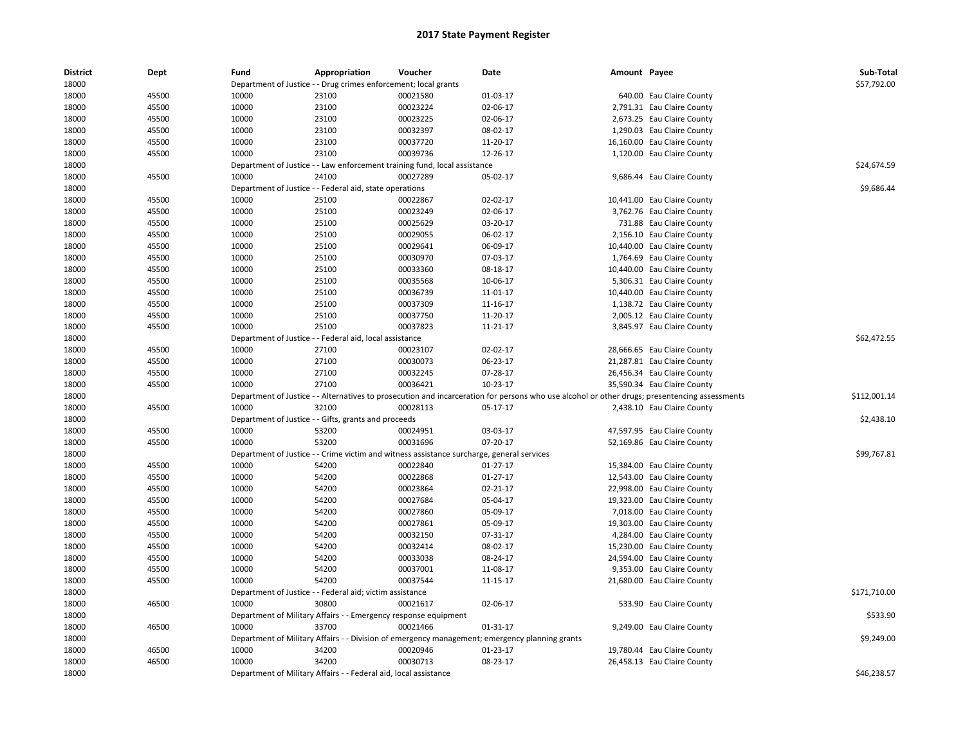| <b>District</b> | Dept  | Fund  | Appropriation                                                    | Voucher                                                                                               | Date                                                                                                                                          | Amount Payee |                                                            | Sub-Total    |
|-----------------|-------|-------|------------------------------------------------------------------|-------------------------------------------------------------------------------------------------------|-----------------------------------------------------------------------------------------------------------------------------------------------|--------------|------------------------------------------------------------|--------------|
| 18000           |       |       | Department of Justice - - Drug crimes enforcement; local grants  |                                                                                                       |                                                                                                                                               |              |                                                            | \$57,792.00  |
| 18000           | 45500 | 10000 | 23100                                                            | 00021580                                                                                              | 01-03-17                                                                                                                                      |              | 640.00 Eau Claire County                                   |              |
| 18000           | 45500 | 10000 | 23100                                                            | 00023224                                                                                              | 02-06-17                                                                                                                                      |              | 2,791.31 Eau Claire County                                 |              |
| 18000           | 45500 | 10000 | 23100                                                            | 00023225                                                                                              | 02-06-17                                                                                                                                      |              | 2,673.25 Eau Claire County                                 |              |
| 18000           | 45500 | 10000 | 23100                                                            | 00032397                                                                                              | 08-02-17                                                                                                                                      |              | 1,290.03 Eau Claire County                                 |              |
| 18000           | 45500 | 10000 | 23100                                                            | 00037720                                                                                              | 11-20-17                                                                                                                                      |              | 16,160.00 Eau Claire County                                |              |
| 18000           | 45500 | 10000 | 23100                                                            | 00039736                                                                                              | 12-26-17                                                                                                                                      |              | 1,120.00 Eau Claire County                                 |              |
| 18000           |       |       |                                                                  | Department of Justice - - Law enforcement training fund, local assistance                             |                                                                                                                                               |              |                                                            | \$24,674.59  |
| 18000           | 45500 | 10000 | 24100                                                            | 00027289                                                                                              | 05-02-17                                                                                                                                      |              | 9,686.44 Eau Claire County                                 |              |
| 18000           |       |       | Department of Justice - - Federal aid, state operations          |                                                                                                       |                                                                                                                                               |              |                                                            | \$9,686.44   |
| 18000           | 45500 | 10000 | 25100                                                            | 00022867                                                                                              | 02-02-17                                                                                                                                      |              | 10,441.00 Eau Claire County                                |              |
| 18000           | 45500 | 10000 | 25100                                                            | 00023249                                                                                              | 02-06-17                                                                                                                                      |              | 3,762.76 Eau Claire County                                 |              |
| 18000           | 45500 | 10000 | 25100                                                            | 00025629                                                                                              | 03-20-17                                                                                                                                      |              | 731.88 Eau Claire County                                   |              |
| 18000           | 45500 | 10000 | 25100                                                            | 00029055                                                                                              | 06-02-17                                                                                                                                      |              | 2,156.10 Eau Claire County                                 |              |
| 18000           | 45500 | 10000 | 25100                                                            | 00029641                                                                                              | 06-09-17                                                                                                                                      |              | 10,440.00 Eau Claire County                                |              |
| 18000           | 45500 | 10000 | 25100                                                            | 00030970                                                                                              | 07-03-17                                                                                                                                      |              | 1,764.69 Eau Claire County                                 |              |
| 18000           | 45500 | 10000 | 25100                                                            | 00033360                                                                                              | 08-18-17                                                                                                                                      |              | 10,440.00 Eau Claire County                                |              |
| 18000           | 45500 | 10000 | 25100                                                            | 00035568                                                                                              | 10-06-17                                                                                                                                      |              | 5,306.31 Eau Claire County                                 |              |
| 18000           | 45500 | 10000 | 25100                                                            | 00036739                                                                                              | 11-01-17                                                                                                                                      |              | 10,440.00 Eau Claire County                                |              |
| 18000           | 45500 | 10000 | 25100                                                            | 00037309                                                                                              | 11-16-17                                                                                                                                      |              | 1,138.72 Eau Claire County                                 |              |
| 18000           | 45500 | 10000 | 25100                                                            | 00037750                                                                                              | 11-20-17                                                                                                                                      |              | 2,005.12 Eau Claire County                                 |              |
| 18000           | 45500 | 10000 | 25100                                                            | 00037823                                                                                              | 11-21-17                                                                                                                                      |              | 3,845.97 Eau Claire County                                 |              |
| 18000           |       |       | Department of Justice - - Federal aid, local assistance          |                                                                                                       |                                                                                                                                               |              |                                                            | \$62,472.55  |
| 18000           | 45500 | 10000 | 27100                                                            | 00023107                                                                                              | 02-02-17                                                                                                                                      |              | 28,666.65 Eau Claire County                                |              |
| 18000           | 45500 | 10000 | 27100                                                            | 00030073                                                                                              | 06-23-17                                                                                                                                      |              | 21,287.81 Eau Claire County                                |              |
| 18000           | 45500 | 10000 | 27100                                                            | 00032245                                                                                              | 07-28-17                                                                                                                                      |              | 26,456.34 Eau Claire County                                |              |
| 18000           | 45500 | 10000 | 27100                                                            | 00036421                                                                                              | $10-23-17$                                                                                                                                    |              | 35,590.34 Eau Claire County                                |              |
| 18000           |       |       |                                                                  |                                                                                                       | Department of Justice - - Alternatives to prosecution and incarceration for persons who use alcohol or other drugs; presentencing assessments |              |                                                            | \$112,001.14 |
| 18000           | 45500 | 10000 | 32100                                                            | 00028113                                                                                              | 05-17-17                                                                                                                                      |              | 2,438.10 Eau Claire County                                 |              |
| 18000           |       |       | Department of Justice - - Gifts, grants and proceeds             |                                                                                                       |                                                                                                                                               |              |                                                            | \$2,438.10   |
| 18000           | 45500 | 10000 | 53200                                                            | 00024951                                                                                              | 03-03-17                                                                                                                                      |              | 47,597.95 Eau Claire County                                |              |
| 18000           | 45500 | 10000 | 53200                                                            | 00031696                                                                                              | 07-20-17                                                                                                                                      |              | 52,169.86 Eau Claire County                                |              |
|                 |       |       |                                                                  |                                                                                                       |                                                                                                                                               |              |                                                            | \$99,767.81  |
| 18000<br>18000  | 45500 | 10000 | 54200                                                            | Department of Justice - - Crime victim and witness assistance surcharge, general services<br>00022840 | $01-27-17$                                                                                                                                    |              |                                                            |              |
| 18000           | 45500 | 10000 | 54200                                                            | 00022868                                                                                              | $01 - 27 - 17$                                                                                                                                |              | 15,384.00 Eau Claire County<br>12,543.00 Eau Claire County |              |
|                 | 45500 | 10000 | 54200                                                            | 00023864                                                                                              | 02-21-17                                                                                                                                      |              |                                                            |              |
| 18000           |       |       |                                                                  |                                                                                                       |                                                                                                                                               |              | 22,998.00 Eau Claire County                                |              |
| 18000           | 45500 | 10000 | 54200                                                            | 00027684                                                                                              | 05-04-17                                                                                                                                      |              | 19,323.00 Eau Claire County                                |              |
| 18000           | 45500 | 10000 | 54200                                                            | 00027860                                                                                              | 05-09-17                                                                                                                                      |              | 7,018.00 Eau Claire County                                 |              |
| 18000           | 45500 | 10000 | 54200                                                            | 00027861                                                                                              | 05-09-17                                                                                                                                      |              | 19,303.00 Eau Claire County                                |              |
| 18000           | 45500 | 10000 | 54200                                                            | 00032150                                                                                              | 07-31-17                                                                                                                                      |              | 4,284.00 Eau Claire County                                 |              |
| 18000           | 45500 | 10000 | 54200                                                            | 00032414                                                                                              | 08-02-17                                                                                                                                      |              | 15,230.00 Eau Claire County                                |              |
| 18000           | 45500 | 10000 | 54200                                                            | 00033038                                                                                              | 08-24-17                                                                                                                                      |              | 24,594.00 Eau Claire County                                |              |
| 18000           | 45500 | 10000 | 54200                                                            | 00037001                                                                                              | 11-08-17                                                                                                                                      |              | 9,353.00 Eau Claire County                                 |              |
| 18000           | 45500 | 10000 | 54200                                                            | 00037544                                                                                              | 11-15-17                                                                                                                                      |              | 21,680.00 Eau Claire County                                |              |
| 18000           |       |       | Department of Justice - - Federal aid; victim assistance         |                                                                                                       |                                                                                                                                               |              |                                                            | \$171,710.00 |
| 18000           | 46500 | 10000 | 30800                                                            | 00021617                                                                                              | 02-06-17                                                                                                                                      |              | 533.90 Eau Claire County                                   |              |
| 18000           |       |       | Department of Military Affairs - - Emergency response equipment  |                                                                                                       |                                                                                                                                               |              |                                                            | \$533.90     |
| 18000           | 46500 | 10000 | 33700                                                            | 00021466                                                                                              | 01-31-17                                                                                                                                      |              | 9,249.00 Eau Claire County                                 |              |
| 18000           |       |       |                                                                  |                                                                                                       | Department of Military Affairs - - Division of emergency management; emergency planning grants                                                |              |                                                            | \$9,249.00   |
| 18000           | 46500 | 10000 | 34200                                                            | 00020946                                                                                              | 01-23-17                                                                                                                                      |              | 19,780.44 Eau Claire County                                |              |
| 18000           | 46500 | 10000 | 34200                                                            | 00030713                                                                                              | 08-23-17                                                                                                                                      |              | 26,458.13 Eau Claire County                                |              |
| 18000           |       |       | Department of Military Affairs - - Federal aid, local assistance |                                                                                                       |                                                                                                                                               |              |                                                            | \$46,238.57  |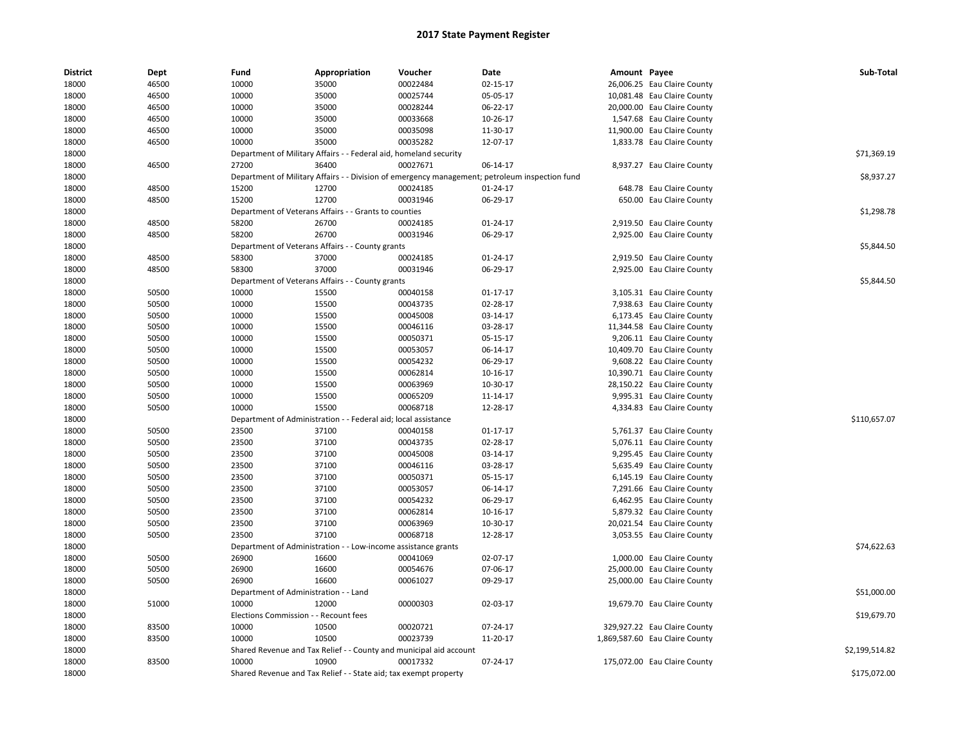| 18000<br>46500<br>10000<br>35000<br>00022484<br>02-15-17<br>26,006.25 Eau Claire County<br>18000<br>46500<br>10000<br>35000<br>00025744<br>05-05-17<br>10,081.48 Eau Claire County<br>18000<br>46500<br>10000<br>35000<br>00028244<br>06-22-17<br>20,000.00 Eau Claire County<br>10000<br>00033668<br>18000<br>46500<br>35000<br>10-26-17<br>1,547.68 Eau Claire County<br>10000<br>18000<br>46500<br>35000<br>00035098<br>11-30-17<br>11,900.00 Eau Claire County<br>35000<br>00035282<br>18000<br>46500<br>10000<br>12-07-17<br>1,833.78 Eau Claire County<br>\$71,369.19<br>18000<br>Department of Military Affairs - - Federal aid, homeland security<br>8,937.27 Eau Claire County<br>18000<br>46500<br>27200<br>36400<br>00027671<br>06-14-17<br>Department of Military Affairs - - Division of emergency management; petroleum inspection fund<br>\$8,937.27<br>18000<br>18000<br>48500<br>12700<br>00024185<br>15200<br>01-24-17<br>648.78 Eau Claire County<br>15200<br>12700<br>06-29-17<br>18000<br>48500<br>00031946<br>650.00 Eau Claire County<br>18000<br>Department of Veterans Affairs - - Grants to counties<br>\$1,298.78<br>18000<br>48500<br>58200<br>26700<br>00024185<br>01-24-17<br>2,919.50 Eau Claire County<br>48500<br>58200<br>26700<br>00031946<br>06-29-17<br>18000<br>2,925.00 Eau Claire County<br>18000<br>Department of Veterans Affairs - - County grants<br>\$5,844.50<br>37000<br>18000<br>48500<br>58300<br>00024185<br>$01 - 24 - 17$<br>2,919.50 Eau Claire County<br>18000<br>48500<br>58300<br>37000<br>00031946<br>06-29-17<br>2,925.00 Eau Claire County<br>18000<br>Department of Veterans Affairs - - County grants<br>\$5,844.50<br>18000<br>50500<br>10000<br>15500<br>00040158<br>$01 - 17 - 17$<br>3,105.31 Eau Claire County<br>10000<br>18000<br>50500<br>15500<br>00043735<br>02-28-17<br>7,938.63 Eau Claire County<br>18000<br>50500<br>10000<br>15500<br>00045008<br>03-14-17<br>6,173.45 Eau Claire County<br>18000<br>50500<br>10000<br>15500<br>00046116<br>03-28-17<br>11,344.58 Eau Claire County<br>18000<br>50500<br>10000<br>15500<br>00050371<br>05-15-17<br>9,206.11 Eau Claire County<br>18000<br>50500<br>10000<br>15500<br>00053057<br>06-14-17<br>10,409.70 Eau Claire County<br>18000<br>50500<br>10000<br>15500<br>00054232<br>06-29-17<br>9,608.22 Eau Claire County<br>00062814<br>18000<br>50500<br>10000<br>15500<br>10-16-17<br>10,390.71 Eau Claire County<br>18000<br>50500<br>10000<br>15500<br>00063969<br>10-30-17<br>28,150.22 Eau Claire County<br>10000<br>15500<br>00065209<br>18000<br>50500<br>11-14-17<br>9,995.31 Eau Claire County<br>15500<br>00068718<br>18000<br>50500<br>10000<br>12-28-17<br>4,334.83 Eau Claire County<br>18000<br>Department of Administration - - Federal aid; local assistance<br>\$110,657.07<br>18000<br>50500<br>23500<br>37100<br>00040158<br>$01 - 17 - 17$<br>5,761.37 Eau Claire County<br>18000<br>50500<br>23500<br>37100<br>00043735<br>02-28-17<br>5,076.11 Eau Claire County<br>23500<br>37100<br>00045008<br>18000<br>50500<br>03-14-17<br>9,295.45 Eau Claire County<br>18000<br>50500<br>23500<br>37100<br>00046116<br>03-28-17<br>5,635.49 Eau Claire County<br>18000<br>50500<br>23500<br>37100<br>00050371<br>05-15-17<br>6,145.19 Eau Claire County<br>18000<br>50500<br>23500<br>37100<br>00053057<br>06-14-17<br>7,291.66 Eau Claire County<br>00054232<br>18000<br>50500<br>23500<br>37100<br>06-29-17<br>6,462.95 Eau Claire County<br>18000<br>50500<br>23500<br>37100<br>00062814<br>10-16-17<br>5,879.32 Eau Claire County<br>23500<br>00063969<br>18000<br>50500<br>37100<br>10-30-17<br>20,021.54 Eau Claire County<br>37100<br>18000<br>50500<br>23500<br>00068718<br>12-28-17<br>3,053.55 Eau Claire County<br>\$74,622.63<br>18000<br>Department of Administration - - Low-income assistance grants<br>16600<br>18000<br>50500<br>26900<br>00041069<br>02-07-17<br>1,000.00 Eau Claire County<br>18000<br>50500<br>26900<br>16600<br>00054676<br>07-06-17<br>25,000.00 Eau Claire County<br>26900<br>16600<br>00061027<br>18000<br>50500<br>09-29-17<br>25,000.00 Eau Claire County<br>18000<br>Department of Administration - - Land<br>\$51,000.00<br>18000<br>51000<br>10000<br>12000<br>00000303<br>02-03-17<br>19,679.70 Eau Claire County<br>\$19,679.70<br>18000<br>Elections Commission - - Recount fees<br>18000<br>83500<br>10000<br>10500<br>00020721<br>07-24-17<br>329,927.22 Eau Claire County<br>18000<br>83500<br>10000<br>10500<br>00023739<br>11-20-17<br>1,869,587.60 Eau Claire County<br>18000<br>\$2,199,514.82<br>Shared Revenue and Tax Relief - - County and municipal aid account<br>18000<br>83500<br>10000<br>10900<br>00017332<br>07-24-17<br>175,072.00 Eau Claire County<br>18000<br>\$175,072.00<br>Shared Revenue and Tax Relief - - State aid; tax exempt property | <b>District</b> | Dept | Fund | Appropriation | Voucher | Date | Amount Payee | Sub-Total |
|----------------------------------------------------------------------------------------------------------------------------------------------------------------------------------------------------------------------------------------------------------------------------------------------------------------------------------------------------------------------------------------------------------------------------------------------------------------------------------------------------------------------------------------------------------------------------------------------------------------------------------------------------------------------------------------------------------------------------------------------------------------------------------------------------------------------------------------------------------------------------------------------------------------------------------------------------------------------------------------------------------------------------------------------------------------------------------------------------------------------------------------------------------------------------------------------------------------------------------------------------------------------------------------------------------------------------------------------------------------------------------------------------------------------------------------------------------------------------------------------------------------------------------------------------------------------------------------------------------------------------------------------------------------------------------------------------------------------------------------------------------------------------------------------------------------------------------------------------------------------------------------------------------------------------------------------------------------------------------------------------------------------------------------------------------------------------------------------------------------------------------------------------------------------------------------------------------------------------------------------------------------------------------------------------------------------------------------------------------------------------------------------------------------------------------------------------------------------------------------------------------------------------------------------------------------------------------------------------------------------------------------------------------------------------------------------------------------------------------------------------------------------------------------------------------------------------------------------------------------------------------------------------------------------------------------------------------------------------------------------------------------------------------------------------------------------------------------------------------------------------------------------------------------------------------------------------------------------------------------------------------------------------------------------------------------------------------------------------------------------------------------------------------------------------------------------------------------------------------------------------------------------------------------------------------------------------------------------------------------------------------------------------------------------------------------------------------------------------------------------------------------------------------------------------------------------------------------------------------------------------------------------------------------------------------------------------------------------------------------------------------------------------------------------------------------------------------------------------------------------------------------------------------------------------------------------------------------------------------------------------------------------------------------------------------------------------------------------------------------------------------------------------------------------------------------------------------------------------------------------------------------------------------------------------------------------------------------------------------------------------------------------------------------------------------------------------------------------------------------------------------------------------------------------------------------------------------------------------------|-----------------|------|------|---------------|---------|------|--------------|-----------|
|                                                                                                                                                                                                                                                                                                                                                                                                                                                                                                                                                                                                                                                                                                                                                                                                                                                                                                                                                                                                                                                                                                                                                                                                                                                                                                                                                                                                                                                                                                                                                                                                                                                                                                                                                                                                                                                                                                                                                                                                                                                                                                                                                                                                                                                                                                                                                                                                                                                                                                                                                                                                                                                                                                                                                                                                                                                                                                                                                                                                                                                                                                                                                                                                                                                                                                                                                                                                                                                                                                                                                                                                                                                                                                                                                                                                                                                                                                                                                                                                                                                                                                                                                                                                                                                                                                                                                                                                                                                                                                                                                                                                                                                                                                                                                                                                                                                          |                 |      |      |               |         |      |              |           |
|                                                                                                                                                                                                                                                                                                                                                                                                                                                                                                                                                                                                                                                                                                                                                                                                                                                                                                                                                                                                                                                                                                                                                                                                                                                                                                                                                                                                                                                                                                                                                                                                                                                                                                                                                                                                                                                                                                                                                                                                                                                                                                                                                                                                                                                                                                                                                                                                                                                                                                                                                                                                                                                                                                                                                                                                                                                                                                                                                                                                                                                                                                                                                                                                                                                                                                                                                                                                                                                                                                                                                                                                                                                                                                                                                                                                                                                                                                                                                                                                                                                                                                                                                                                                                                                                                                                                                                                                                                                                                                                                                                                                                                                                                                                                                                                                                                                          |                 |      |      |               |         |      |              |           |
|                                                                                                                                                                                                                                                                                                                                                                                                                                                                                                                                                                                                                                                                                                                                                                                                                                                                                                                                                                                                                                                                                                                                                                                                                                                                                                                                                                                                                                                                                                                                                                                                                                                                                                                                                                                                                                                                                                                                                                                                                                                                                                                                                                                                                                                                                                                                                                                                                                                                                                                                                                                                                                                                                                                                                                                                                                                                                                                                                                                                                                                                                                                                                                                                                                                                                                                                                                                                                                                                                                                                                                                                                                                                                                                                                                                                                                                                                                                                                                                                                                                                                                                                                                                                                                                                                                                                                                                                                                                                                                                                                                                                                                                                                                                                                                                                                                                          |                 |      |      |               |         |      |              |           |
|                                                                                                                                                                                                                                                                                                                                                                                                                                                                                                                                                                                                                                                                                                                                                                                                                                                                                                                                                                                                                                                                                                                                                                                                                                                                                                                                                                                                                                                                                                                                                                                                                                                                                                                                                                                                                                                                                                                                                                                                                                                                                                                                                                                                                                                                                                                                                                                                                                                                                                                                                                                                                                                                                                                                                                                                                                                                                                                                                                                                                                                                                                                                                                                                                                                                                                                                                                                                                                                                                                                                                                                                                                                                                                                                                                                                                                                                                                                                                                                                                                                                                                                                                                                                                                                                                                                                                                                                                                                                                                                                                                                                                                                                                                                                                                                                                                                          |                 |      |      |               |         |      |              |           |
|                                                                                                                                                                                                                                                                                                                                                                                                                                                                                                                                                                                                                                                                                                                                                                                                                                                                                                                                                                                                                                                                                                                                                                                                                                                                                                                                                                                                                                                                                                                                                                                                                                                                                                                                                                                                                                                                                                                                                                                                                                                                                                                                                                                                                                                                                                                                                                                                                                                                                                                                                                                                                                                                                                                                                                                                                                                                                                                                                                                                                                                                                                                                                                                                                                                                                                                                                                                                                                                                                                                                                                                                                                                                                                                                                                                                                                                                                                                                                                                                                                                                                                                                                                                                                                                                                                                                                                                                                                                                                                                                                                                                                                                                                                                                                                                                                                                          |                 |      |      |               |         |      |              |           |
|                                                                                                                                                                                                                                                                                                                                                                                                                                                                                                                                                                                                                                                                                                                                                                                                                                                                                                                                                                                                                                                                                                                                                                                                                                                                                                                                                                                                                                                                                                                                                                                                                                                                                                                                                                                                                                                                                                                                                                                                                                                                                                                                                                                                                                                                                                                                                                                                                                                                                                                                                                                                                                                                                                                                                                                                                                                                                                                                                                                                                                                                                                                                                                                                                                                                                                                                                                                                                                                                                                                                                                                                                                                                                                                                                                                                                                                                                                                                                                                                                                                                                                                                                                                                                                                                                                                                                                                                                                                                                                                                                                                                                                                                                                                                                                                                                                                          |                 |      |      |               |         |      |              |           |
|                                                                                                                                                                                                                                                                                                                                                                                                                                                                                                                                                                                                                                                                                                                                                                                                                                                                                                                                                                                                                                                                                                                                                                                                                                                                                                                                                                                                                                                                                                                                                                                                                                                                                                                                                                                                                                                                                                                                                                                                                                                                                                                                                                                                                                                                                                                                                                                                                                                                                                                                                                                                                                                                                                                                                                                                                                                                                                                                                                                                                                                                                                                                                                                                                                                                                                                                                                                                                                                                                                                                                                                                                                                                                                                                                                                                                                                                                                                                                                                                                                                                                                                                                                                                                                                                                                                                                                                                                                                                                                                                                                                                                                                                                                                                                                                                                                                          |                 |      |      |               |         |      |              |           |
|                                                                                                                                                                                                                                                                                                                                                                                                                                                                                                                                                                                                                                                                                                                                                                                                                                                                                                                                                                                                                                                                                                                                                                                                                                                                                                                                                                                                                                                                                                                                                                                                                                                                                                                                                                                                                                                                                                                                                                                                                                                                                                                                                                                                                                                                                                                                                                                                                                                                                                                                                                                                                                                                                                                                                                                                                                                                                                                                                                                                                                                                                                                                                                                                                                                                                                                                                                                                                                                                                                                                                                                                                                                                                                                                                                                                                                                                                                                                                                                                                                                                                                                                                                                                                                                                                                                                                                                                                                                                                                                                                                                                                                                                                                                                                                                                                                                          |                 |      |      |               |         |      |              |           |
|                                                                                                                                                                                                                                                                                                                                                                                                                                                                                                                                                                                                                                                                                                                                                                                                                                                                                                                                                                                                                                                                                                                                                                                                                                                                                                                                                                                                                                                                                                                                                                                                                                                                                                                                                                                                                                                                                                                                                                                                                                                                                                                                                                                                                                                                                                                                                                                                                                                                                                                                                                                                                                                                                                                                                                                                                                                                                                                                                                                                                                                                                                                                                                                                                                                                                                                                                                                                                                                                                                                                                                                                                                                                                                                                                                                                                                                                                                                                                                                                                                                                                                                                                                                                                                                                                                                                                                                                                                                                                                                                                                                                                                                                                                                                                                                                                                                          |                 |      |      |               |         |      |              |           |
|                                                                                                                                                                                                                                                                                                                                                                                                                                                                                                                                                                                                                                                                                                                                                                                                                                                                                                                                                                                                                                                                                                                                                                                                                                                                                                                                                                                                                                                                                                                                                                                                                                                                                                                                                                                                                                                                                                                                                                                                                                                                                                                                                                                                                                                                                                                                                                                                                                                                                                                                                                                                                                                                                                                                                                                                                                                                                                                                                                                                                                                                                                                                                                                                                                                                                                                                                                                                                                                                                                                                                                                                                                                                                                                                                                                                                                                                                                                                                                                                                                                                                                                                                                                                                                                                                                                                                                                                                                                                                                                                                                                                                                                                                                                                                                                                                                                          |                 |      |      |               |         |      |              |           |
|                                                                                                                                                                                                                                                                                                                                                                                                                                                                                                                                                                                                                                                                                                                                                                                                                                                                                                                                                                                                                                                                                                                                                                                                                                                                                                                                                                                                                                                                                                                                                                                                                                                                                                                                                                                                                                                                                                                                                                                                                                                                                                                                                                                                                                                                                                                                                                                                                                                                                                                                                                                                                                                                                                                                                                                                                                                                                                                                                                                                                                                                                                                                                                                                                                                                                                                                                                                                                                                                                                                                                                                                                                                                                                                                                                                                                                                                                                                                                                                                                                                                                                                                                                                                                                                                                                                                                                                                                                                                                                                                                                                                                                                                                                                                                                                                                                                          |                 |      |      |               |         |      |              |           |
|                                                                                                                                                                                                                                                                                                                                                                                                                                                                                                                                                                                                                                                                                                                                                                                                                                                                                                                                                                                                                                                                                                                                                                                                                                                                                                                                                                                                                                                                                                                                                                                                                                                                                                                                                                                                                                                                                                                                                                                                                                                                                                                                                                                                                                                                                                                                                                                                                                                                                                                                                                                                                                                                                                                                                                                                                                                                                                                                                                                                                                                                                                                                                                                                                                                                                                                                                                                                                                                                                                                                                                                                                                                                                                                                                                                                                                                                                                                                                                                                                                                                                                                                                                                                                                                                                                                                                                                                                                                                                                                                                                                                                                                                                                                                                                                                                                                          |                 |      |      |               |         |      |              |           |
|                                                                                                                                                                                                                                                                                                                                                                                                                                                                                                                                                                                                                                                                                                                                                                                                                                                                                                                                                                                                                                                                                                                                                                                                                                                                                                                                                                                                                                                                                                                                                                                                                                                                                                                                                                                                                                                                                                                                                                                                                                                                                                                                                                                                                                                                                                                                                                                                                                                                                                                                                                                                                                                                                                                                                                                                                                                                                                                                                                                                                                                                                                                                                                                                                                                                                                                                                                                                                                                                                                                                                                                                                                                                                                                                                                                                                                                                                                                                                                                                                                                                                                                                                                                                                                                                                                                                                                                                                                                                                                                                                                                                                                                                                                                                                                                                                                                          |                 |      |      |               |         |      |              |           |
|                                                                                                                                                                                                                                                                                                                                                                                                                                                                                                                                                                                                                                                                                                                                                                                                                                                                                                                                                                                                                                                                                                                                                                                                                                                                                                                                                                                                                                                                                                                                                                                                                                                                                                                                                                                                                                                                                                                                                                                                                                                                                                                                                                                                                                                                                                                                                                                                                                                                                                                                                                                                                                                                                                                                                                                                                                                                                                                                                                                                                                                                                                                                                                                                                                                                                                                                                                                                                                                                                                                                                                                                                                                                                                                                                                                                                                                                                                                                                                                                                                                                                                                                                                                                                                                                                                                                                                                                                                                                                                                                                                                                                                                                                                                                                                                                                                                          |                 |      |      |               |         |      |              |           |
|                                                                                                                                                                                                                                                                                                                                                                                                                                                                                                                                                                                                                                                                                                                                                                                                                                                                                                                                                                                                                                                                                                                                                                                                                                                                                                                                                                                                                                                                                                                                                                                                                                                                                                                                                                                                                                                                                                                                                                                                                                                                                                                                                                                                                                                                                                                                                                                                                                                                                                                                                                                                                                                                                                                                                                                                                                                                                                                                                                                                                                                                                                                                                                                                                                                                                                                                                                                                                                                                                                                                                                                                                                                                                                                                                                                                                                                                                                                                                                                                                                                                                                                                                                                                                                                                                                                                                                                                                                                                                                                                                                                                                                                                                                                                                                                                                                                          |                 |      |      |               |         |      |              |           |
|                                                                                                                                                                                                                                                                                                                                                                                                                                                                                                                                                                                                                                                                                                                                                                                                                                                                                                                                                                                                                                                                                                                                                                                                                                                                                                                                                                                                                                                                                                                                                                                                                                                                                                                                                                                                                                                                                                                                                                                                                                                                                                                                                                                                                                                                                                                                                                                                                                                                                                                                                                                                                                                                                                                                                                                                                                                                                                                                                                                                                                                                                                                                                                                                                                                                                                                                                                                                                                                                                                                                                                                                                                                                                                                                                                                                                                                                                                                                                                                                                                                                                                                                                                                                                                                                                                                                                                                                                                                                                                                                                                                                                                                                                                                                                                                                                                                          |                 |      |      |               |         |      |              |           |
|                                                                                                                                                                                                                                                                                                                                                                                                                                                                                                                                                                                                                                                                                                                                                                                                                                                                                                                                                                                                                                                                                                                                                                                                                                                                                                                                                                                                                                                                                                                                                                                                                                                                                                                                                                                                                                                                                                                                                                                                                                                                                                                                                                                                                                                                                                                                                                                                                                                                                                                                                                                                                                                                                                                                                                                                                                                                                                                                                                                                                                                                                                                                                                                                                                                                                                                                                                                                                                                                                                                                                                                                                                                                                                                                                                                                                                                                                                                                                                                                                                                                                                                                                                                                                                                                                                                                                                                                                                                                                                                                                                                                                                                                                                                                                                                                                                                          |                 |      |      |               |         |      |              |           |
|                                                                                                                                                                                                                                                                                                                                                                                                                                                                                                                                                                                                                                                                                                                                                                                                                                                                                                                                                                                                                                                                                                                                                                                                                                                                                                                                                                                                                                                                                                                                                                                                                                                                                                                                                                                                                                                                                                                                                                                                                                                                                                                                                                                                                                                                                                                                                                                                                                                                                                                                                                                                                                                                                                                                                                                                                                                                                                                                                                                                                                                                                                                                                                                                                                                                                                                                                                                                                                                                                                                                                                                                                                                                                                                                                                                                                                                                                                                                                                                                                                                                                                                                                                                                                                                                                                                                                                                                                                                                                                                                                                                                                                                                                                                                                                                                                                                          |                 |      |      |               |         |      |              |           |
|                                                                                                                                                                                                                                                                                                                                                                                                                                                                                                                                                                                                                                                                                                                                                                                                                                                                                                                                                                                                                                                                                                                                                                                                                                                                                                                                                                                                                                                                                                                                                                                                                                                                                                                                                                                                                                                                                                                                                                                                                                                                                                                                                                                                                                                                                                                                                                                                                                                                                                                                                                                                                                                                                                                                                                                                                                                                                                                                                                                                                                                                                                                                                                                                                                                                                                                                                                                                                                                                                                                                                                                                                                                                                                                                                                                                                                                                                                                                                                                                                                                                                                                                                                                                                                                                                                                                                                                                                                                                                                                                                                                                                                                                                                                                                                                                                                                          |                 |      |      |               |         |      |              |           |
|                                                                                                                                                                                                                                                                                                                                                                                                                                                                                                                                                                                                                                                                                                                                                                                                                                                                                                                                                                                                                                                                                                                                                                                                                                                                                                                                                                                                                                                                                                                                                                                                                                                                                                                                                                                                                                                                                                                                                                                                                                                                                                                                                                                                                                                                                                                                                                                                                                                                                                                                                                                                                                                                                                                                                                                                                                                                                                                                                                                                                                                                                                                                                                                                                                                                                                                                                                                                                                                                                                                                                                                                                                                                                                                                                                                                                                                                                                                                                                                                                                                                                                                                                                                                                                                                                                                                                                                                                                                                                                                                                                                                                                                                                                                                                                                                                                                          |                 |      |      |               |         |      |              |           |
|                                                                                                                                                                                                                                                                                                                                                                                                                                                                                                                                                                                                                                                                                                                                                                                                                                                                                                                                                                                                                                                                                                                                                                                                                                                                                                                                                                                                                                                                                                                                                                                                                                                                                                                                                                                                                                                                                                                                                                                                                                                                                                                                                                                                                                                                                                                                                                                                                                                                                                                                                                                                                                                                                                                                                                                                                                                                                                                                                                                                                                                                                                                                                                                                                                                                                                                                                                                                                                                                                                                                                                                                                                                                                                                                                                                                                                                                                                                                                                                                                                                                                                                                                                                                                                                                                                                                                                                                                                                                                                                                                                                                                                                                                                                                                                                                                                                          |                 |      |      |               |         |      |              |           |
|                                                                                                                                                                                                                                                                                                                                                                                                                                                                                                                                                                                                                                                                                                                                                                                                                                                                                                                                                                                                                                                                                                                                                                                                                                                                                                                                                                                                                                                                                                                                                                                                                                                                                                                                                                                                                                                                                                                                                                                                                                                                                                                                                                                                                                                                                                                                                                                                                                                                                                                                                                                                                                                                                                                                                                                                                                                                                                                                                                                                                                                                                                                                                                                                                                                                                                                                                                                                                                                                                                                                                                                                                                                                                                                                                                                                                                                                                                                                                                                                                                                                                                                                                                                                                                                                                                                                                                                                                                                                                                                                                                                                                                                                                                                                                                                                                                                          |                 |      |      |               |         |      |              |           |
|                                                                                                                                                                                                                                                                                                                                                                                                                                                                                                                                                                                                                                                                                                                                                                                                                                                                                                                                                                                                                                                                                                                                                                                                                                                                                                                                                                                                                                                                                                                                                                                                                                                                                                                                                                                                                                                                                                                                                                                                                                                                                                                                                                                                                                                                                                                                                                                                                                                                                                                                                                                                                                                                                                                                                                                                                                                                                                                                                                                                                                                                                                                                                                                                                                                                                                                                                                                                                                                                                                                                                                                                                                                                                                                                                                                                                                                                                                                                                                                                                                                                                                                                                                                                                                                                                                                                                                                                                                                                                                                                                                                                                                                                                                                                                                                                                                                          |                 |      |      |               |         |      |              |           |
|                                                                                                                                                                                                                                                                                                                                                                                                                                                                                                                                                                                                                                                                                                                                                                                                                                                                                                                                                                                                                                                                                                                                                                                                                                                                                                                                                                                                                                                                                                                                                                                                                                                                                                                                                                                                                                                                                                                                                                                                                                                                                                                                                                                                                                                                                                                                                                                                                                                                                                                                                                                                                                                                                                                                                                                                                                                                                                                                                                                                                                                                                                                                                                                                                                                                                                                                                                                                                                                                                                                                                                                                                                                                                                                                                                                                                                                                                                                                                                                                                                                                                                                                                                                                                                                                                                                                                                                                                                                                                                                                                                                                                                                                                                                                                                                                                                                          |                 |      |      |               |         |      |              |           |
|                                                                                                                                                                                                                                                                                                                                                                                                                                                                                                                                                                                                                                                                                                                                                                                                                                                                                                                                                                                                                                                                                                                                                                                                                                                                                                                                                                                                                                                                                                                                                                                                                                                                                                                                                                                                                                                                                                                                                                                                                                                                                                                                                                                                                                                                                                                                                                                                                                                                                                                                                                                                                                                                                                                                                                                                                                                                                                                                                                                                                                                                                                                                                                                                                                                                                                                                                                                                                                                                                                                                                                                                                                                                                                                                                                                                                                                                                                                                                                                                                                                                                                                                                                                                                                                                                                                                                                                                                                                                                                                                                                                                                                                                                                                                                                                                                                                          |                 |      |      |               |         |      |              |           |
|                                                                                                                                                                                                                                                                                                                                                                                                                                                                                                                                                                                                                                                                                                                                                                                                                                                                                                                                                                                                                                                                                                                                                                                                                                                                                                                                                                                                                                                                                                                                                                                                                                                                                                                                                                                                                                                                                                                                                                                                                                                                                                                                                                                                                                                                                                                                                                                                                                                                                                                                                                                                                                                                                                                                                                                                                                                                                                                                                                                                                                                                                                                                                                                                                                                                                                                                                                                                                                                                                                                                                                                                                                                                                                                                                                                                                                                                                                                                                                                                                                                                                                                                                                                                                                                                                                                                                                                                                                                                                                                                                                                                                                                                                                                                                                                                                                                          |                 |      |      |               |         |      |              |           |
|                                                                                                                                                                                                                                                                                                                                                                                                                                                                                                                                                                                                                                                                                                                                                                                                                                                                                                                                                                                                                                                                                                                                                                                                                                                                                                                                                                                                                                                                                                                                                                                                                                                                                                                                                                                                                                                                                                                                                                                                                                                                                                                                                                                                                                                                                                                                                                                                                                                                                                                                                                                                                                                                                                                                                                                                                                                                                                                                                                                                                                                                                                                                                                                                                                                                                                                                                                                                                                                                                                                                                                                                                                                                                                                                                                                                                                                                                                                                                                                                                                                                                                                                                                                                                                                                                                                                                                                                                                                                                                                                                                                                                                                                                                                                                                                                                                                          |                 |      |      |               |         |      |              |           |
|                                                                                                                                                                                                                                                                                                                                                                                                                                                                                                                                                                                                                                                                                                                                                                                                                                                                                                                                                                                                                                                                                                                                                                                                                                                                                                                                                                                                                                                                                                                                                                                                                                                                                                                                                                                                                                                                                                                                                                                                                                                                                                                                                                                                                                                                                                                                                                                                                                                                                                                                                                                                                                                                                                                                                                                                                                                                                                                                                                                                                                                                                                                                                                                                                                                                                                                                                                                                                                                                                                                                                                                                                                                                                                                                                                                                                                                                                                                                                                                                                                                                                                                                                                                                                                                                                                                                                                                                                                                                                                                                                                                                                                                                                                                                                                                                                                                          |                 |      |      |               |         |      |              |           |
|                                                                                                                                                                                                                                                                                                                                                                                                                                                                                                                                                                                                                                                                                                                                                                                                                                                                                                                                                                                                                                                                                                                                                                                                                                                                                                                                                                                                                                                                                                                                                                                                                                                                                                                                                                                                                                                                                                                                                                                                                                                                                                                                                                                                                                                                                                                                                                                                                                                                                                                                                                                                                                                                                                                                                                                                                                                                                                                                                                                                                                                                                                                                                                                                                                                                                                                                                                                                                                                                                                                                                                                                                                                                                                                                                                                                                                                                                                                                                                                                                                                                                                                                                                                                                                                                                                                                                                                                                                                                                                                                                                                                                                                                                                                                                                                                                                                          |                 |      |      |               |         |      |              |           |
|                                                                                                                                                                                                                                                                                                                                                                                                                                                                                                                                                                                                                                                                                                                                                                                                                                                                                                                                                                                                                                                                                                                                                                                                                                                                                                                                                                                                                                                                                                                                                                                                                                                                                                                                                                                                                                                                                                                                                                                                                                                                                                                                                                                                                                                                                                                                                                                                                                                                                                                                                                                                                                                                                                                                                                                                                                                                                                                                                                                                                                                                                                                                                                                                                                                                                                                                                                                                                                                                                                                                                                                                                                                                                                                                                                                                                                                                                                                                                                                                                                                                                                                                                                                                                                                                                                                                                                                                                                                                                                                                                                                                                                                                                                                                                                                                                                                          |                 |      |      |               |         |      |              |           |
|                                                                                                                                                                                                                                                                                                                                                                                                                                                                                                                                                                                                                                                                                                                                                                                                                                                                                                                                                                                                                                                                                                                                                                                                                                                                                                                                                                                                                                                                                                                                                                                                                                                                                                                                                                                                                                                                                                                                                                                                                                                                                                                                                                                                                                                                                                                                                                                                                                                                                                                                                                                                                                                                                                                                                                                                                                                                                                                                                                                                                                                                                                                                                                                                                                                                                                                                                                                                                                                                                                                                                                                                                                                                                                                                                                                                                                                                                                                                                                                                                                                                                                                                                                                                                                                                                                                                                                                                                                                                                                                                                                                                                                                                                                                                                                                                                                                          |                 |      |      |               |         |      |              |           |
|                                                                                                                                                                                                                                                                                                                                                                                                                                                                                                                                                                                                                                                                                                                                                                                                                                                                                                                                                                                                                                                                                                                                                                                                                                                                                                                                                                                                                                                                                                                                                                                                                                                                                                                                                                                                                                                                                                                                                                                                                                                                                                                                                                                                                                                                                                                                                                                                                                                                                                                                                                                                                                                                                                                                                                                                                                                                                                                                                                                                                                                                                                                                                                                                                                                                                                                                                                                                                                                                                                                                                                                                                                                                                                                                                                                                                                                                                                                                                                                                                                                                                                                                                                                                                                                                                                                                                                                                                                                                                                                                                                                                                                                                                                                                                                                                                                                          |                 |      |      |               |         |      |              |           |
|                                                                                                                                                                                                                                                                                                                                                                                                                                                                                                                                                                                                                                                                                                                                                                                                                                                                                                                                                                                                                                                                                                                                                                                                                                                                                                                                                                                                                                                                                                                                                                                                                                                                                                                                                                                                                                                                                                                                                                                                                                                                                                                                                                                                                                                                                                                                                                                                                                                                                                                                                                                                                                                                                                                                                                                                                                                                                                                                                                                                                                                                                                                                                                                                                                                                                                                                                                                                                                                                                                                                                                                                                                                                                                                                                                                                                                                                                                                                                                                                                                                                                                                                                                                                                                                                                                                                                                                                                                                                                                                                                                                                                                                                                                                                                                                                                                                          |                 |      |      |               |         |      |              |           |
|                                                                                                                                                                                                                                                                                                                                                                                                                                                                                                                                                                                                                                                                                                                                                                                                                                                                                                                                                                                                                                                                                                                                                                                                                                                                                                                                                                                                                                                                                                                                                                                                                                                                                                                                                                                                                                                                                                                                                                                                                                                                                                                                                                                                                                                                                                                                                                                                                                                                                                                                                                                                                                                                                                                                                                                                                                                                                                                                                                                                                                                                                                                                                                                                                                                                                                                                                                                                                                                                                                                                                                                                                                                                                                                                                                                                                                                                                                                                                                                                                                                                                                                                                                                                                                                                                                                                                                                                                                                                                                                                                                                                                                                                                                                                                                                                                                                          |                 |      |      |               |         |      |              |           |
|                                                                                                                                                                                                                                                                                                                                                                                                                                                                                                                                                                                                                                                                                                                                                                                                                                                                                                                                                                                                                                                                                                                                                                                                                                                                                                                                                                                                                                                                                                                                                                                                                                                                                                                                                                                                                                                                                                                                                                                                                                                                                                                                                                                                                                                                                                                                                                                                                                                                                                                                                                                                                                                                                                                                                                                                                                                                                                                                                                                                                                                                                                                                                                                                                                                                                                                                                                                                                                                                                                                                                                                                                                                                                                                                                                                                                                                                                                                                                                                                                                                                                                                                                                                                                                                                                                                                                                                                                                                                                                                                                                                                                                                                                                                                                                                                                                                          |                 |      |      |               |         |      |              |           |
|                                                                                                                                                                                                                                                                                                                                                                                                                                                                                                                                                                                                                                                                                                                                                                                                                                                                                                                                                                                                                                                                                                                                                                                                                                                                                                                                                                                                                                                                                                                                                                                                                                                                                                                                                                                                                                                                                                                                                                                                                                                                                                                                                                                                                                                                                                                                                                                                                                                                                                                                                                                                                                                                                                                                                                                                                                                                                                                                                                                                                                                                                                                                                                                                                                                                                                                                                                                                                                                                                                                                                                                                                                                                                                                                                                                                                                                                                                                                                                                                                                                                                                                                                                                                                                                                                                                                                                                                                                                                                                                                                                                                                                                                                                                                                                                                                                                          |                 |      |      |               |         |      |              |           |
|                                                                                                                                                                                                                                                                                                                                                                                                                                                                                                                                                                                                                                                                                                                                                                                                                                                                                                                                                                                                                                                                                                                                                                                                                                                                                                                                                                                                                                                                                                                                                                                                                                                                                                                                                                                                                                                                                                                                                                                                                                                                                                                                                                                                                                                                                                                                                                                                                                                                                                                                                                                                                                                                                                                                                                                                                                                                                                                                                                                                                                                                                                                                                                                                                                                                                                                                                                                                                                                                                                                                                                                                                                                                                                                                                                                                                                                                                                                                                                                                                                                                                                                                                                                                                                                                                                                                                                                                                                                                                                                                                                                                                                                                                                                                                                                                                                                          |                 |      |      |               |         |      |              |           |
|                                                                                                                                                                                                                                                                                                                                                                                                                                                                                                                                                                                                                                                                                                                                                                                                                                                                                                                                                                                                                                                                                                                                                                                                                                                                                                                                                                                                                                                                                                                                                                                                                                                                                                                                                                                                                                                                                                                                                                                                                                                                                                                                                                                                                                                                                                                                                                                                                                                                                                                                                                                                                                                                                                                                                                                                                                                                                                                                                                                                                                                                                                                                                                                                                                                                                                                                                                                                                                                                                                                                                                                                                                                                                                                                                                                                                                                                                                                                                                                                                                                                                                                                                                                                                                                                                                                                                                                                                                                                                                                                                                                                                                                                                                                                                                                                                                                          |                 |      |      |               |         |      |              |           |
|                                                                                                                                                                                                                                                                                                                                                                                                                                                                                                                                                                                                                                                                                                                                                                                                                                                                                                                                                                                                                                                                                                                                                                                                                                                                                                                                                                                                                                                                                                                                                                                                                                                                                                                                                                                                                                                                                                                                                                                                                                                                                                                                                                                                                                                                                                                                                                                                                                                                                                                                                                                                                                                                                                                                                                                                                                                                                                                                                                                                                                                                                                                                                                                                                                                                                                                                                                                                                                                                                                                                                                                                                                                                                                                                                                                                                                                                                                                                                                                                                                                                                                                                                                                                                                                                                                                                                                                                                                                                                                                                                                                                                                                                                                                                                                                                                                                          |                 |      |      |               |         |      |              |           |
|                                                                                                                                                                                                                                                                                                                                                                                                                                                                                                                                                                                                                                                                                                                                                                                                                                                                                                                                                                                                                                                                                                                                                                                                                                                                                                                                                                                                                                                                                                                                                                                                                                                                                                                                                                                                                                                                                                                                                                                                                                                                                                                                                                                                                                                                                                                                                                                                                                                                                                                                                                                                                                                                                                                                                                                                                                                                                                                                                                                                                                                                                                                                                                                                                                                                                                                                                                                                                                                                                                                                                                                                                                                                                                                                                                                                                                                                                                                                                                                                                                                                                                                                                                                                                                                                                                                                                                                                                                                                                                                                                                                                                                                                                                                                                                                                                                                          |                 |      |      |               |         |      |              |           |
|                                                                                                                                                                                                                                                                                                                                                                                                                                                                                                                                                                                                                                                                                                                                                                                                                                                                                                                                                                                                                                                                                                                                                                                                                                                                                                                                                                                                                                                                                                                                                                                                                                                                                                                                                                                                                                                                                                                                                                                                                                                                                                                                                                                                                                                                                                                                                                                                                                                                                                                                                                                                                                                                                                                                                                                                                                                                                                                                                                                                                                                                                                                                                                                                                                                                                                                                                                                                                                                                                                                                                                                                                                                                                                                                                                                                                                                                                                                                                                                                                                                                                                                                                                                                                                                                                                                                                                                                                                                                                                                                                                                                                                                                                                                                                                                                                                                          |                 |      |      |               |         |      |              |           |
|                                                                                                                                                                                                                                                                                                                                                                                                                                                                                                                                                                                                                                                                                                                                                                                                                                                                                                                                                                                                                                                                                                                                                                                                                                                                                                                                                                                                                                                                                                                                                                                                                                                                                                                                                                                                                                                                                                                                                                                                                                                                                                                                                                                                                                                                                                                                                                                                                                                                                                                                                                                                                                                                                                                                                                                                                                                                                                                                                                                                                                                                                                                                                                                                                                                                                                                                                                                                                                                                                                                                                                                                                                                                                                                                                                                                                                                                                                                                                                                                                                                                                                                                                                                                                                                                                                                                                                                                                                                                                                                                                                                                                                                                                                                                                                                                                                                          |                 |      |      |               |         |      |              |           |
|                                                                                                                                                                                                                                                                                                                                                                                                                                                                                                                                                                                                                                                                                                                                                                                                                                                                                                                                                                                                                                                                                                                                                                                                                                                                                                                                                                                                                                                                                                                                                                                                                                                                                                                                                                                                                                                                                                                                                                                                                                                                                                                                                                                                                                                                                                                                                                                                                                                                                                                                                                                                                                                                                                                                                                                                                                                                                                                                                                                                                                                                                                                                                                                                                                                                                                                                                                                                                                                                                                                                                                                                                                                                                                                                                                                                                                                                                                                                                                                                                                                                                                                                                                                                                                                                                                                                                                                                                                                                                                                                                                                                                                                                                                                                                                                                                                                          |                 |      |      |               |         |      |              |           |
|                                                                                                                                                                                                                                                                                                                                                                                                                                                                                                                                                                                                                                                                                                                                                                                                                                                                                                                                                                                                                                                                                                                                                                                                                                                                                                                                                                                                                                                                                                                                                                                                                                                                                                                                                                                                                                                                                                                                                                                                                                                                                                                                                                                                                                                                                                                                                                                                                                                                                                                                                                                                                                                                                                                                                                                                                                                                                                                                                                                                                                                                                                                                                                                                                                                                                                                                                                                                                                                                                                                                                                                                                                                                                                                                                                                                                                                                                                                                                                                                                                                                                                                                                                                                                                                                                                                                                                                                                                                                                                                                                                                                                                                                                                                                                                                                                                                          |                 |      |      |               |         |      |              |           |
|                                                                                                                                                                                                                                                                                                                                                                                                                                                                                                                                                                                                                                                                                                                                                                                                                                                                                                                                                                                                                                                                                                                                                                                                                                                                                                                                                                                                                                                                                                                                                                                                                                                                                                                                                                                                                                                                                                                                                                                                                                                                                                                                                                                                                                                                                                                                                                                                                                                                                                                                                                                                                                                                                                                                                                                                                                                                                                                                                                                                                                                                                                                                                                                                                                                                                                                                                                                                                                                                                                                                                                                                                                                                                                                                                                                                                                                                                                                                                                                                                                                                                                                                                                                                                                                                                                                                                                                                                                                                                                                                                                                                                                                                                                                                                                                                                                                          |                 |      |      |               |         |      |              |           |
|                                                                                                                                                                                                                                                                                                                                                                                                                                                                                                                                                                                                                                                                                                                                                                                                                                                                                                                                                                                                                                                                                                                                                                                                                                                                                                                                                                                                                                                                                                                                                                                                                                                                                                                                                                                                                                                                                                                                                                                                                                                                                                                                                                                                                                                                                                                                                                                                                                                                                                                                                                                                                                                                                                                                                                                                                                                                                                                                                                                                                                                                                                                                                                                                                                                                                                                                                                                                                                                                                                                                                                                                                                                                                                                                                                                                                                                                                                                                                                                                                                                                                                                                                                                                                                                                                                                                                                                                                                                                                                                                                                                                                                                                                                                                                                                                                                                          |                 |      |      |               |         |      |              |           |
|                                                                                                                                                                                                                                                                                                                                                                                                                                                                                                                                                                                                                                                                                                                                                                                                                                                                                                                                                                                                                                                                                                                                                                                                                                                                                                                                                                                                                                                                                                                                                                                                                                                                                                                                                                                                                                                                                                                                                                                                                                                                                                                                                                                                                                                                                                                                                                                                                                                                                                                                                                                                                                                                                                                                                                                                                                                                                                                                                                                                                                                                                                                                                                                                                                                                                                                                                                                                                                                                                                                                                                                                                                                                                                                                                                                                                                                                                                                                                                                                                                                                                                                                                                                                                                                                                                                                                                                                                                                                                                                                                                                                                                                                                                                                                                                                                                                          |                 |      |      |               |         |      |              |           |
|                                                                                                                                                                                                                                                                                                                                                                                                                                                                                                                                                                                                                                                                                                                                                                                                                                                                                                                                                                                                                                                                                                                                                                                                                                                                                                                                                                                                                                                                                                                                                                                                                                                                                                                                                                                                                                                                                                                                                                                                                                                                                                                                                                                                                                                                                                                                                                                                                                                                                                                                                                                                                                                                                                                                                                                                                                                                                                                                                                                                                                                                                                                                                                                                                                                                                                                                                                                                                                                                                                                                                                                                                                                                                                                                                                                                                                                                                                                                                                                                                                                                                                                                                                                                                                                                                                                                                                                                                                                                                                                                                                                                                                                                                                                                                                                                                                                          |                 |      |      |               |         |      |              |           |
|                                                                                                                                                                                                                                                                                                                                                                                                                                                                                                                                                                                                                                                                                                                                                                                                                                                                                                                                                                                                                                                                                                                                                                                                                                                                                                                                                                                                                                                                                                                                                                                                                                                                                                                                                                                                                                                                                                                                                                                                                                                                                                                                                                                                                                                                                                                                                                                                                                                                                                                                                                                                                                                                                                                                                                                                                                                                                                                                                                                                                                                                                                                                                                                                                                                                                                                                                                                                                                                                                                                                                                                                                                                                                                                                                                                                                                                                                                                                                                                                                                                                                                                                                                                                                                                                                                                                                                                                                                                                                                                                                                                                                                                                                                                                                                                                                                                          |                 |      |      |               |         |      |              |           |
|                                                                                                                                                                                                                                                                                                                                                                                                                                                                                                                                                                                                                                                                                                                                                                                                                                                                                                                                                                                                                                                                                                                                                                                                                                                                                                                                                                                                                                                                                                                                                                                                                                                                                                                                                                                                                                                                                                                                                                                                                                                                                                                                                                                                                                                                                                                                                                                                                                                                                                                                                                                                                                                                                                                                                                                                                                                                                                                                                                                                                                                                                                                                                                                                                                                                                                                                                                                                                                                                                                                                                                                                                                                                                                                                                                                                                                                                                                                                                                                                                                                                                                                                                                                                                                                                                                                                                                                                                                                                                                                                                                                                                                                                                                                                                                                                                                                          |                 |      |      |               |         |      |              |           |
|                                                                                                                                                                                                                                                                                                                                                                                                                                                                                                                                                                                                                                                                                                                                                                                                                                                                                                                                                                                                                                                                                                                                                                                                                                                                                                                                                                                                                                                                                                                                                                                                                                                                                                                                                                                                                                                                                                                                                                                                                                                                                                                                                                                                                                                                                                                                                                                                                                                                                                                                                                                                                                                                                                                                                                                                                                                                                                                                                                                                                                                                                                                                                                                                                                                                                                                                                                                                                                                                                                                                                                                                                                                                                                                                                                                                                                                                                                                                                                                                                                                                                                                                                                                                                                                                                                                                                                                                                                                                                                                                                                                                                                                                                                                                                                                                                                                          |                 |      |      |               |         |      |              |           |
|                                                                                                                                                                                                                                                                                                                                                                                                                                                                                                                                                                                                                                                                                                                                                                                                                                                                                                                                                                                                                                                                                                                                                                                                                                                                                                                                                                                                                                                                                                                                                                                                                                                                                                                                                                                                                                                                                                                                                                                                                                                                                                                                                                                                                                                                                                                                                                                                                                                                                                                                                                                                                                                                                                                                                                                                                                                                                                                                                                                                                                                                                                                                                                                                                                                                                                                                                                                                                                                                                                                                                                                                                                                                                                                                                                                                                                                                                                                                                                                                                                                                                                                                                                                                                                                                                                                                                                                                                                                                                                                                                                                                                                                                                                                                                                                                                                                          |                 |      |      |               |         |      |              |           |
|                                                                                                                                                                                                                                                                                                                                                                                                                                                                                                                                                                                                                                                                                                                                                                                                                                                                                                                                                                                                                                                                                                                                                                                                                                                                                                                                                                                                                                                                                                                                                                                                                                                                                                                                                                                                                                                                                                                                                                                                                                                                                                                                                                                                                                                                                                                                                                                                                                                                                                                                                                                                                                                                                                                                                                                                                                                                                                                                                                                                                                                                                                                                                                                                                                                                                                                                                                                                                                                                                                                                                                                                                                                                                                                                                                                                                                                                                                                                                                                                                                                                                                                                                                                                                                                                                                                                                                                                                                                                                                                                                                                                                                                                                                                                                                                                                                                          |                 |      |      |               |         |      |              |           |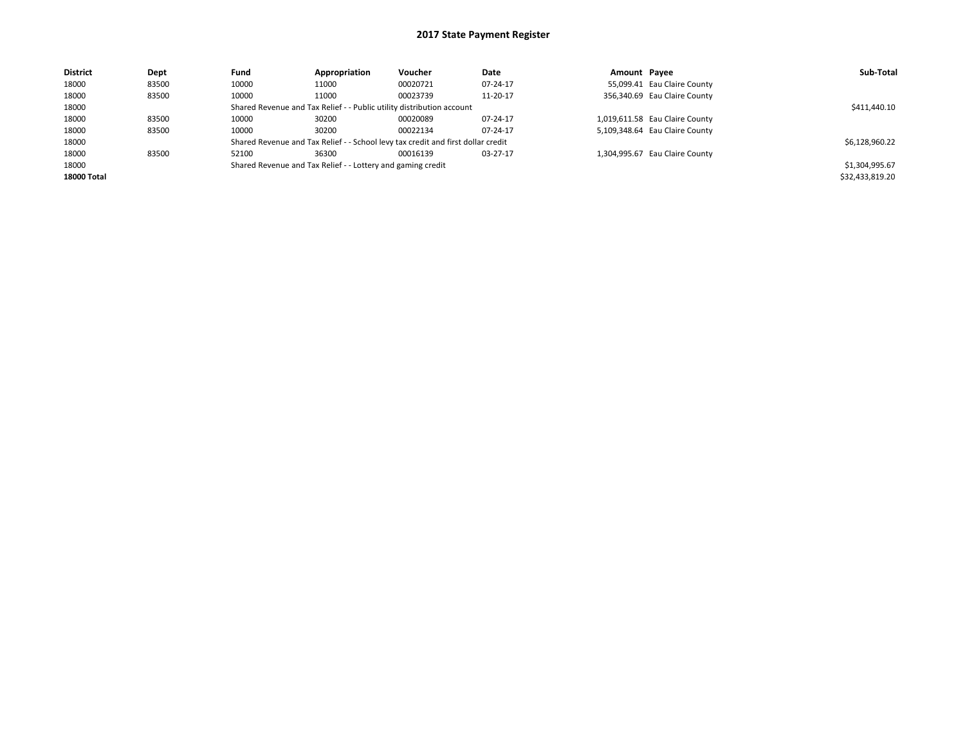| <b>District</b> | Dept  | Fund  | Appropriation                                                         | Voucher                                                                          | Date     | Amount Payee |                                | Sub-Total       |
|-----------------|-------|-------|-----------------------------------------------------------------------|----------------------------------------------------------------------------------|----------|--------------|--------------------------------|-----------------|
| 18000           | 83500 | 10000 | 11000                                                                 | 00020721                                                                         | 07-24-17 |              | 55,099.41 Eau Claire County    |                 |
| 18000           | 83500 | 10000 | 11000                                                                 | 00023739                                                                         | 11-20-17 |              | 356,340.69 Eau Claire County   |                 |
| 18000           |       |       | Shared Revenue and Tax Relief - - Public utility distribution account |                                                                                  |          |              |                                | \$411,440.10    |
| 18000           | 83500 | 10000 | 30200                                                                 | 00020089                                                                         | 07-24-17 |              | 1,019,611.58 Eau Claire County |                 |
| 18000           | 83500 | 10000 | 30200                                                                 | 00022134                                                                         | 07-24-17 |              | 5,109,348.64 Eau Claire County |                 |
| 18000           |       |       |                                                                       | Shared Revenue and Tax Relief - - School levy tax credit and first dollar credit |          |              |                                | \$6,128,960.22  |
| 18000           | 83500 | 52100 | 36300                                                                 | 00016139                                                                         | 03-27-17 |              | 1,304,995.67 Eau Claire County |                 |
| 18000           |       |       | Shared Revenue and Tax Relief - - Lottery and gaming credit           |                                                                                  |          |              |                                | \$1,304,995.67  |
| 18000 Total     |       |       |                                                                       |                                                                                  |          |              |                                | \$32,433,819.20 |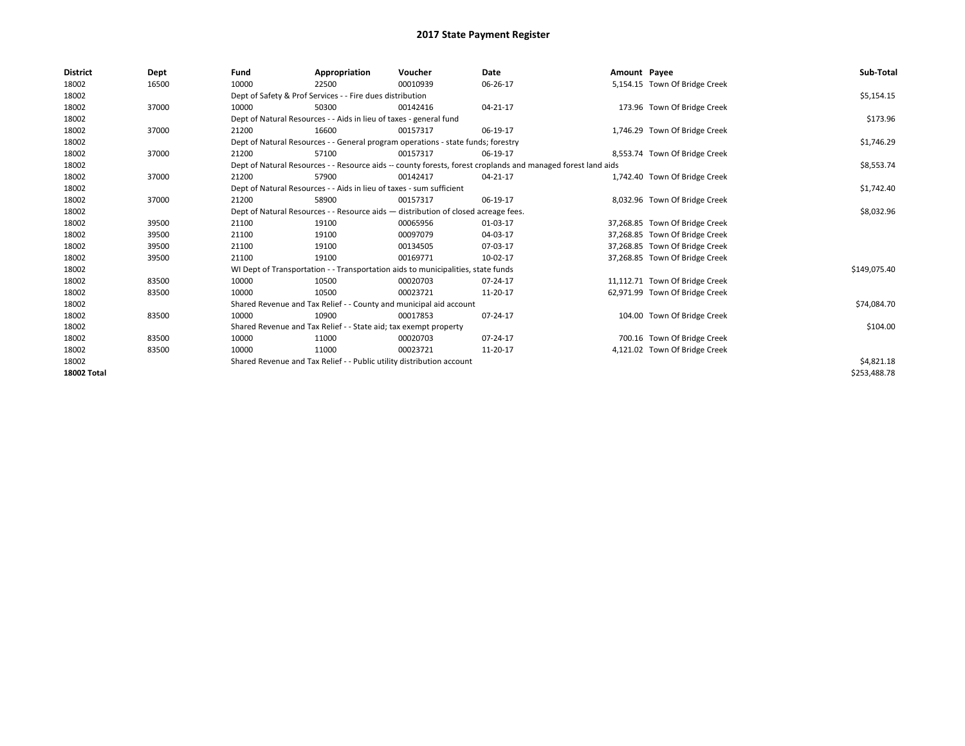| <b>District</b> | Dept  | Fund  | Appropriation                                                                      | Voucher  | Date                                                                                                         | Amount Payee |                                | Sub-Total    |
|-----------------|-------|-------|------------------------------------------------------------------------------------|----------|--------------------------------------------------------------------------------------------------------------|--------------|--------------------------------|--------------|
| 18002           | 16500 | 10000 | 22500                                                                              | 00010939 | 06-26-17                                                                                                     |              | 5,154.15 Town Of Bridge Creek  |              |
| 18002           |       |       | Dept of Safety & Prof Services - - Fire dues distribution                          |          |                                                                                                              |              |                                | \$5,154.15   |
| 18002           | 37000 | 10000 | 50300                                                                              | 00142416 | 04-21-17                                                                                                     |              | 173.96 Town Of Bridge Creek    |              |
| 18002           |       |       | Dept of Natural Resources - - Aids in lieu of taxes - general fund                 |          |                                                                                                              |              |                                | \$173.96     |
| 18002           | 37000 | 21200 | 16600                                                                              | 00157317 | 06-19-17                                                                                                     |              | 1,746.29 Town Of Bridge Creek  |              |
| 18002           |       |       | Dept of Natural Resources - - General program operations - state funds; forestry   |          |                                                                                                              |              |                                | \$1,746.29   |
| 18002           | 37000 | 21200 | 57100                                                                              | 00157317 | 06-19-17                                                                                                     |              | 8,553.74 Town Of Bridge Creek  |              |
| 18002           |       |       |                                                                                    |          | Dept of Natural Resources - - Resource aids -- county forests, forest croplands and managed forest land aids |              |                                | \$8,553.74   |
| 18002           | 37000 | 21200 | 57900                                                                              | 00142417 | 04-21-17                                                                                                     |              | 1,742.40 Town Of Bridge Creek  |              |
| 18002           |       |       | Dept of Natural Resources - - Aids in lieu of taxes - sum sufficient               |          |                                                                                                              |              |                                | \$1,742.40   |
| 18002           | 37000 | 21200 | 58900                                                                              | 00157317 | 06-19-17                                                                                                     |              | 8,032.96 Town Of Bridge Creek  |              |
| 18002           |       |       | Dept of Natural Resources - - Resource aids - distribution of closed acreage fees. |          |                                                                                                              |              |                                | \$8,032.96   |
| 18002           | 39500 | 21100 | 19100                                                                              | 00065956 | 01-03-17                                                                                                     |              | 37,268.85 Town Of Bridge Creek |              |
| 18002           | 39500 | 21100 | 19100                                                                              | 00097079 | 04-03-17                                                                                                     |              | 37,268.85 Town Of Bridge Creek |              |
| 18002           | 39500 | 21100 | 19100                                                                              | 00134505 | 07-03-17                                                                                                     |              | 37,268.85 Town Of Bridge Creek |              |
| 18002           | 39500 | 21100 | 19100                                                                              | 00169771 | 10-02-17                                                                                                     |              | 37,268.85 Town Of Bridge Creek |              |
| 18002           |       |       | WI Dept of Transportation - - Transportation aids to municipalities, state funds   |          |                                                                                                              |              |                                | \$149,075.40 |
| 18002           | 83500 | 10000 | 10500                                                                              | 00020703 | 07-24-17                                                                                                     |              | 11,112.71 Town Of Bridge Creek |              |
| 18002           | 83500 | 10000 | 10500                                                                              | 00023721 | 11-20-17                                                                                                     |              | 62,971.99 Town Of Bridge Creek |              |
| 18002           |       |       | Shared Revenue and Tax Relief - - County and municipal aid account                 |          |                                                                                                              |              |                                | \$74,084.70  |
| 18002           | 83500 | 10000 | 10900                                                                              | 00017853 | 07-24-17                                                                                                     |              | 104.00 Town Of Bridge Creek    |              |
| 18002           |       |       | Shared Revenue and Tax Relief - - State aid; tax exempt property                   |          |                                                                                                              |              |                                | \$104.00     |
| 18002           | 83500 | 10000 | 11000                                                                              | 00020703 | 07-24-17                                                                                                     |              | 700.16 Town Of Bridge Creek    |              |
| 18002           | 83500 | 10000 | 11000                                                                              | 00023721 | 11-20-17                                                                                                     |              | 4,121.02 Town Of Bridge Creek  |              |
| 18002           |       |       | Shared Revenue and Tax Relief - - Public utility distribution account              |          |                                                                                                              |              |                                | \$4,821.18   |
| 18002 Total     |       |       |                                                                                    |          |                                                                                                              |              |                                | \$253,488.78 |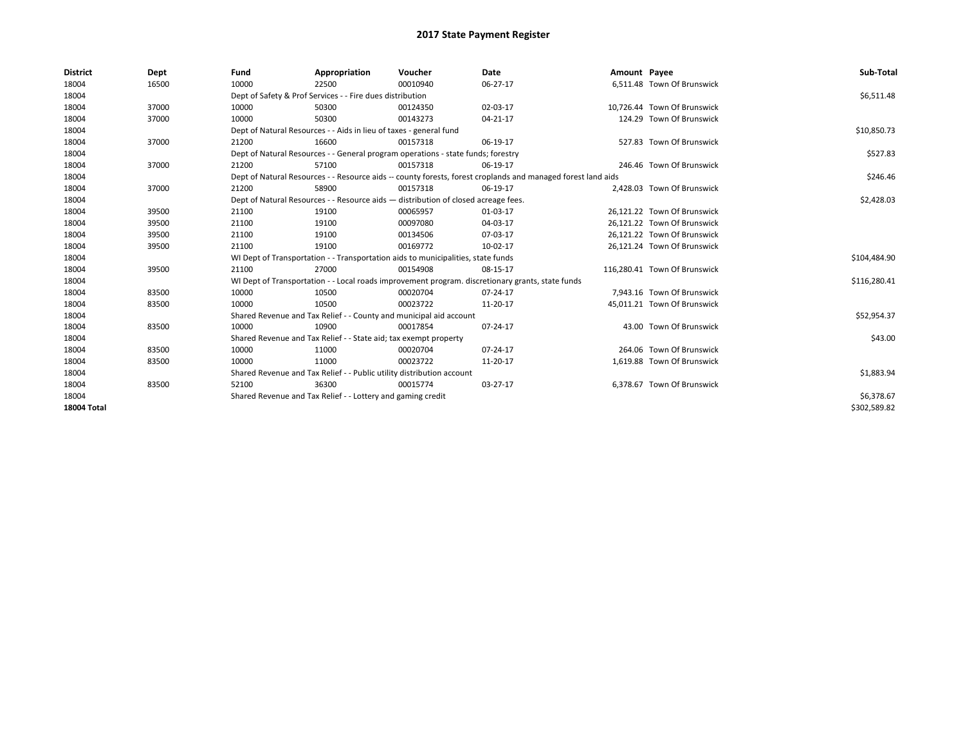| <b>District</b>    | Dept  | Fund  | Appropriation                                                                      | Voucher  | <b>Date</b>                                                                                                  | Amount Payee |                              | Sub-Total    |
|--------------------|-------|-------|------------------------------------------------------------------------------------|----------|--------------------------------------------------------------------------------------------------------------|--------------|------------------------------|--------------|
| 18004              | 16500 | 10000 | 22500                                                                              | 00010940 | 06-27-17                                                                                                     |              | 6.511.48 Town Of Brunswick   |              |
| 18004              |       |       | Dept of Safety & Prof Services - - Fire dues distribution                          |          |                                                                                                              |              |                              | \$6,511.48   |
| 18004              | 37000 | 10000 | 50300                                                                              | 00124350 | 02-03-17                                                                                                     |              | 10,726.44 Town Of Brunswick  |              |
| 18004              | 37000 | 10000 | 50300                                                                              | 00143273 | 04-21-17                                                                                                     |              | 124.29 Town Of Brunswick     |              |
| 18004              |       |       | Dept of Natural Resources - - Aids in lieu of taxes - general fund                 |          |                                                                                                              |              |                              | \$10,850.73  |
| 18004              | 37000 | 21200 | 16600                                                                              | 00157318 | 06-19-17                                                                                                     |              | 527.83 Town Of Brunswick     |              |
| 18004              |       |       | Dept of Natural Resources - - General program operations - state funds; forestry   |          |                                                                                                              |              |                              | \$527.83     |
| 18004              | 37000 | 21200 | 57100                                                                              | 00157318 | 06-19-17                                                                                                     |              | 246.46 Town Of Brunswick     |              |
| 18004              |       |       |                                                                                    |          | Dept of Natural Resources - - Resource aids -- county forests, forest croplands and managed forest land aids |              |                              | \$246.46     |
| 18004              | 37000 | 21200 | 58900                                                                              | 00157318 | 06-19-17                                                                                                     |              | 2,428.03 Town Of Brunswick   |              |
| 18004              |       |       | Dept of Natural Resources - - Resource aids - distribution of closed acreage fees. |          |                                                                                                              |              |                              | \$2,428.03   |
| 18004              | 39500 | 21100 | 19100                                                                              | 00065957 | 01-03-17                                                                                                     |              | 26,121.22 Town Of Brunswick  |              |
| 18004              | 39500 | 21100 | 19100                                                                              | 00097080 | 04-03-17                                                                                                     |              | 26,121.22 Town Of Brunswick  |              |
| 18004              | 39500 | 21100 | 19100                                                                              | 00134506 | 07-03-17                                                                                                     |              | 26.121.22 Town Of Brunswick  |              |
| 18004              | 39500 | 21100 | 19100                                                                              | 00169772 | 10-02-17                                                                                                     |              | 26,121.24 Town Of Brunswick  |              |
| 18004              |       |       | WI Dept of Transportation - - Transportation aids to municipalities, state funds   |          |                                                                                                              |              |                              | \$104,484.90 |
| 18004              | 39500 | 21100 | 27000                                                                              | 00154908 | 08-15-17                                                                                                     |              | 116,280.41 Town Of Brunswick |              |
| 18004              |       |       |                                                                                    |          | WI Dept of Transportation - - Local roads improvement program. discretionary grants, state funds             |              |                              | \$116,280.41 |
| 18004              | 83500 | 10000 | 10500                                                                              | 00020704 | 07-24-17                                                                                                     |              | 7,943.16 Town Of Brunswick   |              |
| 18004              | 83500 | 10000 | 10500                                                                              | 00023722 | 11-20-17                                                                                                     |              | 45,011.21 Town Of Brunswick  |              |
| 18004              |       |       | Shared Revenue and Tax Relief - - County and municipal aid account                 |          |                                                                                                              |              |                              | \$52,954.37  |
| 18004              | 83500 | 10000 | 10900                                                                              | 00017854 | 07-24-17                                                                                                     |              | 43.00 Town Of Brunswick      |              |
| 18004              |       |       | Shared Revenue and Tax Relief - - State aid; tax exempt property                   |          |                                                                                                              |              |                              | \$43.00      |
| 18004              | 83500 | 10000 | 11000                                                                              | 00020704 | 07-24-17                                                                                                     |              | 264.06 Town Of Brunswick     |              |
| 18004              | 83500 | 10000 | 11000                                                                              | 00023722 | 11-20-17                                                                                                     |              | 1,619.88 Town Of Brunswick   |              |
| 18004              |       |       | Shared Revenue and Tax Relief - - Public utility distribution account              |          |                                                                                                              |              |                              | \$1,883.94   |
| 18004              | 83500 | 52100 | 36300                                                                              | 00015774 | 03-27-17                                                                                                     |              | 6,378.67 Town Of Brunswick   |              |
| 18004              |       |       | Shared Revenue and Tax Relief - - Lottery and gaming credit                        |          |                                                                                                              |              |                              | \$6,378.67   |
| <b>18004 Total</b> |       |       |                                                                                    |          |                                                                                                              |              |                              | \$302,589.82 |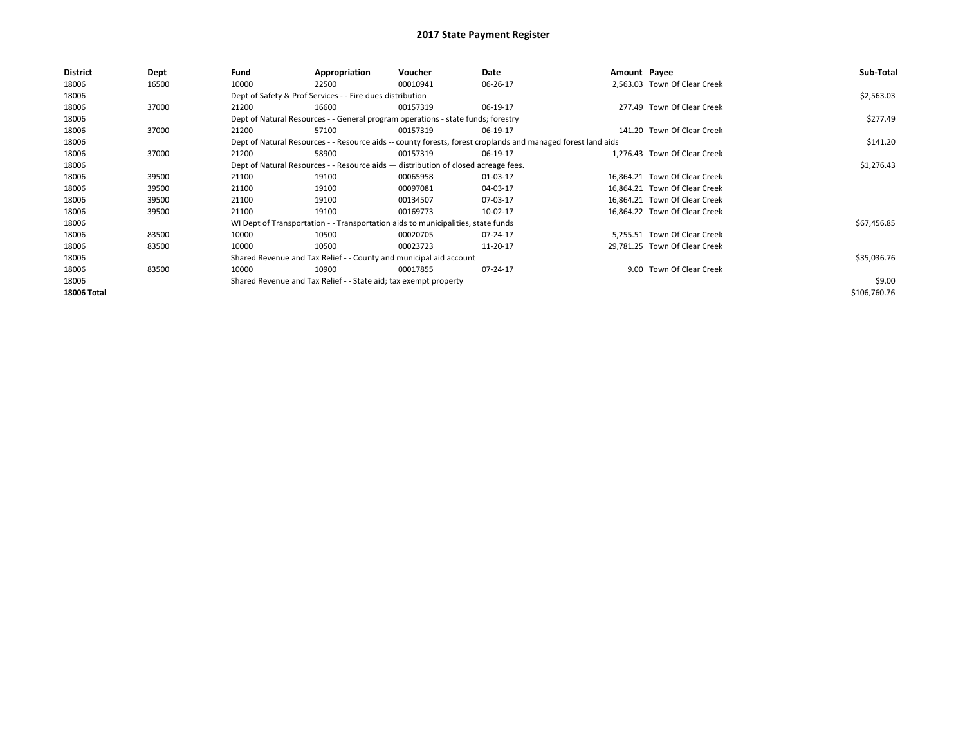| District    | Dept  | Fund  | Appropriation                                                                      | Voucher  | Date                                                                                                         | Amount Payee |                               | Sub-Total    |
|-------------|-------|-------|------------------------------------------------------------------------------------|----------|--------------------------------------------------------------------------------------------------------------|--------------|-------------------------------|--------------|
| 18006       | 16500 | 10000 | 22500                                                                              | 00010941 | 06-26-17                                                                                                     |              | 2.563.03 Town Of Clear Creek  |              |
| 18006       |       |       | Dept of Safety & Prof Services - - Fire dues distribution                          |          |                                                                                                              |              |                               | \$2,563.03   |
| 18006       | 37000 | 21200 | 16600                                                                              | 00157319 | 06-19-17                                                                                                     |              | 277.49 Town Of Clear Creek    |              |
| 18006       |       |       | Dept of Natural Resources - - General program operations - state funds; forestry   |          |                                                                                                              |              |                               | \$277.49     |
| 18006       | 37000 | 21200 | 57100                                                                              | 00157319 | 06-19-17                                                                                                     |              | 141.20 Town Of Clear Creek    |              |
| 18006       |       |       |                                                                                    |          | Dept of Natural Resources - - Resource aids -- county forests, forest croplands and managed forest land aids |              |                               | \$141.20     |
| 18006       | 37000 | 21200 | 58900                                                                              | 00157319 | 06-19-17                                                                                                     |              | 1.276.43 Town Of Clear Creek  |              |
| 18006       |       |       | Dept of Natural Resources - - Resource aids - distribution of closed acreage fees. |          |                                                                                                              |              |                               | \$1,276.43   |
| 18006       | 39500 | 21100 | 19100                                                                              | 00065958 | 01-03-17                                                                                                     |              | 16.864.21 Town Of Clear Creek |              |
| 18006       | 39500 | 21100 | 19100                                                                              | 00097081 | 04-03-17                                                                                                     |              | 16,864.21 Town Of Clear Creek |              |
| 18006       | 39500 | 21100 | 19100                                                                              | 00134507 | 07-03-17                                                                                                     |              | 16,864.21 Town Of Clear Creek |              |
| 18006       | 39500 | 21100 | 19100                                                                              | 00169773 | 10-02-17                                                                                                     |              | 16,864.22 Town Of Clear Creek |              |
| 18006       |       |       | WI Dept of Transportation - - Transportation aids to municipalities, state funds   |          |                                                                                                              |              |                               | \$67,456.85  |
| 18006       | 83500 | 10000 | 10500                                                                              | 00020705 | 07-24-17                                                                                                     |              | 5.255.51 Town Of Clear Creek  |              |
| 18006       | 83500 | 10000 | 10500                                                                              | 00023723 | 11-20-17                                                                                                     |              | 29,781.25 Town Of Clear Creek |              |
| 18006       |       |       | Shared Revenue and Tax Relief - - County and municipal aid account                 |          |                                                                                                              |              |                               | \$35,036.76  |
| 18006       | 83500 | 10000 | 10900                                                                              | 00017855 | 07-24-17                                                                                                     |              | 9.00 Town Of Clear Creek      |              |
| 18006       |       |       | Shared Revenue and Tax Relief - - State aid; tax exempt property                   |          |                                                                                                              |              |                               | \$9.00       |
| 18006 Total |       |       |                                                                                    |          |                                                                                                              |              |                               | \$106,760.76 |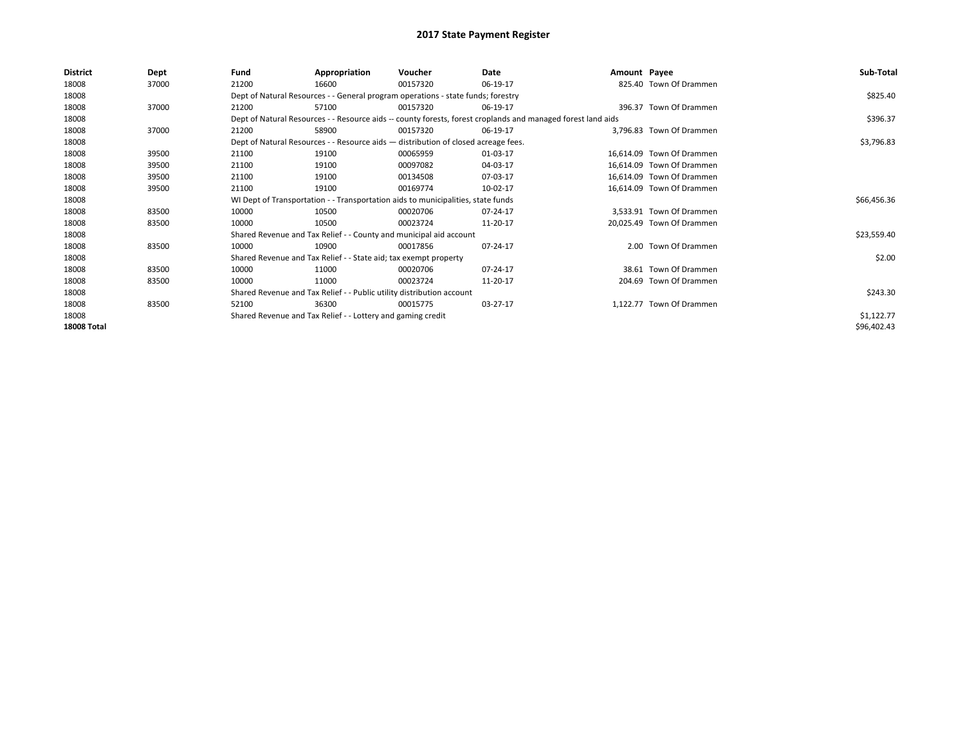| <b>District</b>    | Dept  | Fund  | Appropriation                                                                      | Voucher  | Date                                                                                                         | Amount Payee |                           | Sub-Total   |
|--------------------|-------|-------|------------------------------------------------------------------------------------|----------|--------------------------------------------------------------------------------------------------------------|--------------|---------------------------|-------------|
| 18008              | 37000 | 21200 | 16600                                                                              | 00157320 | 06-19-17                                                                                                     |              | 825.40 Town Of Drammen    |             |
| 18008              |       |       | Dept of Natural Resources - - General program operations - state funds; forestry   |          |                                                                                                              |              |                           | \$825.40    |
| 18008              | 37000 | 21200 | 57100                                                                              | 00157320 | 06-19-17                                                                                                     |              | 396.37 Town Of Drammen    |             |
| 18008              |       |       |                                                                                    |          | Dept of Natural Resources - - Resource aids -- county forests, forest croplands and managed forest land aids |              |                           | \$396.37    |
| 18008              | 37000 | 21200 | 58900                                                                              | 00157320 | 06-19-17                                                                                                     |              | 3,796.83 Town Of Drammen  |             |
| 18008              |       |       | Dept of Natural Resources - - Resource aids - distribution of closed acreage fees. |          |                                                                                                              |              |                           | \$3,796.83  |
| 18008              | 39500 | 21100 | 19100                                                                              | 00065959 | 01-03-17                                                                                                     |              | 16.614.09 Town Of Drammen |             |
| 18008              | 39500 | 21100 | 19100                                                                              | 00097082 | 04-03-17                                                                                                     |              | 16,614.09 Town Of Drammen |             |
| 18008              | 39500 | 21100 | 19100                                                                              | 00134508 | 07-03-17                                                                                                     |              | 16,614.09 Town Of Drammen |             |
| 18008              | 39500 | 21100 | 19100                                                                              | 00169774 | 10-02-17                                                                                                     |              | 16,614.09 Town Of Drammen |             |
| 18008              |       |       | WI Dept of Transportation - - Transportation aids to municipalities, state funds   |          |                                                                                                              |              |                           | \$66,456.36 |
| 18008              | 83500 | 10000 | 10500                                                                              | 00020706 | 07-24-17                                                                                                     |              | 3.533.91 Town Of Drammen  |             |
| 18008              | 83500 | 10000 | 10500                                                                              | 00023724 | 11-20-17                                                                                                     |              | 20,025.49 Town Of Drammen |             |
| 18008              |       |       | Shared Revenue and Tax Relief - - County and municipal aid account                 |          |                                                                                                              |              |                           | \$23,559.40 |
| 18008              | 83500 | 10000 | 10900                                                                              | 00017856 | 07-24-17                                                                                                     |              | 2.00 Town Of Drammen      |             |
| 18008              |       |       | Shared Revenue and Tax Relief - - State aid; tax exempt property                   |          |                                                                                                              |              |                           | \$2.00      |
| 18008              | 83500 | 10000 | 11000                                                                              | 00020706 | 07-24-17                                                                                                     |              | 38.61 Town Of Drammen     |             |
| 18008              | 83500 | 10000 | 11000                                                                              | 00023724 | 11-20-17                                                                                                     |              | 204.69 Town Of Drammen    |             |
| 18008              |       |       | Shared Revenue and Tax Relief - - Public utility distribution account              |          |                                                                                                              |              |                           | \$243.30    |
| 18008              | 83500 | 52100 | 36300                                                                              | 00015775 | 03-27-17                                                                                                     |              | 1,122.77 Town Of Drammen  |             |
| 18008              |       |       | Shared Revenue and Tax Relief - - Lottery and gaming credit                        |          |                                                                                                              |              |                           | \$1,122.77  |
| <b>18008 Total</b> |       |       |                                                                                    |          |                                                                                                              |              |                           | \$96,402.43 |
|                    |       |       |                                                                                    |          |                                                                                                              |              |                           |             |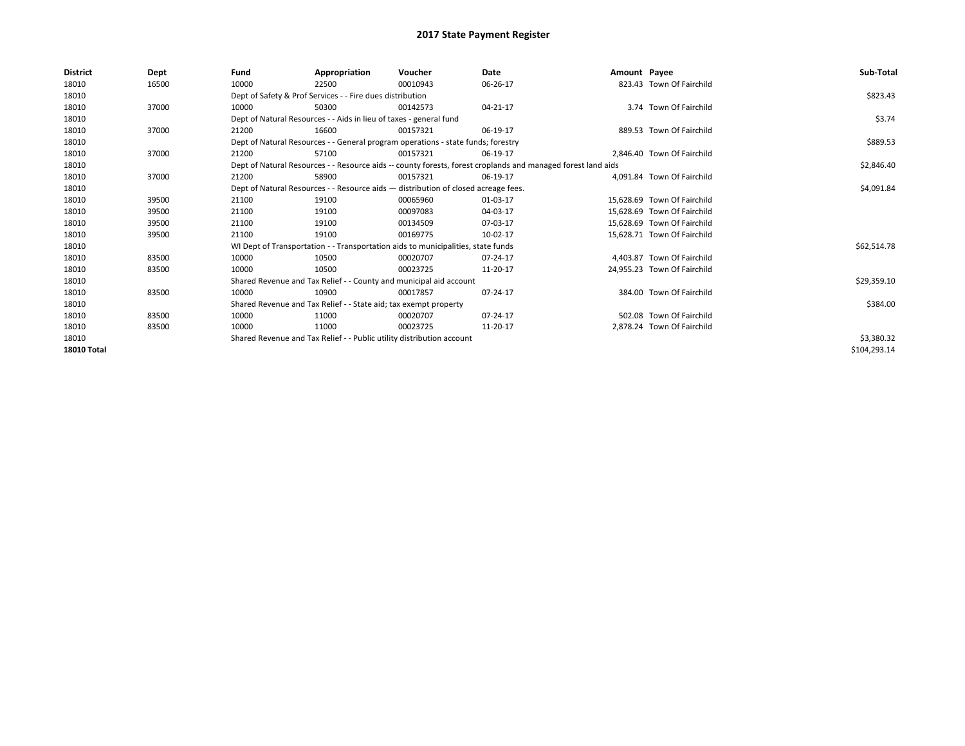| <b>District</b>    | <b>Dept</b> | Fund  | Appropriation                                                                                                | Voucher  | Date       | Amount Payee |                             | Sub-Total    |
|--------------------|-------------|-------|--------------------------------------------------------------------------------------------------------------|----------|------------|--------------|-----------------------------|--------------|
| 18010              | 16500       | 10000 | 22500                                                                                                        | 00010943 | 06-26-17   |              | 823.43 Town Of Fairchild    |              |
| 18010              |             |       | Dept of Safety & Prof Services - - Fire dues distribution                                                    |          |            |              |                             | \$823.43     |
| 18010              | 37000       | 10000 | 50300                                                                                                        | 00142573 | 04-21-17   |              | 3.74 Town Of Fairchild      |              |
| 18010              |             |       | Dept of Natural Resources - - Aids in lieu of taxes - general fund                                           |          |            |              |                             | \$3.74       |
| 18010              | 37000       | 21200 | 16600                                                                                                        | 00157321 | 06-19-17   |              | 889.53 Town Of Fairchild    |              |
| 18010              |             |       | Dept of Natural Resources - - General program operations - state funds; forestry                             |          |            |              |                             | \$889.53     |
| 18010              | 37000       | 21200 | 57100                                                                                                        | 00157321 | 06-19-17   |              | 2,846.40 Town Of Fairchild  |              |
| 18010              |             |       | Dept of Natural Resources - - Resource aids -- county forests, forest croplands and managed forest land aids |          | \$2,846.40 |              |                             |              |
| 18010              | 37000       | 21200 | 58900                                                                                                        | 00157321 | 06-19-17   |              | 4,091.84 Town Of Fairchild  |              |
| 18010              |             |       | Dept of Natural Resources - - Resource aids - distribution of closed acreage fees.                           |          |            |              |                             | \$4,091.84   |
| 18010              | 39500       | 21100 | 19100                                                                                                        | 00065960 | 01-03-17   |              | 15.628.69 Town Of Fairchild |              |
| 18010              | 39500       | 21100 | 19100                                                                                                        | 00097083 | 04-03-17   |              | 15.628.69 Town Of Fairchild |              |
| 18010              | 39500       | 21100 | 19100                                                                                                        | 00134509 | 07-03-17   |              | 15.628.69 Town Of Fairchild |              |
| 18010              | 39500       | 21100 | 19100                                                                                                        | 00169775 | 10-02-17   |              | 15.628.71 Town Of Fairchild |              |
| 18010              |             |       | WI Dept of Transportation - - Transportation aids to municipalities, state funds                             |          |            |              |                             | \$62,514.78  |
| 18010              | 83500       | 10000 | 10500                                                                                                        | 00020707 | 07-24-17   |              | 4.403.87 Town Of Fairchild  |              |
| 18010              | 83500       | 10000 | 10500                                                                                                        | 00023725 | 11-20-17   |              | 24,955.23 Town Of Fairchild |              |
| 18010              |             |       | Shared Revenue and Tax Relief - - County and municipal aid account                                           |          |            |              |                             | \$29,359.10  |
| 18010              | 83500       | 10000 | 10900                                                                                                        | 00017857 | 07-24-17   |              | 384.00 Town Of Fairchild    |              |
| 18010              |             |       | Shared Revenue and Tax Relief - - State aid; tax exempt property                                             |          |            |              |                             | \$384.00     |
| 18010              | 83500       | 10000 | 11000                                                                                                        | 00020707 | 07-24-17   |              | 502.08 Town Of Fairchild    |              |
| 18010              | 83500       | 10000 | 11000                                                                                                        | 00023725 | 11-20-17   |              | 2,878.24 Town Of Fairchild  |              |
| 18010              |             |       | Shared Revenue and Tax Relief - - Public utility distribution account                                        |          |            |              |                             | \$3,380.32   |
| <b>18010 Total</b> |             |       |                                                                                                              |          |            |              |                             | \$104,293.14 |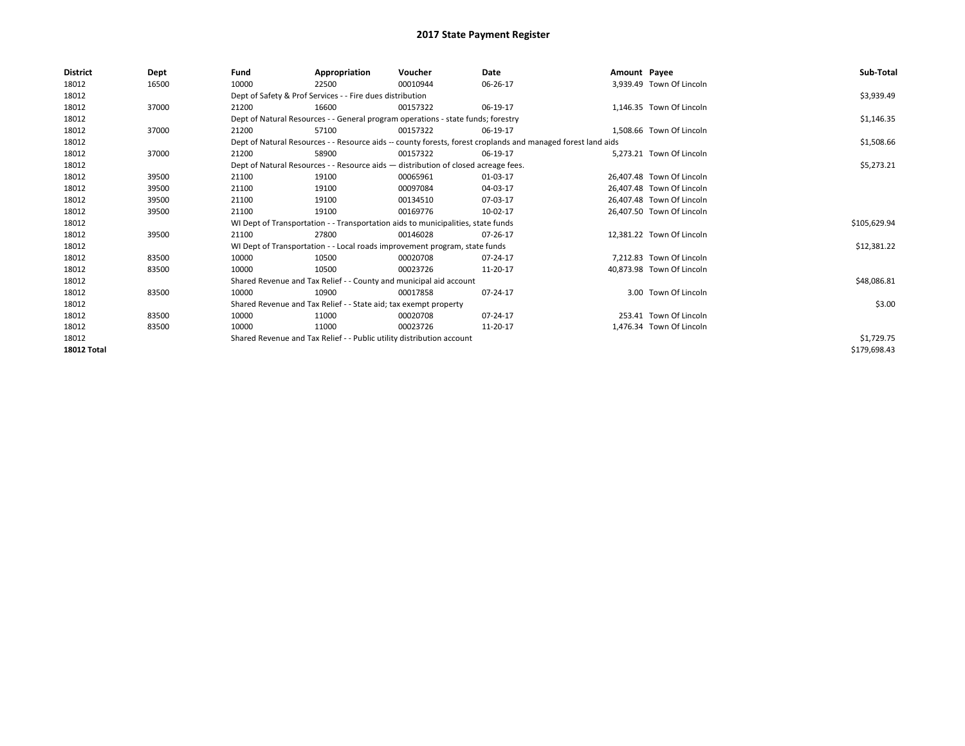| <b>District</b>    | Dept  | Fund  | Appropriation                                                                      | Voucher  | Date                                                                                                         | Amount Payee |                           | Sub-Total    |
|--------------------|-------|-------|------------------------------------------------------------------------------------|----------|--------------------------------------------------------------------------------------------------------------|--------------|---------------------------|--------------|
| 18012              | 16500 | 10000 | 22500                                                                              | 00010944 | 06-26-17                                                                                                     |              | 3,939.49 Town Of Lincoln  |              |
| 18012              |       |       | Dept of Safety & Prof Services - - Fire dues distribution                          |          |                                                                                                              |              |                           | \$3,939.49   |
| 18012              | 37000 | 21200 | 16600                                                                              | 00157322 | 06-19-17                                                                                                     |              | 1,146.35 Town Of Lincoln  |              |
| 18012              |       |       | Dept of Natural Resources - - General program operations - state funds; forestry   |          |                                                                                                              |              |                           | \$1,146.35   |
| 18012              | 37000 | 21200 | 57100                                                                              | 00157322 | 06-19-17                                                                                                     |              | 1.508.66 Town Of Lincoln  |              |
| 18012              |       |       |                                                                                    |          | Dept of Natural Resources - - Resource aids -- county forests, forest croplands and managed forest land aids |              |                           | \$1,508.66   |
| 18012              | 37000 | 21200 | 58900                                                                              | 00157322 | 06-19-17                                                                                                     |              | 5.273.21 Town Of Lincoln  |              |
| 18012              |       |       | Dept of Natural Resources - - Resource aids - distribution of closed acreage fees. |          | \$5,273.21                                                                                                   |              |                           |              |
| 18012              | 39500 | 21100 | 19100                                                                              | 00065961 | 01-03-17                                                                                                     |              | 26,407.48 Town Of Lincoln |              |
| 18012              | 39500 | 21100 | 19100                                                                              | 00097084 | 04-03-17                                                                                                     |              | 26,407.48 Town Of Lincoln |              |
| 18012              | 39500 | 21100 | 19100                                                                              | 00134510 | 07-03-17                                                                                                     |              | 26.407.48 Town Of Lincoln |              |
| 18012              | 39500 | 21100 | 19100                                                                              | 00169776 | 10-02-17                                                                                                     |              | 26,407.50 Town Of Lincoln |              |
| 18012              |       |       | WI Dept of Transportation - - Transportation aids to municipalities, state funds   |          |                                                                                                              |              |                           | \$105,629.94 |
| 18012              | 39500 | 21100 | 27800                                                                              | 00146028 | 07-26-17                                                                                                     |              | 12.381.22 Town Of Lincoln |              |
| 18012              |       |       | WI Dept of Transportation - - Local roads improvement program, state funds         |          |                                                                                                              |              |                           | \$12,381.22  |
| 18012              | 83500 | 10000 | 10500                                                                              | 00020708 | 07-24-17                                                                                                     |              | 7,212.83 Town Of Lincoln  |              |
| 18012              | 83500 | 10000 | 10500                                                                              | 00023726 | 11-20-17                                                                                                     |              | 40,873.98 Town Of Lincoln |              |
| 18012              |       |       | Shared Revenue and Tax Relief - - County and municipal aid account                 |          |                                                                                                              |              |                           | \$48,086.81  |
| 18012              | 83500 | 10000 | 10900                                                                              | 00017858 | 07-24-17                                                                                                     |              | 3.00 Town Of Lincoln      |              |
| 18012              |       |       | Shared Revenue and Tax Relief - - State aid; tax exempt property                   |          |                                                                                                              |              |                           | \$3.00       |
| 18012              | 83500 | 10000 | 11000                                                                              | 00020708 | 07-24-17                                                                                                     |              | 253.41 Town Of Lincoln    |              |
| 18012              | 83500 | 10000 | 11000                                                                              | 00023726 | 11-20-17                                                                                                     |              | 1,476.34 Town Of Lincoln  |              |
| 18012              |       |       | Shared Revenue and Tax Relief - - Public utility distribution account              |          |                                                                                                              |              |                           | \$1,729.75   |
| <b>18012 Total</b> |       |       |                                                                                    |          |                                                                                                              |              |                           | \$179,698.43 |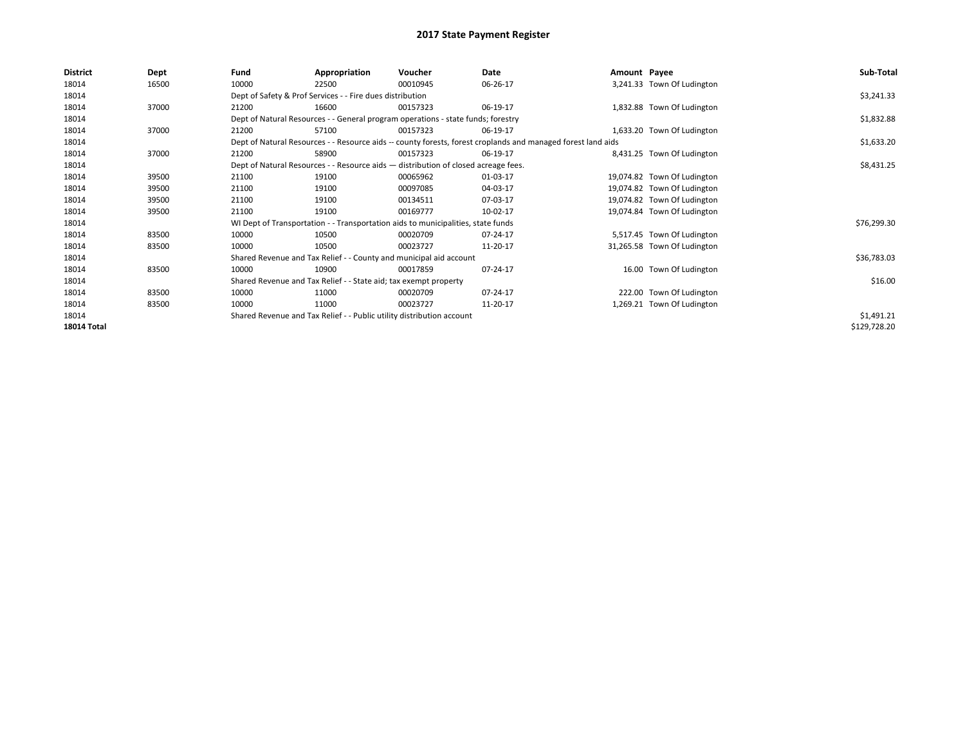| <b>District</b>    | Dept  | Fund  | Appropriation                                                                      | Voucher  | Date                                                                                                         | Amount Payee |                             | Sub-Total    |
|--------------------|-------|-------|------------------------------------------------------------------------------------|----------|--------------------------------------------------------------------------------------------------------------|--------------|-----------------------------|--------------|
| 18014              | 16500 | 10000 | 22500                                                                              | 00010945 | 06-26-17                                                                                                     |              | 3,241.33 Town Of Ludington  |              |
| 18014              |       |       | Dept of Safety & Prof Services - - Fire dues distribution                          |          |                                                                                                              |              |                             | \$3,241.33   |
| 18014              | 37000 | 21200 | 16600                                                                              | 00157323 | 06-19-17                                                                                                     |              | 1,832.88 Town Of Ludington  |              |
| 18014              |       |       | Dept of Natural Resources - - General program operations - state funds; forestry   |          |                                                                                                              |              |                             | \$1,832.88   |
| 18014              | 37000 | 21200 | 57100                                                                              | 00157323 | 06-19-17                                                                                                     |              | 1,633.20 Town Of Ludington  |              |
| 18014              |       |       |                                                                                    |          | Dept of Natural Resources - - Resource aids -- county forests, forest croplands and managed forest land aids |              |                             | \$1,633.20   |
| 18014              | 37000 | 21200 | 58900                                                                              | 00157323 | 06-19-17                                                                                                     |              | 8,431.25 Town Of Ludington  |              |
| 18014              |       |       | Dept of Natural Resources - - Resource aids - distribution of closed acreage fees. |          |                                                                                                              |              |                             | \$8,431.25   |
| 18014              | 39500 | 21100 | 19100                                                                              | 00065962 | 01-03-17                                                                                                     |              | 19,074.82 Town Of Ludington |              |
| 18014              | 39500 | 21100 | 19100                                                                              | 00097085 | 04-03-17                                                                                                     |              | 19,074.82 Town Of Ludington |              |
| 18014              | 39500 | 21100 | 19100                                                                              | 00134511 | 07-03-17                                                                                                     |              | 19,074.82 Town Of Ludington |              |
| 18014              | 39500 | 21100 | 19100                                                                              | 00169777 | 10-02-17                                                                                                     |              | 19,074.84 Town Of Ludington |              |
| 18014              |       |       | WI Dept of Transportation - - Transportation aids to municipalities, state funds   |          |                                                                                                              |              |                             | \$76,299.30  |
| 18014              | 83500 | 10000 | 10500                                                                              | 00020709 | 07-24-17                                                                                                     |              | 5,517.45 Town Of Ludington  |              |
| 18014              | 83500 | 10000 | 10500                                                                              | 00023727 | 11-20-17                                                                                                     |              | 31,265.58 Town Of Ludington |              |
| 18014              |       |       | Shared Revenue and Tax Relief - - County and municipal aid account                 |          |                                                                                                              |              |                             | \$36,783.03  |
| 18014              | 83500 | 10000 | 10900                                                                              | 00017859 | 07-24-17                                                                                                     |              | 16.00 Town Of Ludington     |              |
| 18014              |       |       | Shared Revenue and Tax Relief - - State aid; tax exempt property                   |          |                                                                                                              |              |                             | \$16.00      |
| 18014              | 83500 | 10000 | 11000                                                                              | 00020709 | 07-24-17                                                                                                     |              | 222.00 Town Of Ludington    |              |
| 18014              | 83500 | 10000 | 11000                                                                              | 00023727 | 11-20-17                                                                                                     |              | 1,269.21 Town Of Ludington  |              |
| 18014              |       |       | Shared Revenue and Tax Relief - - Public utility distribution account              |          |                                                                                                              |              |                             | \$1,491.21   |
| <b>18014 Total</b> |       |       |                                                                                    |          |                                                                                                              |              |                             | \$129,728.20 |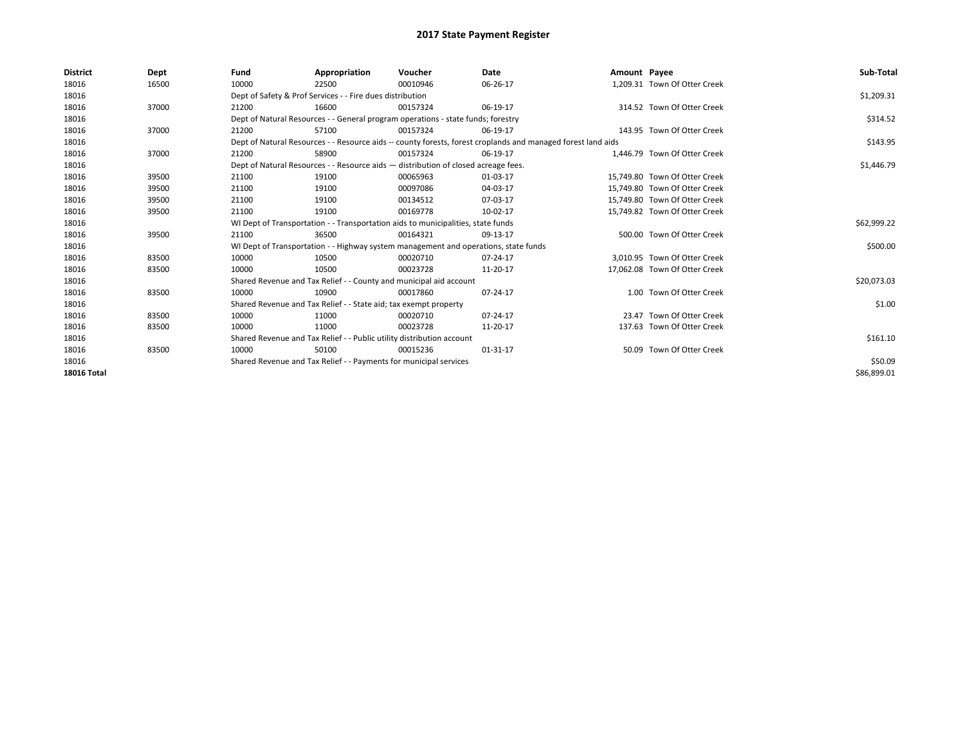| <b>District</b>    | Dept  | Fund                                                                             | Appropriation                                                                                                | Voucher                                                                             | Date     | Amount Payee |                               | Sub-Total   |  |  |  |
|--------------------|-------|----------------------------------------------------------------------------------|--------------------------------------------------------------------------------------------------------------|-------------------------------------------------------------------------------------|----------|--------------|-------------------------------|-------------|--|--|--|
| 18016              | 16500 | 10000                                                                            | 22500                                                                                                        | 00010946                                                                            | 06-26-17 |              | 1,209.31 Town Of Otter Creek  |             |  |  |  |
| 18016              |       |                                                                                  | Dept of Safety & Prof Services - - Fire dues distribution                                                    |                                                                                     |          |              |                               | \$1,209.31  |  |  |  |
| 18016              | 37000 | 21200                                                                            | 16600                                                                                                        | 00157324                                                                            | 06-19-17 |              | 314.52 Town Of Otter Creek    |             |  |  |  |
| 18016              |       |                                                                                  |                                                                                                              | Dept of Natural Resources - - General program operations - state funds; forestry    |          |              |                               | \$314.52    |  |  |  |
| 18016              | 37000 | 21200                                                                            | 57100                                                                                                        | 00157324                                                                            | 06-19-17 |              | 143.95 Town Of Otter Creek    |             |  |  |  |
| 18016              |       |                                                                                  | Dept of Natural Resources - - Resource aids -- county forests, forest croplands and managed forest land aids |                                                                                     |          |              |                               |             |  |  |  |
| 18016              | 37000 | 21200                                                                            | 58900                                                                                                        | 00157324                                                                            | 06-19-17 |              | 1.446.79 Town Of Otter Creek  |             |  |  |  |
| 18016              |       |                                                                                  |                                                                                                              | Dept of Natural Resources - - Resource aids - distribution of closed acreage fees.  |          |              |                               | \$1,446.79  |  |  |  |
| 18016              | 39500 | 21100                                                                            | 19100                                                                                                        | 00065963                                                                            | 01-03-17 |              | 15.749.80 Town Of Otter Creek |             |  |  |  |
| 18016              | 39500 | 21100                                                                            | 19100                                                                                                        | 00097086                                                                            | 04-03-17 |              | 15.749.80 Town Of Otter Creek |             |  |  |  |
| 18016              | 39500 | 21100                                                                            | 19100                                                                                                        | 00134512                                                                            | 07-03-17 |              | 15.749.80 Town Of Otter Creek |             |  |  |  |
| 18016              | 39500 | 21100                                                                            | 19100                                                                                                        | 00169778                                                                            | 10-02-17 |              | 15,749.82 Town Of Otter Creek |             |  |  |  |
| 18016              |       | WI Dept of Transportation - - Transportation aids to municipalities, state funds |                                                                                                              | \$62,999.22                                                                         |          |              |                               |             |  |  |  |
| 18016              | 39500 | 21100                                                                            | 36500                                                                                                        | 00164321                                                                            | 09-13-17 |              | 500.00 Town Of Otter Creek    |             |  |  |  |
| 18016              |       |                                                                                  |                                                                                                              | WI Dept of Transportation - - Highway system management and operations, state funds |          |              |                               | \$500.00    |  |  |  |
| 18016              | 83500 | 10000                                                                            | 10500                                                                                                        | 00020710                                                                            | 07-24-17 |              | 3.010.95 Town Of Otter Creek  |             |  |  |  |
| 18016              | 83500 | 10000                                                                            | 10500                                                                                                        | 00023728                                                                            | 11-20-17 |              | 17,062.08 Town Of Otter Creek |             |  |  |  |
| 18016              |       |                                                                                  | Shared Revenue and Tax Relief - - County and municipal aid account                                           |                                                                                     |          |              |                               | \$20,073.03 |  |  |  |
| 18016              | 83500 | 10000                                                                            | 10900                                                                                                        | 00017860                                                                            | 07-24-17 |              | 1.00 Town Of Otter Creek      |             |  |  |  |
| 18016              |       |                                                                                  | Shared Revenue and Tax Relief - - State aid; tax exempt property                                             |                                                                                     |          |              |                               | \$1.00      |  |  |  |
| 18016              | 83500 | 10000                                                                            | 11000                                                                                                        | 00020710                                                                            | 07-24-17 |              | 23.47 Town Of Otter Creek     |             |  |  |  |
| 18016              | 83500 | 10000                                                                            | 11000                                                                                                        | 00023728                                                                            | 11-20-17 |              | 137.63 Town Of Otter Creek    |             |  |  |  |
| 18016              |       | Shared Revenue and Tax Relief - - Public utility distribution account            |                                                                                                              | \$161.10                                                                            |          |              |                               |             |  |  |  |
| 18016              | 83500 | 10000                                                                            | 50100                                                                                                        | 00015236                                                                            | 01-31-17 |              | 50.09 Town Of Otter Creek     |             |  |  |  |
| 18016              |       | Shared Revenue and Tax Relief - - Payments for municipal services                |                                                                                                              | \$50.09                                                                             |          |              |                               |             |  |  |  |
| <b>18016 Total</b> |       |                                                                                  |                                                                                                              |                                                                                     |          |              |                               | \$86,899.01 |  |  |  |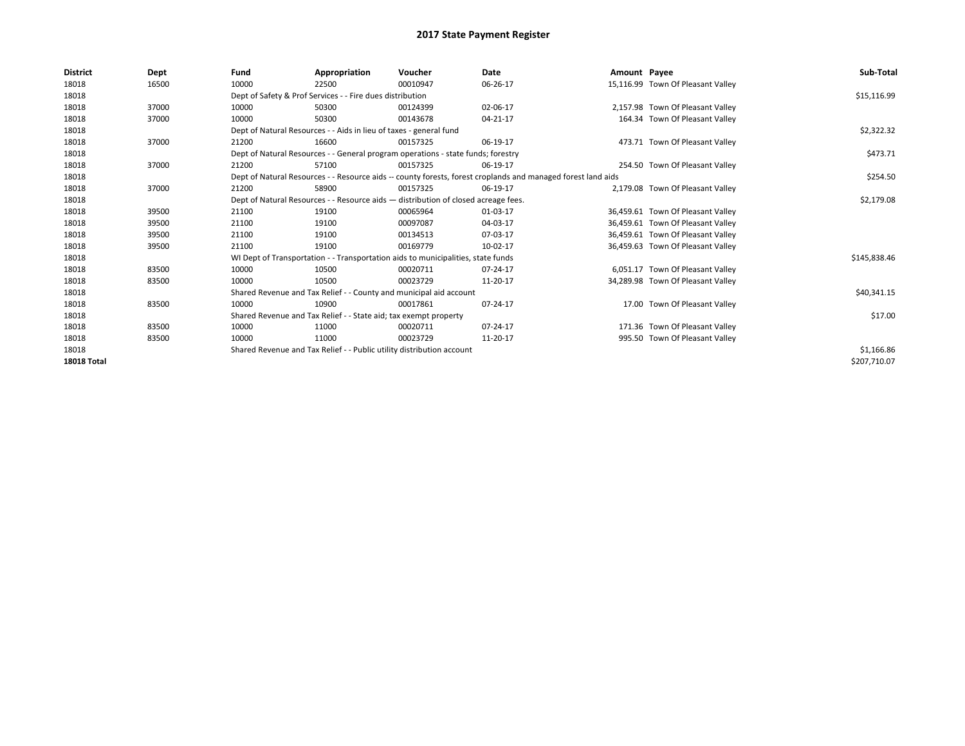| <b>District</b>    | Dept  | Fund  | Appropriation                                                                                                | Voucher  | Date     | Amount Payee |                                   | Sub-Total    |  |  |  |
|--------------------|-------|-------|--------------------------------------------------------------------------------------------------------------|----------|----------|--------------|-----------------------------------|--------------|--|--|--|
| 18018              | 16500 | 10000 | 22500                                                                                                        | 00010947 | 06-26-17 |              | 15,116.99 Town Of Pleasant Valley |              |  |  |  |
| 18018              |       |       | Dept of Safety & Prof Services - - Fire dues distribution                                                    |          |          |              |                                   | \$15,116.99  |  |  |  |
| 18018              | 37000 | 10000 | 50300                                                                                                        | 00124399 | 02-06-17 |              | 2,157.98 Town Of Pleasant Valley  |              |  |  |  |
| 18018              | 37000 | 10000 | 50300                                                                                                        | 00143678 | 04-21-17 |              | 164.34 Town Of Pleasant Valley    |              |  |  |  |
| 18018              |       |       | Dept of Natural Resources - - Aids in lieu of taxes - general fund                                           |          |          |              |                                   |              |  |  |  |
| 18018              | 37000 | 21200 | 16600                                                                                                        | 00157325 | 06-19-17 |              | 473.71 Town Of Pleasant Valley    |              |  |  |  |
| 18018              |       |       | Dept of Natural Resources - - General program operations - state funds; forestry                             |          |          |              |                                   |              |  |  |  |
| 18018              | 37000 | 21200 | 57100                                                                                                        | 00157325 | 06-19-17 |              | 254.50 Town Of Pleasant Valley    |              |  |  |  |
| 18018              |       |       | Dept of Natural Resources - - Resource aids -- county forests, forest croplands and managed forest land aids |          |          |              |                                   |              |  |  |  |
| 18018              | 37000 | 21200 | 58900                                                                                                        | 00157325 | 06-19-17 |              | 2,179.08 Town Of Pleasant Valley  |              |  |  |  |
| 18018              |       |       | Dept of Natural Resources - - Resource aids - distribution of closed acreage fees.                           |          |          |              |                                   |              |  |  |  |
| 18018              | 39500 | 21100 | 19100                                                                                                        | 00065964 | 01-03-17 |              | 36,459.61 Town Of Pleasant Valley |              |  |  |  |
| 18018              | 39500 | 21100 | 19100                                                                                                        | 00097087 | 04-03-17 |              | 36,459.61 Town Of Pleasant Valley |              |  |  |  |
| 18018              | 39500 | 21100 | 19100                                                                                                        | 00134513 | 07-03-17 |              | 36,459.61 Town Of Pleasant Valley |              |  |  |  |
| 18018              | 39500 | 21100 | 19100                                                                                                        | 00169779 | 10-02-17 |              | 36,459.63 Town Of Pleasant Valley |              |  |  |  |
| 18018              |       |       | WI Dept of Transportation - - Transportation aids to municipalities, state funds                             |          |          |              |                                   | \$145,838.46 |  |  |  |
| 18018              | 83500 | 10000 | 10500                                                                                                        | 00020711 | 07-24-17 |              | 6,051.17 Town Of Pleasant Valley  |              |  |  |  |
| 18018              | 83500 | 10000 | 10500                                                                                                        | 00023729 | 11-20-17 |              | 34,289.98 Town Of Pleasant Valley |              |  |  |  |
| 18018              |       |       | Shared Revenue and Tax Relief - - County and municipal aid account                                           |          |          |              |                                   | \$40,341.15  |  |  |  |
| 18018              | 83500 | 10000 | 10900                                                                                                        | 00017861 | 07-24-17 |              | 17.00 Town Of Pleasant Valley     |              |  |  |  |
| 18018              |       |       | Shared Revenue and Tax Relief - - State aid; tax exempt property                                             |          |          |              |                                   | \$17.00      |  |  |  |
| 18018              | 83500 | 10000 | 11000                                                                                                        | 00020711 | 07-24-17 |              | 171.36 Town Of Pleasant Valley    |              |  |  |  |
| 18018              | 83500 | 10000 | 11000                                                                                                        | 00023729 | 11-20-17 |              | 995.50 Town Of Pleasant Valley    |              |  |  |  |
| 18018              |       |       | Shared Revenue and Tax Relief - - Public utility distribution account                                        |          |          |              |                                   | \$1,166.86   |  |  |  |
| <b>18018 Total</b> |       |       |                                                                                                              |          |          |              |                                   | \$207,710.07 |  |  |  |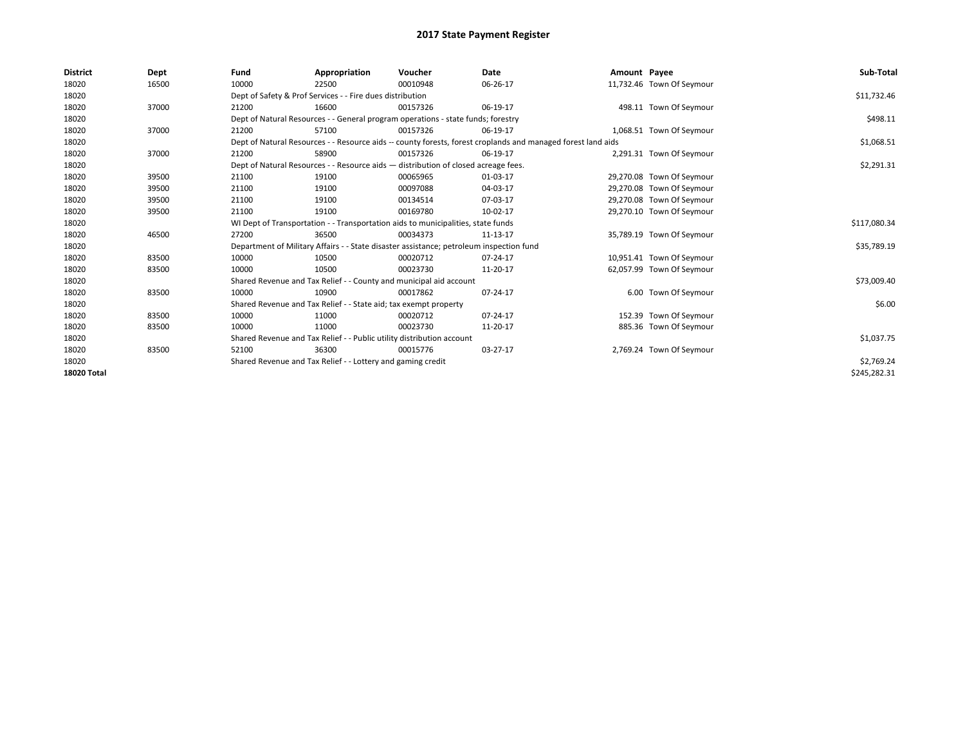| <b>District</b>    | Dept  | Fund                                                                             | Appropriation                                                                           | Voucher      | Date                                                                                                         | Amount Payee |                           | Sub-Total    |
|--------------------|-------|----------------------------------------------------------------------------------|-----------------------------------------------------------------------------------------|--------------|--------------------------------------------------------------------------------------------------------------|--------------|---------------------------|--------------|
| 18020              | 16500 | 10000                                                                            | 22500                                                                                   | 00010948     | 06-26-17                                                                                                     |              | 11,732.46 Town Of Seymour |              |
| 18020              |       |                                                                                  | Dept of Safety & Prof Services - - Fire dues distribution                               |              |                                                                                                              |              |                           | \$11,732.46  |
| 18020              | 37000 | 21200                                                                            | 16600                                                                                   | 00157326     | 06-19-17                                                                                                     |              | 498.11 Town Of Seymour    |              |
| 18020              |       |                                                                                  | Dept of Natural Resources - - General program operations - state funds; forestry        |              |                                                                                                              |              |                           | \$498.11     |
| 18020              | 37000 | 21200                                                                            | 57100                                                                                   | 00157326     | 06-19-17                                                                                                     |              | 1,068.51 Town Of Seymour  |              |
| 18020              |       |                                                                                  |                                                                                         |              | Dept of Natural Resources - - Resource aids -- county forests, forest croplands and managed forest land aids |              |                           | \$1,068.51   |
| 18020              | 37000 | 21200                                                                            | 58900                                                                                   | 00157326     | 06-19-17                                                                                                     |              | 2,291.31 Town Of Seymour  |              |
| 18020              |       |                                                                                  | Dept of Natural Resources - - Resource aids - distribution of closed acreage fees.      |              |                                                                                                              |              |                           | \$2,291.31   |
| 18020              | 39500 | 21100                                                                            | 19100                                                                                   | 00065965     | 01-03-17                                                                                                     |              | 29,270.08 Town Of Seymour |              |
| 18020              | 39500 | 21100                                                                            | 19100                                                                                   | 00097088     | 04-03-17                                                                                                     |              | 29,270.08 Town Of Seymour |              |
| 18020              | 39500 | 21100                                                                            | 19100                                                                                   | 00134514     | 07-03-17                                                                                                     |              | 29,270.08 Town Of Seymour |              |
| 18020              | 39500 | 21100                                                                            | 19100                                                                                   | 00169780     | 10-02-17                                                                                                     |              | 29,270.10 Town Of Seymour |              |
| 18020              |       | WI Dept of Transportation - - Transportation aids to municipalities, state funds |                                                                                         | \$117,080.34 |                                                                                                              |              |                           |              |
| 18020              | 46500 | 27200                                                                            | 36500                                                                                   | 00034373     | 11-13-17                                                                                                     |              | 35,789.19 Town Of Seymour |              |
| 18020              |       |                                                                                  | Department of Military Affairs - - State disaster assistance; petroleum inspection fund |              |                                                                                                              |              |                           | \$35,789.19  |
| 18020              | 83500 | 10000                                                                            | 10500                                                                                   | 00020712     | 07-24-17                                                                                                     |              | 10,951.41 Town Of Seymour |              |
| 18020              | 83500 | 10000                                                                            | 10500                                                                                   | 00023730     | 11-20-17                                                                                                     |              | 62,057.99 Town Of Seymour |              |
| 18020              |       |                                                                                  | Shared Revenue and Tax Relief - - County and municipal aid account                      |              |                                                                                                              |              |                           | \$73,009.40  |
| 18020              | 83500 | 10000                                                                            | 10900                                                                                   | 00017862     | 07-24-17                                                                                                     |              | 6.00 Town Of Seymour      |              |
| 18020              |       |                                                                                  | Shared Revenue and Tax Relief - - State aid; tax exempt property                        |              |                                                                                                              |              |                           | \$6.00       |
| 18020              | 83500 | 10000                                                                            | 11000                                                                                   | 00020712     | 07-24-17                                                                                                     |              | 152.39 Town Of Seymour    |              |
| 18020              | 83500 | 10000                                                                            | 11000                                                                                   | 00023730     | 11-20-17                                                                                                     |              | 885.36 Town Of Seymour    |              |
| 18020              |       | Shared Revenue and Tax Relief - - Public utility distribution account            |                                                                                         | \$1,037.75   |                                                                                                              |              |                           |              |
| 18020              | 83500 | 52100                                                                            | 36300                                                                                   | 00015776     | 03-27-17                                                                                                     |              | 2,769.24 Town Of Seymour  |              |
| 18020              |       | Shared Revenue and Tax Relief - - Lottery and gaming credit                      |                                                                                         | \$2,769.24   |                                                                                                              |              |                           |              |
| <b>18020 Total</b> |       |                                                                                  |                                                                                         |              |                                                                                                              |              |                           | \$245,282.31 |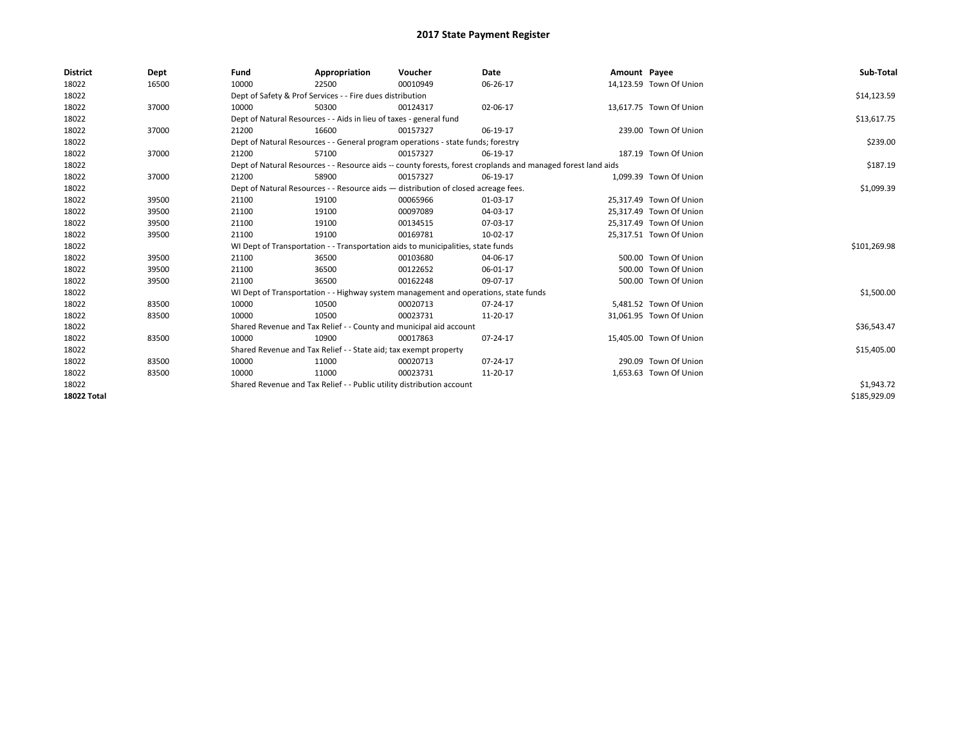| <b>District</b>    | Dept  | Fund  | Appropriation                                                                                                | Voucher  | Date       | Amount Payee |                         | Sub-Total    |
|--------------------|-------|-------|--------------------------------------------------------------------------------------------------------------|----------|------------|--------------|-------------------------|--------------|
| 18022              | 16500 | 10000 | 22500                                                                                                        | 00010949 | 06-26-17   |              | 14,123.59 Town Of Union |              |
| 18022              |       |       | Dept of Safety & Prof Services - - Fire dues distribution                                                    |          |            |              |                         | \$14,123.59  |
| 18022              | 37000 | 10000 | 50300                                                                                                        | 00124317 | 02-06-17   |              | 13,617.75 Town Of Union |              |
| 18022              |       |       | Dept of Natural Resources - - Aids in lieu of taxes - general fund                                           |          |            |              |                         | \$13,617.75  |
| 18022              | 37000 | 21200 | 16600                                                                                                        | 00157327 | 06-19-17   |              | 239.00 Town Of Union    |              |
| 18022              |       |       | Dept of Natural Resources - - General program operations - state funds; forestry                             |          |            |              |                         | \$239.00     |
| 18022              | 37000 | 21200 | 57100                                                                                                        | 00157327 | 06-19-17   |              | 187.19 Town Of Union    |              |
| 18022              |       |       | Dept of Natural Resources - - Resource aids -- county forests, forest croplands and managed forest land aids |          |            |              |                         | \$187.19     |
| 18022              | 37000 | 21200 | 58900                                                                                                        | 00157327 | 06-19-17   |              | 1,099.39 Town Of Union  |              |
| 18022              |       |       | Dept of Natural Resources - - Resource aids - distribution of closed acreage fees.                           |          | \$1,099.39 |              |                         |              |
| 18022              | 39500 | 21100 | 19100                                                                                                        | 00065966 | 01-03-17   |              | 25,317.49 Town Of Union |              |
| 18022              | 39500 | 21100 | 19100                                                                                                        | 00097089 | 04-03-17   |              | 25.317.49 Town Of Union |              |
| 18022              | 39500 | 21100 | 19100                                                                                                        | 00134515 | 07-03-17   |              | 25,317.49 Town Of Union |              |
| 18022              | 39500 | 21100 | 19100                                                                                                        | 00169781 | 10-02-17   |              | 25,317.51 Town Of Union |              |
| 18022              |       |       | WI Dept of Transportation - - Transportation aids to municipalities, state funds                             |          |            |              |                         | \$101,269.98 |
| 18022              | 39500 | 21100 | 36500                                                                                                        | 00103680 | 04-06-17   |              | 500.00 Town Of Union    |              |
| 18022              | 39500 | 21100 | 36500                                                                                                        | 00122652 | 06-01-17   |              | 500.00 Town Of Union    |              |
| 18022              | 39500 | 21100 | 36500                                                                                                        | 00162248 | 09-07-17   |              | 500.00 Town Of Union    |              |
| 18022              |       |       | WI Dept of Transportation - - Highway system management and operations, state funds                          |          |            |              |                         | \$1,500.00   |
| 18022              | 83500 | 10000 | 10500                                                                                                        | 00020713 | 07-24-17   |              | 5,481.52 Town Of Union  |              |
| 18022              | 83500 | 10000 | 10500                                                                                                        | 00023731 | 11-20-17   |              | 31,061.95 Town Of Union |              |
| 18022              |       |       | Shared Revenue and Tax Relief - - County and municipal aid account                                           |          |            |              |                         | \$36,543.47  |
| 18022              | 83500 | 10000 | 10900                                                                                                        | 00017863 | 07-24-17   |              | 15,405.00 Town Of Union |              |
| 18022              |       |       | Shared Revenue and Tax Relief - - State aid; tax exempt property                                             |          |            |              |                         | \$15,405.00  |
| 18022              | 83500 | 10000 | 11000                                                                                                        | 00020713 | 07-24-17   |              | 290.09 Town Of Union    |              |
| 18022              | 83500 | 10000 | 11000                                                                                                        | 00023731 | 11-20-17   |              | 1,653.63 Town Of Union  |              |
| 18022              |       |       | Shared Revenue and Tax Relief - - Public utility distribution account                                        |          |            |              |                         | \$1,943.72   |
| <b>18022 Total</b> |       |       |                                                                                                              |          |            |              |                         | \$185,929.09 |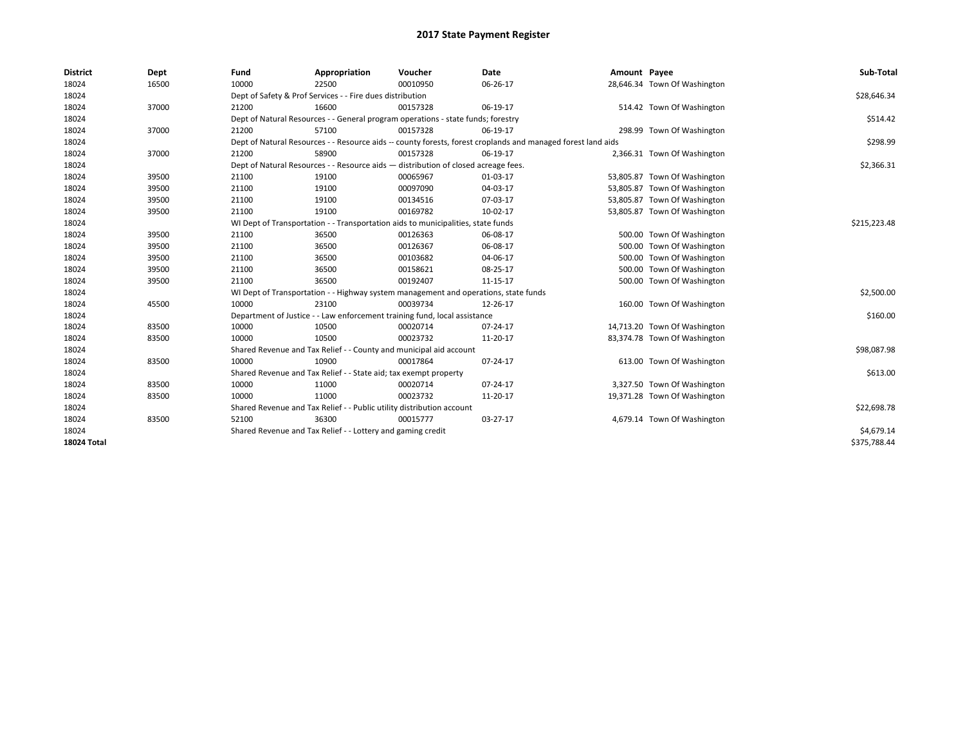| <b>District</b>    | Dept  | Fund                                                                  | Appropriation                                                                                                | Voucher     | Date     | Amount Payee |                              | Sub-Total    |  |  |  |
|--------------------|-------|-----------------------------------------------------------------------|--------------------------------------------------------------------------------------------------------------|-------------|----------|--------------|------------------------------|--------------|--|--|--|
| 18024              | 16500 | 10000                                                                 | 22500                                                                                                        | 00010950    | 06-26-17 |              | 28,646.34 Town Of Washington |              |  |  |  |
| 18024              |       |                                                                       | Dept of Safety & Prof Services - - Fire dues distribution                                                    |             |          |              |                              | \$28,646.34  |  |  |  |
| 18024              | 37000 | 21200                                                                 | 16600                                                                                                        | 00157328    | 06-19-17 |              | 514.42 Town Of Washington    |              |  |  |  |
| 18024              |       |                                                                       | Dept of Natural Resources - - General program operations - state funds; forestry                             |             |          |              |                              | \$514.42     |  |  |  |
| 18024              | 37000 | 21200                                                                 | 57100                                                                                                        | 00157328    | 06-19-17 |              | 298.99 Town Of Washington    |              |  |  |  |
| 18024              |       |                                                                       | Dept of Natural Resources - - Resource aids -- county forests, forest croplands and managed forest land aids |             |          |              |                              |              |  |  |  |
| 18024              | 37000 | 21200                                                                 | 58900                                                                                                        | 00157328    | 06-19-17 |              | 2,366.31 Town Of Washington  |              |  |  |  |
| 18024              |       |                                                                       | Dept of Natural Resources - - Resource aids - distribution of closed acreage fees.                           |             |          |              |                              | \$2,366.31   |  |  |  |
| 18024              | 39500 | 21100                                                                 | 19100                                                                                                        | 00065967    | 01-03-17 |              | 53,805.87 Town Of Washington |              |  |  |  |
| 18024              | 39500 | 21100                                                                 | 19100                                                                                                        | 00097090    | 04-03-17 |              | 53,805.87 Town Of Washington |              |  |  |  |
| 18024              | 39500 | 21100                                                                 | 19100                                                                                                        | 00134516    | 07-03-17 |              | 53,805.87 Town Of Washington |              |  |  |  |
| 18024              | 39500 | 21100                                                                 | 19100                                                                                                        | 00169782    | 10-02-17 |              | 53,805.87 Town Of Washington |              |  |  |  |
| 18024              |       |                                                                       | WI Dept of Transportation - - Transportation aids to municipalities, state funds                             |             |          |              |                              |              |  |  |  |
| 18024              | 39500 | 21100                                                                 | 36500                                                                                                        | 00126363    | 06-08-17 |              | 500.00 Town Of Washington    |              |  |  |  |
| 18024              | 39500 | 21100                                                                 | 36500                                                                                                        | 00126367    | 06-08-17 |              | 500.00 Town Of Washington    |              |  |  |  |
| 18024              | 39500 | 21100                                                                 | 36500                                                                                                        | 00103682    | 04-06-17 |              | 500.00 Town Of Washington    |              |  |  |  |
| 18024              | 39500 | 21100                                                                 | 36500                                                                                                        | 00158621    | 08-25-17 |              | 500.00 Town Of Washington    |              |  |  |  |
| 18024              | 39500 | 21100                                                                 | 36500                                                                                                        | 00192407    | 11-15-17 |              | 500.00 Town Of Washington    |              |  |  |  |
| 18024              |       |                                                                       | WI Dept of Transportation - - Highway system management and operations, state funds                          |             |          |              |                              | \$2,500.00   |  |  |  |
| 18024              | 45500 | 10000                                                                 | 23100                                                                                                        | 00039734    | 12-26-17 |              | 160.00 Town Of Washington    |              |  |  |  |
| 18024              |       |                                                                       | Department of Justice - - Law enforcement training fund, local assistance                                    |             |          |              |                              | \$160.00     |  |  |  |
| 18024              | 83500 | 10000                                                                 | 10500                                                                                                        | 00020714    | 07-24-17 |              | 14,713.20 Town Of Washington |              |  |  |  |
| 18024              | 83500 | 10000                                                                 | 10500                                                                                                        | 00023732    | 11-20-17 |              | 83,374.78 Town Of Washington |              |  |  |  |
| 18024              |       |                                                                       | Shared Revenue and Tax Relief - - County and municipal aid account                                           |             |          |              |                              | \$98,087.98  |  |  |  |
| 18024              | 83500 | 10000                                                                 | 10900                                                                                                        | 00017864    | 07-24-17 |              | 613.00 Town Of Washington    |              |  |  |  |
| 18024              |       |                                                                       | Shared Revenue and Tax Relief - - State aid; tax exempt property                                             |             |          |              |                              | \$613.00     |  |  |  |
| 18024              | 83500 | 10000                                                                 | 11000                                                                                                        | 00020714    | 07-24-17 |              | 3,327.50 Town Of Washington  |              |  |  |  |
| 18024              | 83500 | 10000                                                                 | 11000                                                                                                        | 00023732    | 11-20-17 |              | 19,371.28 Town Of Washington |              |  |  |  |
| 18024              |       | Shared Revenue and Tax Relief - - Public utility distribution account |                                                                                                              | \$22,698.78 |          |              |                              |              |  |  |  |
| 18024              | 83500 | 52100                                                                 | 36300                                                                                                        | 00015777    | 03-27-17 |              | 4,679.14 Town Of Washington  |              |  |  |  |
| 18024              |       |                                                                       | Shared Revenue and Tax Relief - - Lottery and gaming credit                                                  |             |          |              |                              | \$4,679.14   |  |  |  |
| <b>18024 Total</b> |       |                                                                       |                                                                                                              |             |          |              |                              | \$375,788.44 |  |  |  |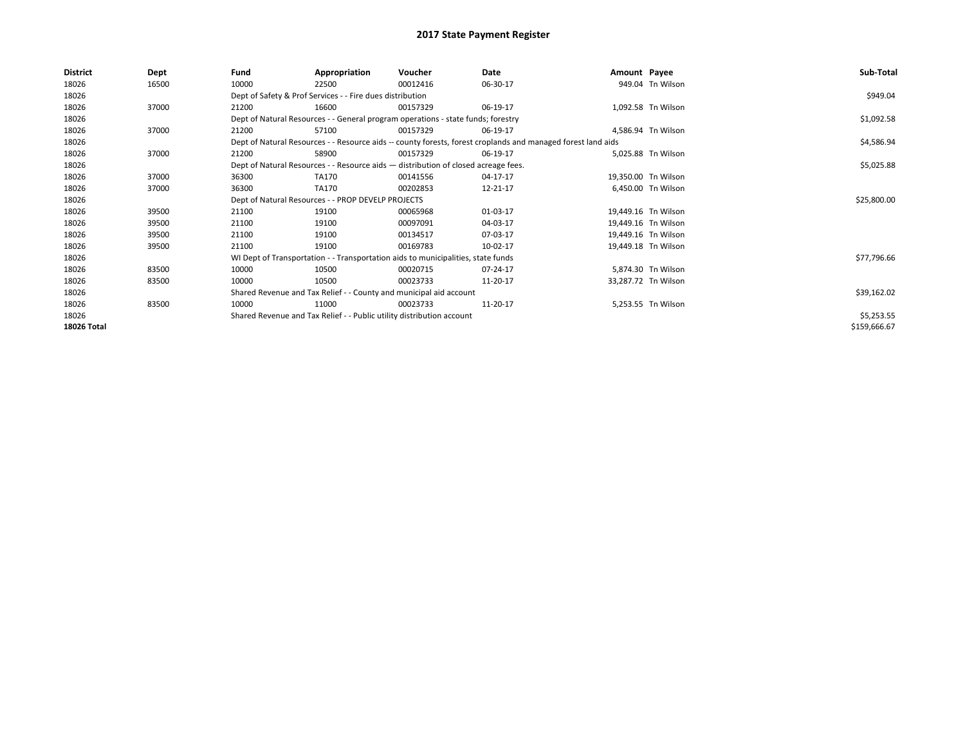| <b>District</b>    | Dept  | Fund  | Appropriation                                                                      | Voucher  | Date                                                                                                         | Amount Payee |                     | Sub-Total    |
|--------------------|-------|-------|------------------------------------------------------------------------------------|----------|--------------------------------------------------------------------------------------------------------------|--------------|---------------------|--------------|
| 18026              | 16500 | 10000 | 22500                                                                              | 00012416 | 06-30-17                                                                                                     |              | 949.04 Tn Wilson    |              |
| 18026              |       |       | Dept of Safety & Prof Services - - Fire dues distribution                          |          |                                                                                                              |              |                     | \$949.04     |
| 18026              | 37000 | 21200 | 16600                                                                              | 00157329 | 06-19-17                                                                                                     |              | 1,092.58 Tn Wilson  |              |
| 18026              |       |       | Dept of Natural Resources - - General program operations - state funds; forestry   |          |                                                                                                              |              |                     | \$1,092.58   |
| 18026              | 37000 | 21200 | 57100                                                                              | 00157329 | 06-19-17                                                                                                     |              | 4,586.94 Tn Wilson  |              |
| 18026              |       |       |                                                                                    |          | Dept of Natural Resources - - Resource aids -- county forests, forest croplands and managed forest land aids |              |                     | \$4,586.94   |
| 18026              | 37000 | 21200 | 58900                                                                              | 00157329 | 06-19-17                                                                                                     |              | 5.025.88 Tn Wilson  |              |
| 18026              |       |       | Dept of Natural Resources - - Resource aids - distribution of closed acreage fees. |          | \$5,025.88                                                                                                   |              |                     |              |
| 18026              | 37000 | 36300 | TA170                                                                              | 00141556 | 04-17-17                                                                                                     |              | 19.350.00 Tn Wilson |              |
| 18026              | 37000 | 36300 | TA170                                                                              | 00202853 | 12-21-17                                                                                                     |              | 6,450.00 Tn Wilson  |              |
| 18026              |       |       | Dept of Natural Resources - - PROP DEVELP PROJECTS                                 |          | \$25,800.00                                                                                                  |              |                     |              |
| 18026              | 39500 | 21100 | 19100                                                                              | 00065968 | 01-03-17                                                                                                     |              | 19,449.16 Tn Wilson |              |
| 18026              | 39500 | 21100 | 19100                                                                              | 00097091 | 04-03-17                                                                                                     |              | 19,449.16 Tn Wilson |              |
| 18026              | 39500 | 21100 | 19100                                                                              | 00134517 | 07-03-17                                                                                                     |              | 19,449.16 Tn Wilson |              |
| 18026              | 39500 | 21100 | 19100                                                                              | 00169783 | 10-02-17                                                                                                     |              | 19,449.18 Tn Wilson |              |
| 18026              |       |       | WI Dept of Transportation - - Transportation aids to municipalities, state funds   |          |                                                                                                              |              |                     | \$77,796.66  |
| 18026              | 83500 | 10000 | 10500                                                                              | 00020715 | 07-24-17                                                                                                     |              | 5,874.30 Tn Wilson  |              |
| 18026              | 83500 | 10000 | 10500                                                                              | 00023733 | 11-20-17                                                                                                     |              | 33,287.72 Tn Wilson |              |
| 18026              |       |       | Shared Revenue and Tax Relief - - County and municipal aid account                 |          |                                                                                                              |              |                     | \$39,162.02  |
| 18026              | 83500 | 10000 | 11000                                                                              | 00023733 | 11-20-17                                                                                                     |              | 5,253.55 Tn Wilson  |              |
| 18026              |       |       | Shared Revenue and Tax Relief - - Public utility distribution account              |          |                                                                                                              |              |                     | \$5,253.55   |
| <b>18026 Total</b> |       |       |                                                                                    |          |                                                                                                              |              |                     | \$159,666.67 |
|                    |       |       |                                                                                    |          |                                                                                                              |              |                     |              |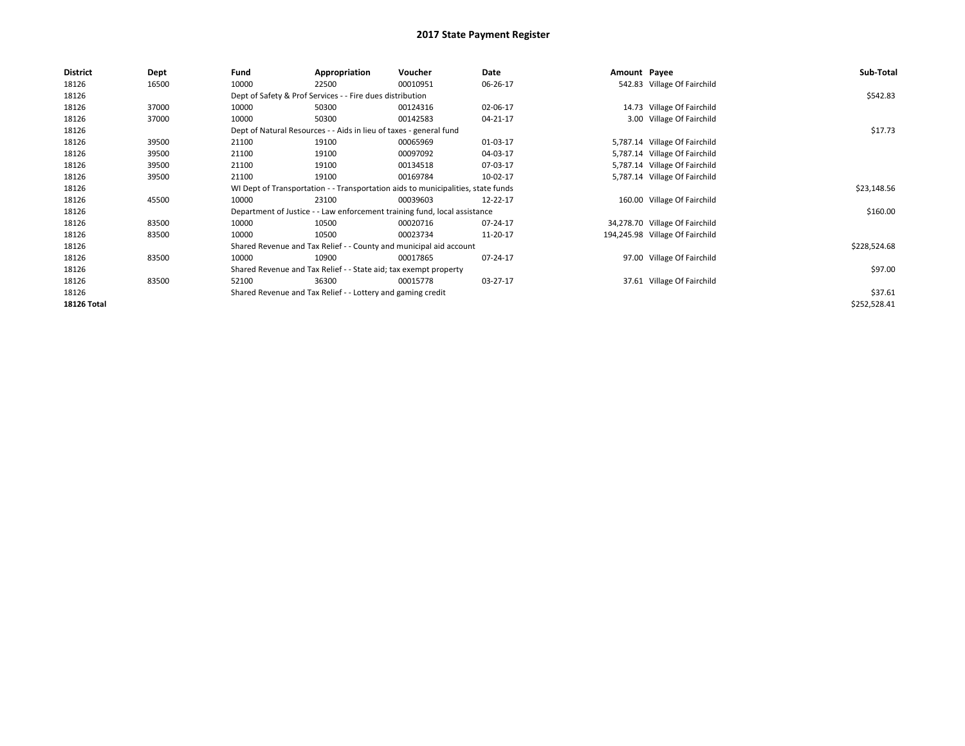| <b>District</b>    | Dept  | Fund  | Appropriation                                                      | Voucher                                                                          | Date     | Amount Payee |                                 | Sub-Total    |  |  |  |
|--------------------|-------|-------|--------------------------------------------------------------------|----------------------------------------------------------------------------------|----------|--------------|---------------------------------|--------------|--|--|--|
| 18126              | 16500 | 10000 | 22500                                                              | 00010951                                                                         | 06-26-17 |              | 542.83 Village Of Fairchild     |              |  |  |  |
| 18126              |       |       | Dept of Safety & Prof Services - - Fire dues distribution          |                                                                                  |          |              |                                 | \$542.83     |  |  |  |
| 18126              | 37000 | 10000 | 50300                                                              | 00124316                                                                         | 02-06-17 |              | 14.73 Village Of Fairchild      |              |  |  |  |
| 18126              | 37000 | 10000 | 50300                                                              | 00142583                                                                         | 04-21-17 |              | 3.00 Village Of Fairchild       |              |  |  |  |
| 18126              |       |       | Dept of Natural Resources - - Aids in lieu of taxes - general fund |                                                                                  |          |              |                                 |              |  |  |  |
| 18126              | 39500 | 21100 | 19100                                                              | 00065969                                                                         | 01-03-17 |              | 5,787.14 Village Of Fairchild   |              |  |  |  |
| 18126              | 39500 | 21100 | 19100                                                              | 00097092                                                                         | 04-03-17 |              | 5,787.14 Village Of Fairchild   |              |  |  |  |
| 18126              | 39500 | 21100 | 19100                                                              | 00134518                                                                         | 07-03-17 |              | 5,787.14 Village Of Fairchild   |              |  |  |  |
| 18126              | 39500 | 21100 | 19100                                                              | 00169784                                                                         | 10-02-17 |              | 5,787.14 Village Of Fairchild   |              |  |  |  |
| 18126              |       |       |                                                                    | WI Dept of Transportation - - Transportation aids to municipalities, state funds |          |              |                                 | \$23,148.56  |  |  |  |
| 18126              | 45500 | 10000 | 23100                                                              | 00039603                                                                         | 12-22-17 |              | 160.00 Village Of Fairchild     |              |  |  |  |
| 18126              |       |       |                                                                    | Department of Justice - - Law enforcement training fund, local assistance        |          |              |                                 | \$160.00     |  |  |  |
| 18126              | 83500 | 10000 | 10500                                                              | 00020716                                                                         | 07-24-17 |              | 34,278.70 Village Of Fairchild  |              |  |  |  |
| 18126              | 83500 | 10000 | 10500                                                              | 00023734                                                                         | 11-20-17 |              | 194,245.98 Village Of Fairchild |              |  |  |  |
| 18126              |       |       |                                                                    | Shared Revenue and Tax Relief - - County and municipal aid account               |          |              |                                 | \$228,524.68 |  |  |  |
| 18126              | 83500 | 10000 | 10900                                                              | 00017865                                                                         | 07-24-17 |              | 97.00 Village Of Fairchild      |              |  |  |  |
| 18126              |       |       | Shared Revenue and Tax Relief - - State aid; tax exempt property   |                                                                                  |          |              |                                 | \$97.00      |  |  |  |
| 18126              | 83500 | 52100 | 36300                                                              | 00015778                                                                         | 03-27-17 |              | 37.61 Village Of Fairchild      |              |  |  |  |
| 18126              |       |       | Shared Revenue and Tax Relief - - Lottery and gaming credit        |                                                                                  |          |              |                                 | \$37.61      |  |  |  |
| <b>18126 Total</b> |       |       |                                                                    |                                                                                  |          |              |                                 | \$252,528.41 |  |  |  |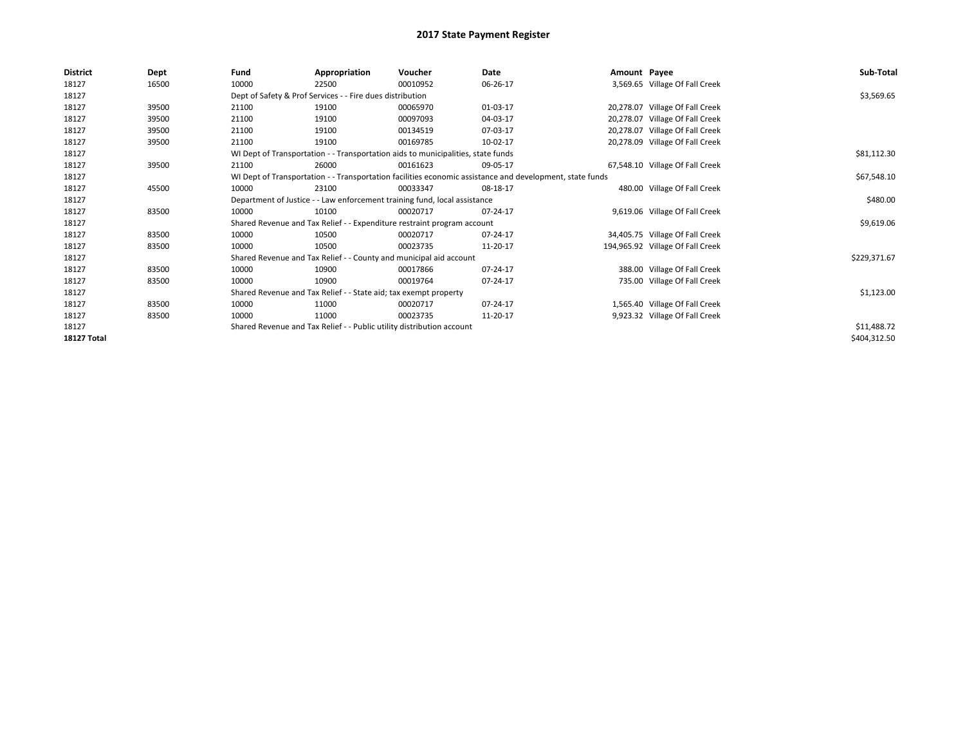| <b>District</b>    | Dept  | Fund                                                                                                     | Appropriation                                                                    | Voucher     | Date     | Amount Payee |                                  | Sub-Total    |
|--------------------|-------|----------------------------------------------------------------------------------------------------------|----------------------------------------------------------------------------------|-------------|----------|--------------|----------------------------------|--------------|
| 18127              | 16500 | 10000                                                                                                    | 22500                                                                            | 00010952    | 06-26-17 |              | 3,569.65 Village Of Fall Creek   |              |
| 18127              |       |                                                                                                          | Dept of Safety & Prof Services - - Fire dues distribution                        |             |          |              |                                  | \$3,569.65   |
| 18127              | 39500 | 21100                                                                                                    | 19100                                                                            | 00065970    | 01-03-17 |              | 20,278.07 Village Of Fall Creek  |              |
| 18127              | 39500 | 21100                                                                                                    | 19100                                                                            | 00097093    | 04-03-17 |              | 20,278.07 Village Of Fall Creek  |              |
| 18127              | 39500 | 21100                                                                                                    | 19100                                                                            | 00134519    | 07-03-17 |              | 20,278.07 Village Of Fall Creek  |              |
| 18127              | 39500 | 21100                                                                                                    | 19100                                                                            | 00169785    | 10-02-17 |              | 20,278.09 Village Of Fall Creek  |              |
| 18127              |       |                                                                                                          | WI Dept of Transportation - - Transportation aids to municipalities, state funds |             |          |              |                                  | \$81,112.30  |
| 18127              | 39500 | 21100                                                                                                    | 26000                                                                            | 00161623    | 09-05-17 |              | 67,548.10 Village Of Fall Creek  |              |
| 18127              |       | WI Dept of Transportation - - Transportation facilities economic assistance and development, state funds |                                                                                  | \$67,548.10 |          |              |                                  |              |
| 18127              | 45500 | 10000                                                                                                    | 23100                                                                            | 00033347    | 08-18-17 |              | 480.00 Village Of Fall Creek     |              |
| 18127              |       | Department of Justice - - Law enforcement training fund, local assistance                                |                                                                                  | \$480.00    |          |              |                                  |              |
| 18127              | 83500 | 10000                                                                                                    | 10100                                                                            | 00020717    | 07-24-17 |              | 9,619.06 Village Of Fall Creek   |              |
| 18127              |       |                                                                                                          | Shared Revenue and Tax Relief - - Expenditure restraint program account          |             |          |              |                                  | \$9,619.06   |
| 18127              | 83500 | 10000                                                                                                    | 10500                                                                            | 00020717    | 07-24-17 |              | 34,405.75 Village Of Fall Creek  |              |
| 18127              | 83500 | 10000                                                                                                    | 10500                                                                            | 00023735    | 11-20-17 |              | 194,965.92 Village Of Fall Creek |              |
| 18127              |       |                                                                                                          | Shared Revenue and Tax Relief - - County and municipal aid account               |             |          |              |                                  | \$229,371.67 |
| 18127              | 83500 | 10000                                                                                                    | 10900                                                                            | 00017866    | 07-24-17 |              | 388.00 Village Of Fall Creek     |              |
| 18127              | 83500 | 10000                                                                                                    | 10900                                                                            | 00019764    | 07-24-17 |              | 735.00 Village Of Fall Creek     |              |
| 18127              |       |                                                                                                          | Shared Revenue and Tax Relief - - State aid; tax exempt property                 |             |          |              |                                  | \$1,123.00   |
| 18127              | 83500 | 10000                                                                                                    | 11000                                                                            | 00020717    | 07-24-17 |              | 1,565.40 Village Of Fall Creek   |              |
| 18127              | 83500 | 10000                                                                                                    | 11000                                                                            | 00023735    | 11-20-17 |              | 9,923.32 Village Of Fall Creek   |              |
| 18127              |       |                                                                                                          | Shared Revenue and Tax Relief - - Public utility distribution account            |             |          |              |                                  | \$11,488.72  |
| <b>18127 Total</b> |       |                                                                                                          |                                                                                  |             |          |              |                                  | \$404,312.50 |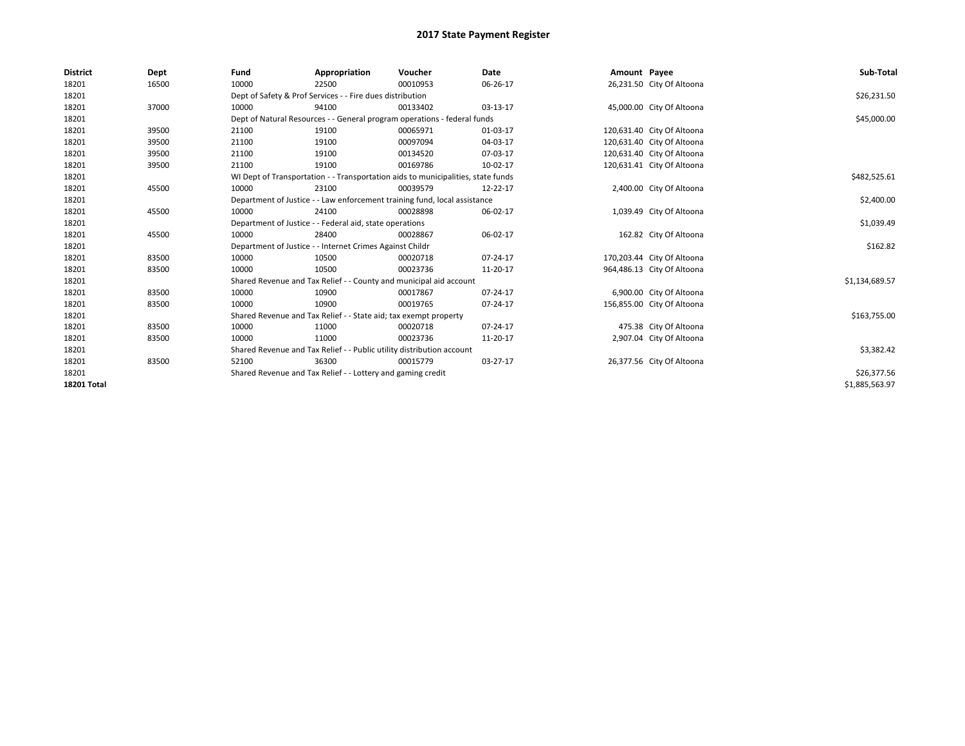| <b>District</b>    | Dept  | Fund                                                                  | Appropriation                                                                    | Voucher                                                                   | Date     | Amount Payee |                            | Sub-Total      |  |  |  |
|--------------------|-------|-----------------------------------------------------------------------|----------------------------------------------------------------------------------|---------------------------------------------------------------------------|----------|--------------|----------------------------|----------------|--|--|--|
| 18201              | 16500 | 10000                                                                 | 22500                                                                            | 00010953                                                                  | 06-26-17 |              | 26,231.50 City Of Altoona  |                |  |  |  |
| 18201              |       |                                                                       | Dept of Safety & Prof Services - - Fire dues distribution                        |                                                                           |          |              |                            | \$26,231.50    |  |  |  |
| 18201              | 37000 | 10000                                                                 | 94100                                                                            | 00133402                                                                  | 03-13-17 |              | 45,000.00 City Of Altoona  |                |  |  |  |
| 18201              |       |                                                                       |                                                                                  | Dept of Natural Resources - - General program operations - federal funds  |          |              |                            | \$45,000.00    |  |  |  |
| 18201              | 39500 | 21100                                                                 | 19100                                                                            | 00065971                                                                  | 01-03-17 |              | 120,631.40 City Of Altoona |                |  |  |  |
| 18201              | 39500 | 21100                                                                 | 19100                                                                            | 00097094                                                                  | 04-03-17 |              | 120,631.40 City Of Altoona |                |  |  |  |
| 18201              | 39500 | 21100                                                                 | 19100                                                                            | 00134520                                                                  | 07-03-17 |              | 120,631.40 City Of Altoona |                |  |  |  |
| 18201              | 39500 | 21100                                                                 | 19100                                                                            | 00169786                                                                  | 10-02-17 |              | 120,631.41 City Of Altoona |                |  |  |  |
| 18201              |       |                                                                       | WI Dept of Transportation - - Transportation aids to municipalities, state funds |                                                                           |          |              |                            |                |  |  |  |
| 18201              | 45500 | 10000                                                                 | 23100                                                                            | 00039579                                                                  | 12-22-17 |              | 2,400.00 City Of Altoona   |                |  |  |  |
| 18201              |       |                                                                       |                                                                                  | Department of Justice - - Law enforcement training fund, local assistance |          |              |                            | \$2,400.00     |  |  |  |
| 18201              | 45500 | 10000                                                                 | 24100                                                                            | 00028898                                                                  | 06-02-17 |              | 1,039.49 City Of Altoona   |                |  |  |  |
| 18201              |       | Department of Justice - - Federal aid, state operations               |                                                                                  | \$1,039.49                                                                |          |              |                            |                |  |  |  |
| 18201              | 45500 | 10000                                                                 | 28400                                                                            | 00028867                                                                  | 06-02-17 |              | 162.82 City Of Altoona     |                |  |  |  |
| 18201              |       |                                                                       | Department of Justice - - Internet Crimes Against Childr                         |                                                                           |          |              |                            | \$162.82       |  |  |  |
| 18201              | 83500 | 10000                                                                 | 10500                                                                            | 00020718                                                                  | 07-24-17 |              | 170,203.44 City Of Altoona |                |  |  |  |
| 18201              | 83500 | 10000                                                                 | 10500                                                                            | 00023736                                                                  | 11-20-17 |              | 964,486.13 City Of Altoona |                |  |  |  |
| 18201              |       |                                                                       |                                                                                  | Shared Revenue and Tax Relief - - County and municipal aid account        |          |              |                            | \$1,134,689.57 |  |  |  |
| 18201              | 83500 | 10000                                                                 | 10900                                                                            | 00017867                                                                  | 07-24-17 |              | 6,900.00 City Of Altoona   |                |  |  |  |
| 18201              | 83500 | 10000                                                                 | 10900                                                                            | 00019765                                                                  | 07-24-17 |              | 156,855.00 City Of Altoona |                |  |  |  |
| 18201              |       |                                                                       | Shared Revenue and Tax Relief - - State aid; tax exempt property                 |                                                                           |          |              |                            | \$163,755.00   |  |  |  |
| 18201              | 83500 | 10000                                                                 | 11000                                                                            | 00020718                                                                  | 07-24-17 |              | 475.38 City Of Altoona     |                |  |  |  |
| 18201              | 83500 | 10000                                                                 | 11000                                                                            | 00023736                                                                  | 11-20-17 |              | 2,907.04 City Of Altoona   |                |  |  |  |
| 18201              |       | Shared Revenue and Tax Relief - - Public utility distribution account |                                                                                  | \$3,382.42                                                                |          |              |                            |                |  |  |  |
| 18201              | 83500 | 52100                                                                 | 36300                                                                            | 00015779                                                                  | 03-27-17 |              | 26,377.56 City Of Altoona  |                |  |  |  |
| 18201              |       |                                                                       | Shared Revenue and Tax Relief - - Lottery and gaming credit                      |                                                                           |          |              |                            | \$26,377.56    |  |  |  |
| <b>18201 Total</b> |       |                                                                       |                                                                                  |                                                                           |          |              |                            | \$1,885,563.97 |  |  |  |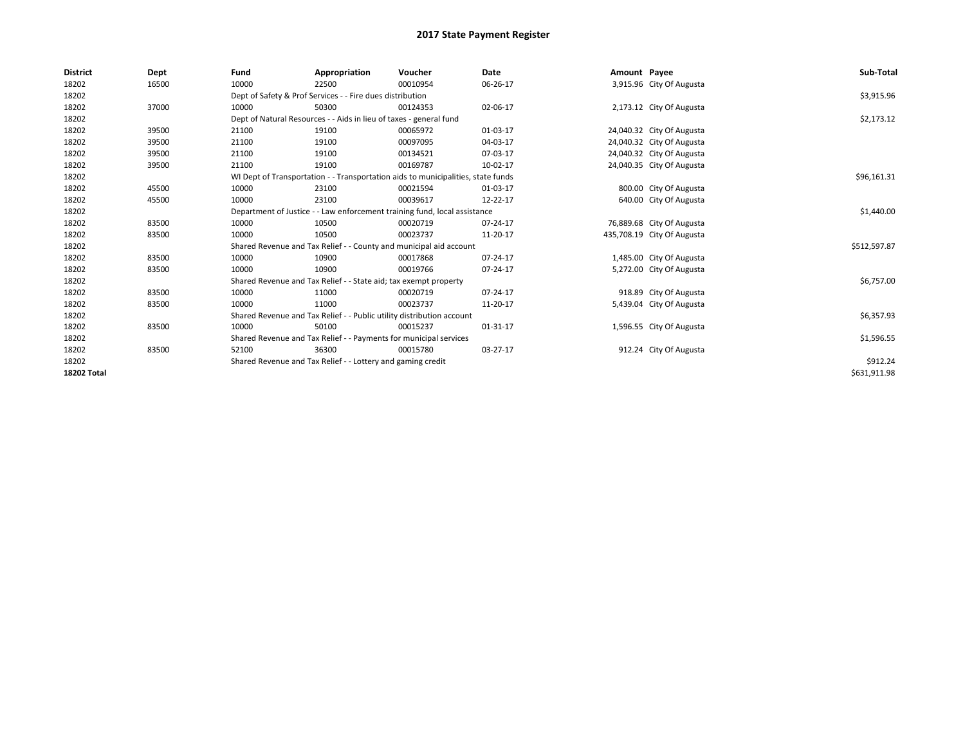| <b>District</b>    | Dept  | Fund                                                              | Appropriation                                                             | Voucher                                                                          | Date       | Amount Payee |                            | Sub-Total    |
|--------------------|-------|-------------------------------------------------------------------|---------------------------------------------------------------------------|----------------------------------------------------------------------------------|------------|--------------|----------------------------|--------------|
| 18202              | 16500 | 10000                                                             | 22500                                                                     | 00010954                                                                         | 06-26-17   |              | 3,915.96 City Of Augusta   |              |
| 18202              |       |                                                                   | Dept of Safety & Prof Services - - Fire dues distribution                 |                                                                                  |            |              |                            | \$3,915.96   |
| 18202              | 37000 | 10000                                                             | 50300                                                                     | 00124353                                                                         | 02-06-17   |              | 2,173.12 City Of Augusta   |              |
| 18202              |       |                                                                   | Dept of Natural Resources - - Aids in lieu of taxes - general fund        |                                                                                  |            |              |                            | \$2,173.12   |
| 18202              | 39500 | 21100                                                             | 19100                                                                     | 00065972                                                                         | 01-03-17   |              | 24,040.32 City Of Augusta  |              |
| 18202              | 39500 | 21100                                                             | 19100                                                                     | 00097095                                                                         | 04-03-17   |              | 24,040.32 City Of Augusta  |              |
| 18202              | 39500 | 21100                                                             | 19100                                                                     | 00134521                                                                         | 07-03-17   |              | 24,040.32 City Of Augusta  |              |
| 18202              | 39500 | 21100                                                             | 19100                                                                     | 00169787                                                                         | 10-02-17   |              | 24,040.35 City Of Augusta  |              |
| 18202              |       |                                                                   |                                                                           | WI Dept of Transportation - - Transportation aids to municipalities, state funds |            |              |                            | \$96,161.31  |
| 18202              | 45500 | 10000                                                             | 23100                                                                     | 00021594                                                                         | 01-03-17   |              | 800.00 City Of Augusta     |              |
| 18202              | 45500 | 10000                                                             | 23100                                                                     | 00039617                                                                         | 12-22-17   |              | 640.00 City Of Augusta     |              |
| 18202              |       |                                                                   | Department of Justice - - Law enforcement training fund, local assistance |                                                                                  | \$1,440.00 |              |                            |              |
| 18202              | 83500 | 10000                                                             | 10500                                                                     | 00020719                                                                         | 07-24-17   |              | 76,889.68 City Of Augusta  |              |
| 18202              | 83500 | 10000                                                             | 10500                                                                     | 00023737                                                                         | 11-20-17   |              | 435,708.19 City Of Augusta |              |
| 18202              |       |                                                                   |                                                                           | Shared Revenue and Tax Relief - - County and municipal aid account               |            |              |                            | \$512,597.87 |
| 18202              | 83500 | 10000                                                             | 10900                                                                     | 00017868                                                                         | 07-24-17   |              | 1,485.00 City Of Augusta   |              |
| 18202              | 83500 | 10000                                                             | 10900                                                                     | 00019766                                                                         | 07-24-17   |              | 5,272.00 City Of Augusta   |              |
| 18202              |       |                                                                   | Shared Revenue and Tax Relief - - State aid; tax exempt property          |                                                                                  |            |              |                            | \$6,757.00   |
| 18202              | 83500 | 10000                                                             | 11000                                                                     | 00020719                                                                         | 07-24-17   |              | 918.89 City Of Augusta     |              |
| 18202              | 83500 | 10000                                                             | 11000                                                                     | 00023737                                                                         | 11-20-17   |              | 5,439.04 City Of Augusta   |              |
| 18202              |       |                                                                   | Shared Revenue and Tax Relief - - Public utility distribution account     |                                                                                  |            |              |                            | \$6,357.93   |
| 18202              | 83500 | 10000                                                             | 50100                                                                     | 00015237                                                                         | 01-31-17   |              | 1,596.55 City Of Augusta   |              |
| 18202              |       | Shared Revenue and Tax Relief - - Payments for municipal services |                                                                           | \$1,596.55                                                                       |            |              |                            |              |
| 18202              | 83500 | 52100                                                             | 36300                                                                     | 00015780                                                                         | 03-27-17   |              | 912.24 City Of Augusta     |              |
| 18202              |       | Shared Revenue and Tax Relief - - Lottery and gaming credit       |                                                                           | \$912.24                                                                         |            |              |                            |              |
| <b>18202 Total</b> |       |                                                                   |                                                                           |                                                                                  |            |              |                            | \$631,911.98 |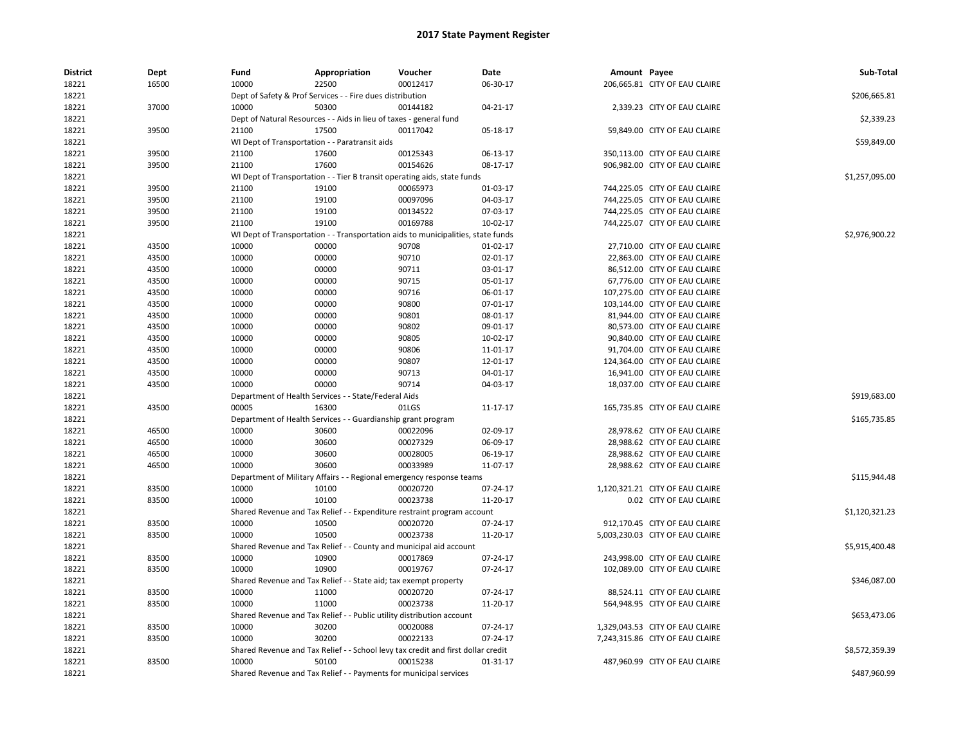| <b>District</b> | Dept  | Fund  | Appropriation                                                                    | Voucher  | <b>Date</b>    | Amount Payee |                                 | Sub-Total      |
|-----------------|-------|-------|----------------------------------------------------------------------------------|----------|----------------|--------------|---------------------------------|----------------|
| 18221           | 16500 | 10000 | 22500                                                                            | 00012417 | 06-30-17       |              | 206,665.81 CITY OF EAU CLAIRE   |                |
| 18221           |       |       | Dept of Safety & Prof Services - - Fire dues distribution                        |          |                |              |                                 | \$206,665.81   |
| 18221           | 37000 | 10000 | 50300                                                                            | 00144182 | 04-21-17       |              | 2,339.23 CITY OF EAU CLAIRE     |                |
| 18221           |       |       | Dept of Natural Resources - - Aids in lieu of taxes - general fund               |          |                |              |                                 | \$2,339.23     |
| 18221           | 39500 | 21100 | 17500                                                                            | 00117042 | 05-18-17       |              | 59,849.00 CITY OF EAU CLAIRE    |                |
| 18221           |       |       | WI Dept of Transportation - - Paratransit aids                                   |          |                |              |                                 | \$59,849.00    |
| 18221           | 39500 | 21100 | 17600                                                                            | 00125343 | 06-13-17       |              | 350,113.00 CITY OF EAU CLAIRE   |                |
| 18221           | 39500 | 21100 | 17600                                                                            | 00154626 | 08-17-17       |              | 906,982.00 CITY OF EAU CLAIRE   |                |
| 18221           |       |       | WI Dept of Transportation - - Tier B transit operating aids, state funds         |          |                |              |                                 | \$1,257,095.00 |
| 18221           | 39500 | 21100 | 19100                                                                            | 00065973 | 01-03-17       |              | 744,225.05 CITY OF EAU CLAIRE   |                |
| 18221           | 39500 | 21100 | 19100                                                                            | 00097096 | 04-03-17       |              | 744,225.05 CITY OF EAU CLAIRE   |                |
| 18221           | 39500 | 21100 | 19100                                                                            | 00134522 | 07-03-17       |              | 744,225.05 CITY OF EAU CLAIRE   |                |
| 18221           | 39500 | 21100 | 19100                                                                            | 00169788 | 10-02-17       |              | 744,225.07 CITY OF EAU CLAIRE   |                |
| 18221           |       |       | WI Dept of Transportation - - Transportation aids to municipalities, state funds |          |                |              |                                 | \$2,976,900.22 |
| 18221           | 43500 | 10000 | 00000                                                                            | 90708    | $01-02-17$     |              | 27,710.00 CITY OF EAU CLAIRE    |                |
| 18221           | 43500 | 10000 | 00000                                                                            | 90710    | 02-01-17       |              | 22,863.00 CITY OF EAU CLAIRE    |                |
| 18221           | 43500 | 10000 | 00000                                                                            | 90711    | 03-01-17       |              | 86,512.00 CITY OF EAU CLAIRE    |                |
| 18221           | 43500 | 10000 | 00000                                                                            | 90715    | 05-01-17       |              | 67,776.00 CITY OF EAU CLAIRE    |                |
| 18221           | 43500 | 10000 | 00000                                                                            | 90716    | 06-01-17       |              | 107,275.00 CITY OF EAU CLAIRE   |                |
| 18221           | 43500 | 10000 | 00000                                                                            | 90800    | $07 - 01 - 17$ |              | 103,144.00 CITY OF EAU CLAIRE   |                |
| 18221           | 43500 | 10000 | 00000                                                                            | 90801    | 08-01-17       |              | 81,944.00 CITY OF EAU CLAIRE    |                |
| 18221           | 43500 | 10000 | 00000                                                                            | 90802    | 09-01-17       |              | 80,573.00 CITY OF EAU CLAIRE    |                |
| 18221           | 43500 | 10000 | 00000                                                                            | 90805    | 10-02-17       |              | 90,840.00 CITY OF EAU CLAIRE    |                |
| 18221           | 43500 | 10000 | 00000                                                                            | 90806    | 11-01-17       |              | 91,704.00 CITY OF EAU CLAIRE    |                |
| 18221           | 43500 | 10000 | 00000                                                                            | 90807    | 12-01-17       |              | 124,364.00 CITY OF EAU CLAIRE   |                |
| 18221           | 43500 | 10000 | 00000                                                                            | 90713    | 04-01-17       |              | 16,941.00 CITY OF EAU CLAIRE    |                |
| 18221           | 43500 | 10000 | 00000                                                                            | 90714    | 04-03-17       |              | 18,037.00 CITY OF EAU CLAIRE    |                |
| 18221           |       |       | Department of Health Services - - State/Federal Aids                             |          |                |              |                                 | \$919,683.00   |
| 18221           | 43500 | 00005 | 16300                                                                            | 01LGS    | 11-17-17       |              | 165,735.85 CITY OF EAU CLAIRE   |                |
| 18221           |       |       | Department of Health Services - - Guardianship grant program                     |          |                |              |                                 | \$165,735.85   |
| 18221           | 46500 | 10000 | 30600                                                                            | 00022096 | 02-09-17       |              | 28,978.62 CITY OF EAU CLAIRE    |                |
| 18221           | 46500 | 10000 | 30600                                                                            | 00027329 | 06-09-17       |              | 28,988.62 CITY OF EAU CLAIRE    |                |
| 18221           | 46500 | 10000 | 30600                                                                            | 00028005 | 06-19-17       |              | 28,988.62 CITY OF EAU CLAIRE    |                |
| 18221           | 46500 | 10000 | 30600                                                                            | 00033989 | 11-07-17       |              | 28,988.62 CITY OF EAU CLAIRE    |                |
| 18221           |       |       | Department of Military Affairs - - Regional emergency response teams             |          |                |              |                                 | \$115,944.48   |
| 18221           | 83500 | 10000 | 10100                                                                            | 00020720 | 07-24-17       |              | 1,120,321.21 CITY OF EAU CLAIRE |                |
| 18221           | 83500 | 10000 | 10100                                                                            | 00023738 | 11-20-17       |              | 0.02 CITY OF EAU CLAIRE         |                |
| 18221           |       |       | Shared Revenue and Tax Relief - - Expenditure restraint program account          |          |                |              |                                 | \$1,120,321.23 |
| 18221           | 83500 | 10000 | 10500                                                                            | 00020720 | 07-24-17       |              | 912,170.45 CITY OF EAU CLAIRE   |                |
| 18221           | 83500 | 10000 | 10500                                                                            | 00023738 | 11-20-17       |              | 5,003,230.03 CITY OF EAU CLAIRE |                |
| 18221           |       |       | Shared Revenue and Tax Relief - - County and municipal aid account               |          |                |              |                                 | \$5,915,400.48 |
| 18221           | 83500 | 10000 | 10900                                                                            | 00017869 | 07-24-17       |              | 243,998.00 CITY OF EAU CLAIRE   |                |
| 18221           | 83500 | 10000 | 10900                                                                            | 00019767 | 07-24-17       |              | 102,089.00 CITY OF EAU CLAIRE   |                |
| 18221           |       |       | Shared Revenue and Tax Relief - - State aid; tax exempt property                 |          |                |              |                                 | \$346,087.00   |
| 18221           | 83500 | 10000 | 11000                                                                            | 00020720 | 07-24-17       |              | 88,524.11 CITY OF EAU CLAIRE    |                |
|                 |       | 10000 | 11000                                                                            | 00023738 |                |              |                                 |                |
| 18221           | 83500 |       |                                                                                  |          | 11-20-17       |              | 564,948.95 CITY OF EAU CLAIRE   |                |
| 18221           |       |       | Shared Revenue and Tax Relief - - Public utility distribution account            |          |                |              |                                 | \$653,473.06   |
| 18221           | 83500 | 10000 | 30200                                                                            | 00020088 | 07-24-17       |              | 1,329,043.53 CITY OF EAU CLAIRE |                |
| 18221           | 83500 | 10000 | 30200                                                                            | 00022133 | 07-24-17       |              | 7,243,315.86 CITY OF EAU CLAIRE |                |
| 18221           |       |       | Shared Revenue and Tax Relief - - School levy tax credit and first dollar credit |          |                |              |                                 | \$8,572,359.39 |
| 18221           | 83500 | 10000 | 50100                                                                            | 00015238 | $01-31-17$     |              | 487,960.99 CITY OF EAU CLAIRE   |                |
| 18221           |       |       | Shared Revenue and Tax Relief - - Payments for municipal services                |          |                |              |                                 | \$487,960.99   |